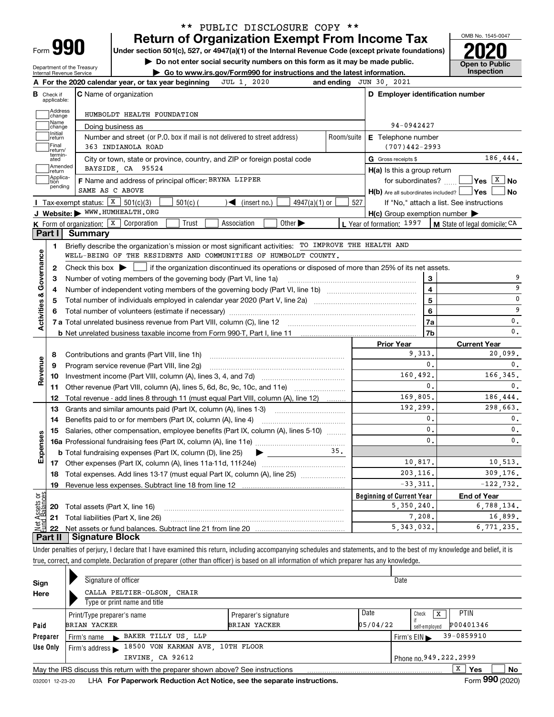| ∽orm |  |
|------|--|
|      |  |

#### **Return of Organization Exempt From Income Tax** \*\* PUBLIC DISCLOSURE COPY \*\*

**Under section 501(c), 527, or 4947(a)(1) of the Internal Revenue Code (except private foundations) 2020**

**| Do not enter social security numbers on this form as it may be made public.**

Department of the Treasury Internal Revenue Service

**| Go to www.irs.gov/Form990 for instructions and the latest information. Inspection**

OMB No. 1545-0047 **Open to Public<br>Inspection** 

|                                   | Check if<br>applicable: | <b>C</b> Name of organization                                                                                                                       |     | D Employer identification number                    |                                                                |  |  |  |  |  |  |  |
|-----------------------------------|-------------------------|-----------------------------------------------------------------------------------------------------------------------------------------------------|-----|-----------------------------------------------------|----------------------------------------------------------------|--|--|--|--|--|--|--|
|                                   | Address<br>Change       | HUMBOLDT HEALTH FOUNDATION                                                                                                                          |     |                                                     |                                                                |  |  |  |  |  |  |  |
|                                   | Name<br>change          | Doing business as                                                                                                                                   |     | 94-0942427                                          |                                                                |  |  |  |  |  |  |  |
|                                   | Initial<br>return       | Number and street (or P.O. box if mail is not delivered to street address)<br>Room/suite<br>E Telephone number                                      |     |                                                     |                                                                |  |  |  |  |  |  |  |
|                                   | Final<br>return/        | 363 INDIANOLA ROAD                                                                                                                                  |     | $(707)442 - 2993$                                   |                                                                |  |  |  |  |  |  |  |
|                                   | termin-<br>ated         | City or town, state or province, country, and ZIP or foreign postal code                                                                            |     | G Gross receipts \$                                 | 186,444.                                                       |  |  |  |  |  |  |  |
|                                   | Amended<br>return       | BAYSIDE CA 95524                                                                                                                                    |     | H(a) Is this a group return                         |                                                                |  |  |  |  |  |  |  |
|                                   | Applica-<br>tion        | F Name and address of principal officer: BRYNA LIPPER                                                                                               |     | for subordinates?                                   | $ Yes $ $X$ $ No$                                              |  |  |  |  |  |  |  |
|                                   | pending                 | SAME AS C ABOVE                                                                                                                                     |     | H(b) Are all subordinates included?   Yes           | <b>No</b>                                                      |  |  |  |  |  |  |  |
|                                   |                         | Tax-exempt status: $X \ 501(c)(3)$<br>$4947(a)(1)$ or<br>$501(c)$ (<br>$\mathcal{L}$ (insert no.)                                                   | 527 |                                                     | If "No," attach a list. See instructions                       |  |  |  |  |  |  |  |
|                                   |                         | J Website: WWW.HUMHEALTH.ORG                                                                                                                        |     | $H(c)$ Group exemption number $\blacktriangleright$ |                                                                |  |  |  |  |  |  |  |
|                                   |                         | Other $\blacktriangleright$<br>K Form of organization: X Corporation<br>Trust<br>Association                                                        |     | L Year of formation: 1997                           | M State of legal domicile: CA                                  |  |  |  |  |  |  |  |
|                                   | Part I                  | Summary                                                                                                                                             |     |                                                     |                                                                |  |  |  |  |  |  |  |
|                                   | 1                       | Briefly describe the organization's mission or most significant activities: TO IMPROVE THE HEALTH AND                                               |     |                                                     |                                                                |  |  |  |  |  |  |  |
|                                   |                         | WELL-BEING OF THE RESIDENTS AND COMMUNITIES OF HUMBOLDT COUNTY.                                                                                     |     |                                                     |                                                                |  |  |  |  |  |  |  |
|                                   | 2                       | Check this box $\blacktriangleright$ $\blacksquare$ if the organization discontinued its operations or disposed of more than 25% of its net assets. |     |                                                     |                                                                |  |  |  |  |  |  |  |
| Activities & Governance           | 3                       | Number of voting members of the governing body (Part VI, line 1a)                                                                                   |     | 3                                                   | 9                                                              |  |  |  |  |  |  |  |
|                                   | 4                       |                                                                                                                                                     |     | $\overline{\mathbf{4}}$                             | 9                                                              |  |  |  |  |  |  |  |
|                                   | 5                       |                                                                                                                                                     |     | 5                                                   | 0                                                              |  |  |  |  |  |  |  |
|                                   |                         |                                                                                                                                                     | 6   | 9                                                   |                                                                |  |  |  |  |  |  |  |
|                                   |                         |                                                                                                                                                     |     | 7a                                                  | 0.                                                             |  |  |  |  |  |  |  |
|                                   |                         |                                                                                                                                                     |     | 7 <sub>b</sub>                                      | 0.                                                             |  |  |  |  |  |  |  |
|                                   |                         |                                                                                                                                                     |     | <b>Prior Year</b>                                   | <b>Current Year</b>                                            |  |  |  |  |  |  |  |
|                                   | 8                       | Contributions and grants (Part VIII, line 1h)                                                                                                       |     | 9.313.                                              | 20,099.                                                        |  |  |  |  |  |  |  |
|                                   | 9                       | Program service revenue (Part VIII, line 2g)                                                                                                        |     | 0.                                                  | 0.                                                             |  |  |  |  |  |  |  |
|                                   |                         |                                                                                                                                                     |     |                                                     |                                                                |  |  |  |  |  |  |  |
|                                   | 10                      |                                                                                                                                                     |     | 160,492.                                            |                                                                |  |  |  |  |  |  |  |
|                                   |                         | 11 Other revenue (Part VIII, column (A), lines 5, 6d, 8c, 9c, 10c, and 11e)                                                                         |     | 0.                                                  | 0.                                                             |  |  |  |  |  |  |  |
|                                   | 12                      | Total revenue - add lines 8 through 11 (must equal Part VIII, column (A), line 12)                                                                  |     | 169,805.                                            | 186,444.                                                       |  |  |  |  |  |  |  |
|                                   | 13                      | Grants and similar amounts paid (Part IX, column (A), lines 1-3)                                                                                    |     | 192.299.                                            |                                                                |  |  |  |  |  |  |  |
|                                   | 14                      | Benefits paid to or for members (Part IX, column (A), line 4)                                                                                       |     | $\mathbf{0}$ .                                      | $\mathbf{0}$ .                                                 |  |  |  |  |  |  |  |
|                                   | 15                      | Salaries, other compensation, employee benefits (Part IX, column (A), lines 5-10)                                                                   |     | 0.                                                  | $\mathbf{0}$ .                                                 |  |  |  |  |  |  |  |
|                                   |                         |                                                                                                                                                     |     | 0.                                                  | $\mathbf{0}$ .                                                 |  |  |  |  |  |  |  |
|                                   |                         | <b>b</b> Total fundraising expenses (Part IX, column (D), line 25)<br>$\blacktriangleright$ and $\blacktriangleright$                               | 35. |                                                     |                                                                |  |  |  |  |  |  |  |
|                                   |                         |                                                                                                                                                     |     | 10,817.                                             |                                                                |  |  |  |  |  |  |  |
|                                   | 18                      | Total expenses. Add lines 13-17 (must equal Part IX, column (A), line 25) [                                                                         |     | 203.116.                                            |                                                                |  |  |  |  |  |  |  |
|                                   | 19                      |                                                                                                                                                     |     | $-33,311.$                                          | 309.176.                                                       |  |  |  |  |  |  |  |
|                                   |                         |                                                                                                                                                     |     | <b>Beginning of Current Year</b>                    | <b>End of Year</b>                                             |  |  |  |  |  |  |  |
|                                   |                         | <b>20</b> Total assets (Part X, line 16)                                                                                                            |     | 5,350,240.                                          | 166.345.<br>298,663.                                           |  |  |  |  |  |  |  |
| Revenue<br>Expenses<br>ăğ<br>sets |                         | 21 Total liabilities (Part X, line 26)                                                                                                              |     | 7,208.<br>5, 343, 032.                              | 10,513.<br>$-122, 732.$<br>6,788,134.<br>16,899.<br>6.771.235. |  |  |  |  |  |  |  |

Under penalties of perjury, I declare that I have examined this return, including accompanying schedules and statements, and to the best of my knowledge and belief, it is true, correct, and complete. Declaration of preparer (other than officer) is based on all information of which preparer has any knowledge.

|          | Signature of officer                                                            | Date                 |          |                                                |  |  |  |  |  |  |
|----------|---------------------------------------------------------------------------------|----------------------|----------|------------------------------------------------|--|--|--|--|--|--|
| Sign     |                                                                                 |                      |          |                                                |  |  |  |  |  |  |
| Here     | CALLA PELTIER-OLSON, CHAIR<br>Type or print name and title                      |                      |          |                                                |  |  |  |  |  |  |
|          | Print/Type preparer's name                                                      | Preparer's signature | Date     | <b>PTIN</b><br>Check                           |  |  |  |  |  |  |
| Paid     | <b>BRIAN YACKER</b>                                                             | <b>BRIAN YACKER</b>  | 05/04/22 | P00401346<br>self-emploved                     |  |  |  |  |  |  |
| Preparer | BAKER TILLY US, LLP<br>Firm's name                                              |                      |          | 39-0859910<br>Firm's $EIN \blacktriangleright$ |  |  |  |  |  |  |
| Use Only | 18500 VON KARMAN AVE 10TH FLOOR<br>Firm's address $\blacktriangleright$         |                      |          |                                                |  |  |  |  |  |  |
|          | IRVINE, CA 92612<br>Phone no. 949. 222. 2999                                    |                      |          |                                                |  |  |  |  |  |  |
|          | May the IRS discuss this return with the preparer shown above? See instructions |                      |          | x<br>No<br>Yes                                 |  |  |  |  |  |  |
|          |                                                                                 |                      |          | nnn.                                           |  |  |  |  |  |  |

032001 12-23-20 LHA **For Paperwork Reduction Act Notice, see the separate instructions. Form 990 (2020)**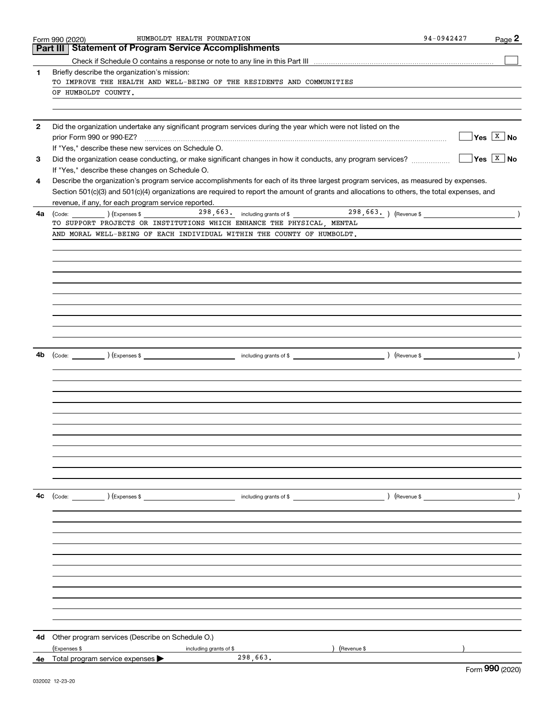|              | Form 990 (2020)                                                 | HUMBOLDT HEALTH FOUNDATION                                                                                   | 94-0942427                                                                                                                                   | Page $2$                    |
|--------------|-----------------------------------------------------------------|--------------------------------------------------------------------------------------------------------------|----------------------------------------------------------------------------------------------------------------------------------------------|-----------------------------|
|              | <b>Statement of Program Service Accomplishments</b><br>Part III |                                                                                                              |                                                                                                                                              |                             |
|              |                                                                 |                                                                                                              |                                                                                                                                              |                             |
| 1            | Briefly describe the organization's mission:                    |                                                                                                              |                                                                                                                                              |                             |
|              |                                                                 | TO IMPROVE THE HEALTH AND WELL-BEING OF THE RESIDENTS AND COMMUNITIES                                        |                                                                                                                                              |                             |
|              | OF HUMBOLDT COUNTY.                                             |                                                                                                              |                                                                                                                                              |                             |
|              |                                                                 |                                                                                                              |                                                                                                                                              |                             |
| $\mathbf{2}$ |                                                                 |                                                                                                              |                                                                                                                                              |                             |
|              |                                                                 | Did the organization undertake any significant program services during the year which were not listed on the |                                                                                                                                              | $Yes \ \boxed{X}$ No        |
|              | If "Yes," describe these new services on Schedule O.            |                                                                                                              |                                                                                                                                              |                             |
| 3            |                                                                 |                                                                                                              |                                                                                                                                              | $\sqrt{}$ Yes $\sqrt{X}$ No |
|              | If "Yes," describe these changes on Schedule O.                 |                                                                                                              |                                                                                                                                              |                             |
| 4            |                                                                 |                                                                                                              | Describe the organization's program service accomplishments for each of its three largest program services, as measured by expenses.         |                             |
|              |                                                                 |                                                                                                              | Section 501(c)(3) and 501(c)(4) organizations are required to report the amount of grants and allocations to others, the total expenses, and |                             |
|              | revenue, if any, for each program service reported.             |                                                                                                              |                                                                                                                                              |                             |
| 4a           | $\left(\text{Code:}\right)$ $\left(\text{Expenses $}\right)$    |                                                                                                              | 298, 663. including grants of \$298, 663. (Revenue \$1)                                                                                      |                             |
|              |                                                                 | TO SUPPORT PROJECTS OR INSTITUTIONS WHICH ENHANCE THE PHYSICAL, MENTAL                                       |                                                                                                                                              |                             |
|              |                                                                 | AND MORAL WELL-BEING OF EACH INDIVIDUAL WITHIN THE COUNTY OF HUMBOLDT.                                       |                                                                                                                                              |                             |
|              |                                                                 |                                                                                                              |                                                                                                                                              |                             |
|              |                                                                 |                                                                                                              |                                                                                                                                              |                             |
|              |                                                                 |                                                                                                              |                                                                                                                                              |                             |
|              |                                                                 |                                                                                                              |                                                                                                                                              |                             |
|              |                                                                 |                                                                                                              |                                                                                                                                              |                             |
|              |                                                                 |                                                                                                              |                                                                                                                                              |                             |
|              |                                                                 |                                                                                                              |                                                                                                                                              |                             |
|              |                                                                 |                                                                                                              |                                                                                                                                              |                             |
|              |                                                                 |                                                                                                              |                                                                                                                                              |                             |
|              |                                                                 |                                                                                                              |                                                                                                                                              |                             |
| 4b           |                                                                 |                                                                                                              |                                                                                                                                              |                             |
|              |                                                                 |                                                                                                              |                                                                                                                                              |                             |
|              |                                                                 |                                                                                                              |                                                                                                                                              |                             |
|              |                                                                 |                                                                                                              |                                                                                                                                              |                             |
|              |                                                                 |                                                                                                              |                                                                                                                                              |                             |
|              |                                                                 |                                                                                                              |                                                                                                                                              |                             |
|              |                                                                 |                                                                                                              |                                                                                                                                              |                             |
|              |                                                                 |                                                                                                              |                                                                                                                                              |                             |
|              |                                                                 |                                                                                                              |                                                                                                                                              |                             |
|              |                                                                 |                                                                                                              |                                                                                                                                              |                             |
|              |                                                                 |                                                                                                              |                                                                                                                                              |                             |
|              |                                                                 |                                                                                                              |                                                                                                                                              |                             |
|              |                                                                 |                                                                                                              |                                                                                                                                              |                             |
| 4с           |                                                                 |                                                                                                              |                                                                                                                                              |                             |
|              |                                                                 |                                                                                                              |                                                                                                                                              |                             |
|              |                                                                 |                                                                                                              |                                                                                                                                              |                             |
|              |                                                                 |                                                                                                              |                                                                                                                                              |                             |
|              |                                                                 |                                                                                                              |                                                                                                                                              |                             |
|              |                                                                 |                                                                                                              |                                                                                                                                              |                             |
|              |                                                                 |                                                                                                              |                                                                                                                                              |                             |
|              |                                                                 |                                                                                                              |                                                                                                                                              |                             |
|              |                                                                 |                                                                                                              |                                                                                                                                              |                             |
|              |                                                                 |                                                                                                              |                                                                                                                                              |                             |
|              |                                                                 |                                                                                                              |                                                                                                                                              |                             |
|              |                                                                 |                                                                                                              |                                                                                                                                              |                             |
| 4d           | Other program services (Describe on Schedule O.)                |                                                                                                              |                                                                                                                                              |                             |
|              | (Expenses \$                                                    | including grants of \$                                                                                       | ) (Revenue \$                                                                                                                                |                             |
|              | 4e Total program service expenses $\blacktriangleright$         | 298,663.                                                                                                     |                                                                                                                                              |                             |
|              |                                                                 |                                                                                                              |                                                                                                                                              | $000 \text{ m}$             |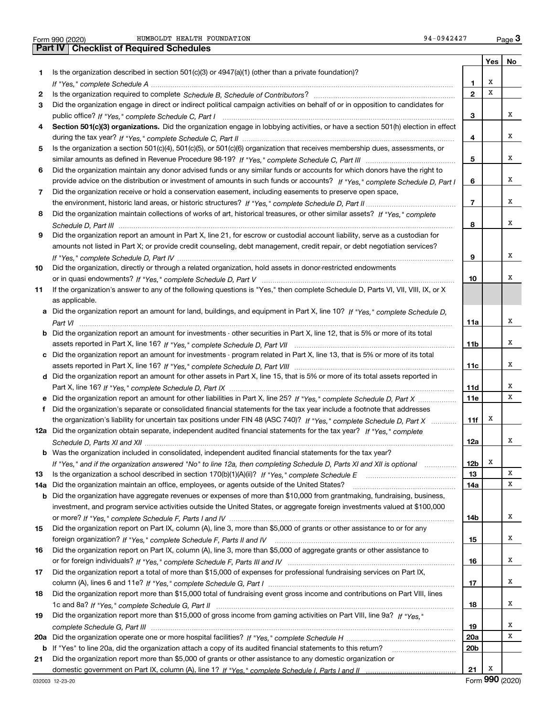|  | Form 990 (2020) |
|--|-----------------|

Form 990 (2020) HUMBOLDT HEALTH FOUNDATION 94-0942427 Page **3Part IV Checklist of Required Schedules**

|     |                                                                                                                                  |                         |     | Yes   No |
|-----|----------------------------------------------------------------------------------------------------------------------------------|-------------------------|-----|----------|
| 1.  | Is the organization described in section $501(c)(3)$ or $4947(a)(1)$ (other than a private foundation)?                          |                         |     |          |
|     |                                                                                                                                  | 1                       | х   |          |
| 2   |                                                                                                                                  | $\mathbf{2}$            | X   |          |
| З   | Did the organization engage in direct or indirect political campaign activities on behalf of or in opposition to candidates for  |                         |     |          |
|     |                                                                                                                                  | З                       |     | х        |
| 4   | Section 501(c)(3) organizations. Did the organization engage in lobbying activities, or have a section 501(h) election in effect |                         |     |          |
|     |                                                                                                                                  | 4                       |     | х        |
| 5   | Is the organization a section 501(c)(4), 501(c)(5), or 501(c)(6) organization that receives membership dues, assessments, or     |                         |     |          |
|     |                                                                                                                                  | 5                       |     | х        |
| 6   | Did the organization maintain any donor advised funds or any similar funds or accounts for which donors have the right to        |                         |     |          |
|     | provide advice on the distribution or investment of amounts in such funds or accounts? If "Yes," complete Schedule D, Part I     | 6                       |     | х        |
| 7   | Did the organization receive or hold a conservation easement, including easements to preserve open space,                        |                         |     |          |
|     |                                                                                                                                  | $\overline{\mathbf{r}}$ |     | х        |
| 8   | Did the organization maintain collections of works of art, historical treasures, or other similar assets? If "Yes," complete     |                         |     |          |
|     |                                                                                                                                  | 8                       |     | x        |
| 9   | Did the organization report an amount in Part X, line 21, for escrow or custodial account liability, serve as a custodian for    |                         |     |          |
|     | amounts not listed in Part X; or provide credit counseling, debt management, credit repair, or debt negotiation services?        |                         |     |          |
|     |                                                                                                                                  | 9                       |     | х        |
| 10  | Did the organization, directly or through a related organization, hold assets in donor-restricted endowments                     |                         |     |          |
|     |                                                                                                                                  | 10                      |     | х        |
| 11  | If the organization's answer to any of the following questions is "Yes," then complete Schedule D, Parts VI, VII, VIII, IX, or X |                         |     |          |
|     | as applicable.                                                                                                                   |                         |     |          |
| a   | Did the organization report an amount for land, buildings, and equipment in Part X, line 10? If "Yes," complete Schedule D,      |                         |     |          |
|     |                                                                                                                                  | 11a                     |     | х        |
| b   | Did the organization report an amount for investments - other securities in Part X, line 12, that is 5% or more of its total     |                         |     |          |
|     |                                                                                                                                  | 11b                     |     | х        |
|     | c Did the organization report an amount for investments - program related in Part X, line 13, that is 5% or more of its total    |                         |     |          |
|     |                                                                                                                                  | 11c                     |     | х        |
| d   | Did the organization report an amount for other assets in Part X, line 15, that is 5% or more of its total assets reported in    |                         |     |          |
|     |                                                                                                                                  | 11d                     |     | х        |
| е   | Did the organization report an amount for other liabilities in Part X, line 25? If "Yes," complete Schedule D, Part X            | <b>11e</b>              |     | х        |
| f   | Did the organization's separate or consolidated financial statements for the tax year include a footnote that addresses          |                         |     |          |
|     | the organization's liability for uncertain tax positions under FIN 48 (ASC 740)? If "Yes," complete Schedule D, Part X           | 11f                     | х   |          |
|     | 12a Did the organization obtain separate, independent audited financial statements for the tax year? If "Yes," complete          |                         |     |          |
|     |                                                                                                                                  | 12a                     |     | х        |
|     | <b>b</b> Was the organization included in consolidated, independent audited financial statements for the tax year?               |                         |     |          |
|     | If "Yes," and if the organization answered "No" to line 12a, then completing Schedule D, Parts XI and XII is optional            | 12 <sub>b</sub>         | х   |          |
| 13  | Is the organization a school described in section $170(b)(1)(A)(ii)?$ If "Yes," complete Schedule E                              | 13                      |     | X        |
| 14a | Did the organization maintain an office, employees, or agents outside of the United States?                                      | 14a                     |     | Χ        |
| b   | Did the organization have aggregate revenues or expenses of more than \$10,000 from grantmaking, fundraising, business,          |                         |     |          |
|     | investment, and program service activities outside the United States, or aggregate foreign investments valued at \$100,000       |                         |     |          |
|     |                                                                                                                                  | 14b                     |     | х        |
| 15  | Did the organization report on Part IX, column (A), line 3, more than \$5,000 of grants or other assistance to or for any        |                         |     |          |
|     |                                                                                                                                  | 15                      |     | х        |
| 16  | Did the organization report on Part IX, column (A), line 3, more than \$5,000 of aggregate grants or other assistance to         |                         |     |          |
|     |                                                                                                                                  | 16                      |     | х        |
| 17  | Did the organization report a total of more than \$15,000 of expenses for professional fundraising services on Part IX,          |                         |     |          |
|     |                                                                                                                                  | 17                      |     | х        |
| 18  | Did the organization report more than \$15,000 total of fundraising event gross income and contributions on Part VIII, lines     |                         |     |          |
|     |                                                                                                                                  | 18                      |     | х        |
| 19  | Did the organization report more than \$15,000 of gross income from gaming activities on Part VIII, line 9a? If "Yes."           |                         |     |          |
|     |                                                                                                                                  | 19                      |     | х        |
| 20a |                                                                                                                                  | 20a                     |     | X        |
| b   | If "Yes" to line 20a, did the organization attach a copy of its audited financial statements to this return?                     | 20 <sub>b</sub>         |     |          |
| 21  | Did the organization report more than \$5,000 of grants or other assistance to any domestic organization or                      |                         |     |          |
|     |                                                                                                                                  | 21                      | х   |          |
|     |                                                                                                                                  |                         | റററ |          |

Form (2020) **990**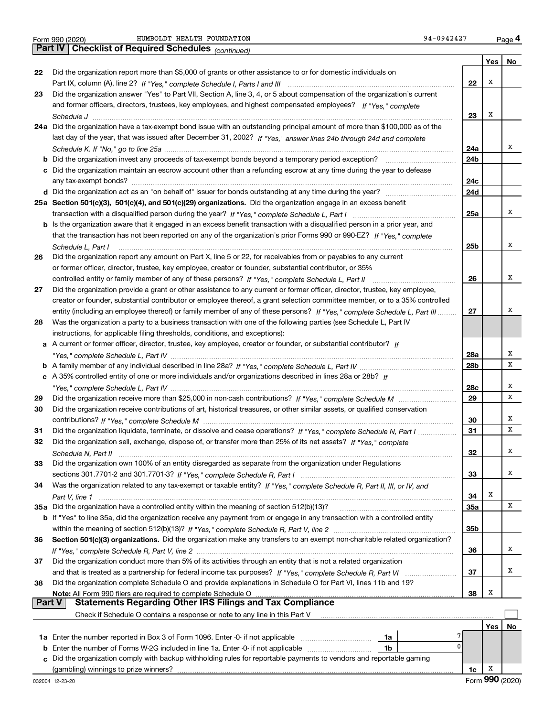**Yes No 22**Did the organization report more than \$5,000 of grants or other assistance to or for domestic individuals on **2324a**Did the organization have a tax-exempt bond issue with an outstanding principal amount of more than \$100,000 as of the **25aSection 501(c)(3), 501(c)(4), and 501(c)(29) organizations.**  Did the organization engage in an excess benefit **26272829303132333435a** Did the organization have a controlled entity within the meaning of section 512(b)(13)? **363738222324a24b24c24d25a 25b262728a28b28c29303132333435a35b363738b** Did the organization invest any proceeds of tax-exempt bonds beyond a temporary period exception? \_\_\_\_\_\_\_\_\_\_\_\_\_\_\_\_\_ **c**Did the organization maintain an escrow account other than a refunding escrow at any time during the year to defease **d** Did the organization act as an "on behalf of" issuer for bonds outstanding at any time during the year? \_\_\_\_\_\_\_\_\_\_\_\_\_\_\_\_\_\_\_\_\_ **b** Is the organization aware that it engaged in an excess benefit transaction with a disqualified person in a prior year, and **a** A current or former officer, director, trustee, key employee, creator or founder, or substantial contributor? If **b***If "Yes," complete Schedule L, Part IV* A family member of any individual described in line 28a? ~~~~~~~~~~~~~~~ **c***If* A 35% controlled entity of one or more individuals and/or organizations described in lines 28a or 28b? **b** If "Yes" to line 35a, did the organization receive any payment from or engage in any transaction with a controlled entity **Section 501(c)(3) organizations.** Did the organization make any transfers to an exempt non-charitable related organization? **Note:**  All Form 990 filers are required to complete Schedule O **Yes No 1a** Enter the number reported in Box 3 of Form 1096. Enter -0- if not applicable  $\ldots$  $\ldots$  $\ldots$  $\ldots$  $\ldots$ **b** Enter the number of Forms W-2G included in line 1a. Enter -0- if not applicable  $\ldots$  $\ldots$  $\ldots$  $\ldots$  ${\bf c}$  Did the organization comply with backup withholding rules for reportable payments to vendors and reportable gaming **1a1b***(continued)* **4Part IV Checklist of Required Schedules** Part IX, column (A), line 2? H "Yes," complete Schedule I, Parts I and III **www.www.www.www.www.www.www.ww** *If "Yes," complete* and former officers, directors, trustees, key employees, and highest compensated employees? *Schedule J* last day of the year, that was issued after December 31, 2002? If "Yes," answer lines 24b through 24d and complete *Schedule K. If "No," go to line 25a* ~~~~~~~~~~~~~~~~~~~~~~~~~~~~~~~~~~~~~~~~~~~~~ transaction with a disqualified person during the year? If "Yes," complete Schedule L, Part I multimated and the *If "Yes," complete* that the transaction has not been reported on any of the organization's prior Forms 990 or 990-EZ? *Schedule L, Part I* controlled entity or family member of any of these persons?  $H$  "Yes," complete Schedule L, Part II www.www.www.www. entity (including an employee thereof) or family member of any of these persons? If "Yes," c*omplete Schedule L, Part III* ......... *"Yes," complete Schedule L, Part IV* ~~~~~~~~~~~~~~~~~~~~~~~~~~~~~~~~~~~~~~~~~~~~*"Yes," complete Schedule L, Part IV* ~~~~~~~~~~~~~~~~~~~~~~~~~~~~~~~~~~~~~~~~~~~~ Did the organization receive more than \$25,000 in non-cash contributions? If "Yes," complete Schedule M ........................... *If "Yes," complete Schedule M* contributions? ~~~~~~~~~~~~~~~~~~~~~~~~~~~~~~~~~~~~~~~ Did the organization liquidate, terminate, or dissolve and cease operations? If "Yes," c*omplete Schedule N, Part I If "Yes," complete* Did the organization sell, exchange, dispose of, or transfer more than 25% of its net assets? *Schedule N, Part II* ~~~~~~~~~~~~~~~~~~~~~~~~~~~~~~~~~~~~~~~~~~~~~~~~~~~~ *If "Yes," complete Schedule R, Part I* sections 301.7701-2 and 301.7701-3? ~~~~~~~~~~~~~~~~~~~~~~~~ Was the organization related to any tax-exempt or taxable entity? If "Yes," complete Schedule R, Part II, III, or IV, and *Part V, line 1* within the meaning of section 512(b)(13)? If "Yes," complete Schedule R, Part V, line 2 ……………………………………………… If "Yes," complete Schedule R, Part V, line 2 …………………………………………………………………………………………… and that is treated as a partnership for federal income tax purposes? *H* "Yes," complete Schedule R, Part VI ......................... Form 990 (2020) HUMBOLDT HEALTH FOUNDATION 94-0942427 Page Did the organization answer "Yes" to Part VII, Section A, line 3, 4, or 5 about compensation of the organization's current ~~~~~~~~~~~~~~~~~~~~~~~~~~~~~~~~~~~~~~~~~~~~~~~~~~~~~~~~any tax-exempt bonds? ~~~~~~~~~~~~~~~~~~~~~~~~~~~~~~~~~~~~~~~~~~~~~~~~~~ Did the organization report any amount on Part X, line 5 or 22, for receivables from or payables to any current or former officer, director, trustee, key employee, creator or founder, substantial contributor, or 35% Did the organization provide a grant or other assistance to any current or former officer, director, trustee, key employee, creator or founder, substantial contributor or employee thereof, a grant selection committee member, or to a 35% controlled Was the organization a party to a business transaction with one of the following parties (see Schedule L, Part IV instructions, for applicable filing thresholds, conditions, and exceptions): Did the organization receive contributions of art, historical treasures, or other similar assets, or qualified conservation Did the organization own 100% of an entity disregarded as separate from the organization under Regulations Did the organization conduct more than 5% of its activities through an entity that is not a related organization Did the organization complete Schedule O and provide explanations in Schedule O for Part VI, lines 11b and 19? Check if Schedule O contains a response or note to any line in this Part V (gambling) winnings to prize winners? **Part V** Statements Regarding Other IRS Filings and Tax Compliance  $\mathcal{L}^{\text{max}}$ XXXXXXXXXXXX7 $\overline{0}$ XXXXXXXXX

**1c**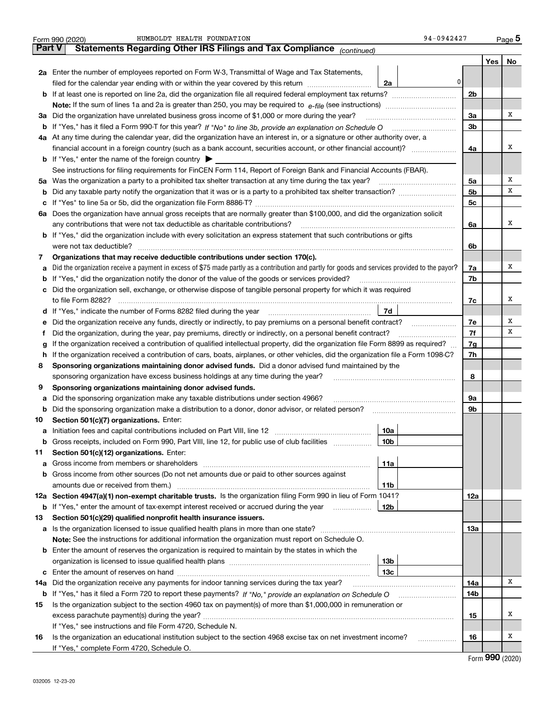|          | HUMBOLDT HEALTH FOUNDATION<br>94-0942427<br>Form 990 (2020)                                                                                                                              |                |     | $_{\text{Page}}$ 5 |
|----------|------------------------------------------------------------------------------------------------------------------------------------------------------------------------------------------|----------------|-----|--------------------|
| ∣ Part V | Statements Regarding Other IRS Filings and Tax Compliance (continued)                                                                                                                    |                |     |                    |
|          |                                                                                                                                                                                          |                | Yes | No                 |
|          | 2a Enter the number of employees reported on Form W-3, Transmittal of Wage and Tax Statements,                                                                                           |                |     |                    |
|          | 0<br>filed for the calendar year ending with or within the year covered by this return [11] [11] filed for the calendar year ending with or within the year covered by this return<br>2a |                |     |                    |
|          | <b>b</b> If at least one is reported on line 2a, did the organization file all required federal employment tax returns?                                                                  | 2 <sub>b</sub> |     |                    |
|          | <b>Note:</b> If the sum of lines 1a and 2a is greater than 250, you may be required to $e$ -file (see instructions) <i>manimummmmmm</i>                                                  |                |     |                    |
|          | 3a Did the organization have unrelated business gross income of \$1,000 or more during the year?                                                                                         | 3a             |     | x                  |
|          | b If "Yes," has it filed a Form 990-T for this year? If "No" to line 3b, provide an explanation on Schedule O                                                                            | 3b             |     |                    |
|          | 4a At any time during the calendar year, did the organization have an interest in, or a signature or other authority over, a                                                             |                |     |                    |
|          | financial account in a foreign country (such as a bank account, securities account, or other financial account)?                                                                         | 4a             |     | x                  |
|          | <b>b</b> If "Yes," enter the name of the foreign country $\triangleright$                                                                                                                |                |     |                    |
|          | See instructions for filing requirements for FinCEN Form 114, Report of Foreign Bank and Financial Accounts (FBAR).                                                                      |                |     |                    |
|          | 5a Was the organization a party to a prohibited tax shelter transaction at any time during the tax year?                                                                                 | 5a             |     | х                  |
| b        |                                                                                                                                                                                          | 5 <sub>b</sub> |     | х                  |
| c        |                                                                                                                                                                                          | 5c             |     |                    |
| 6a       | Does the organization have annual gross receipts that are normally greater than \$100,000, and did the organization solicit                                                              |                |     |                    |
|          | any contributions that were not tax deductible as charitable contributions?                                                                                                              | 6a             |     | x                  |
|          | b If "Yes," did the organization include with every solicitation an express statement that such contributions or gifts                                                                   |                |     |                    |
|          | were not tax deductible?                                                                                                                                                                 | 6b             |     |                    |
| 7        | Organizations that may receive deductible contributions under section 170(c).                                                                                                            |                |     |                    |
|          | a Did the organization receive a payment in excess of \$75 made partly as a contribution and partly for goods and services provided to the payor?                                        | 7a             |     | x                  |
| b        | If "Yes," did the organization notify the donor of the value of the goods or services provided?                                                                                          | 7b             |     |                    |
| c        | Did the organization sell, exchange, or otherwise dispose of tangible personal property for which it was required                                                                        |                |     |                    |
|          | to file Form 8282?                                                                                                                                                                       | 7c             |     | x                  |
|          | 7d<br>d If "Yes," indicate the number of Forms 8282 filed during the year                                                                                                                |                |     |                    |
| е        | Did the organization receive any funds, directly or indirectly, to pay premiums on a personal benefit contract?                                                                          | 7e             |     | x                  |
| f        | Did the organization, during the year, pay premiums, directly or indirectly, on a personal benefit contract?                                                                             | 7f             |     | х                  |
| g        | If the organization received a contribution of qualified intellectual property, did the organization file Form 8899 as required?                                                         | 7g             |     |                    |
| h.       | If the organization received a contribution of cars, boats, airplanes, or other vehicles, did the organization file a Form 1098-C?                                                       | 7h             |     |                    |
| 8        | Sponsoring organizations maintaining donor advised funds. Did a donor advised fund maintained by the                                                                                     |                |     |                    |
|          | sponsoring organization have excess business holdings at any time during the year?                                                                                                       | 8              |     |                    |
| 9        | Sponsoring organizations maintaining donor advised funds.                                                                                                                                |                |     |                    |
| а        | Did the sponsoring organization make any taxable distributions under section 4966?                                                                                                       | 9а             |     |                    |
| b        | Did the sponsoring organization make a distribution to a donor, donor advisor, or related person?                                                                                        | 9b             |     |                    |
| 10       | Section 501(c)(7) organizations. Enter:                                                                                                                                                  |                |     |                    |
|          | 10a<br><b>a</b> Initiation fees and capital contributions included on Part VIII, line 12 <i>manuarrouus</i> manuations of                                                                |                |     |                    |
|          | <b>b</b> Gross receipts, included on Form 990, Part VIII, line 12, for public use of club facilities<br>10b                                                                              |                |     |                    |
| 11       | Section 501(c)(12) organizations. Enter:                                                                                                                                                 |                |     |                    |
| a        | 11a<br>Gross income from members or shareholders                                                                                                                                         |                |     |                    |
| b        | Gross income from other sources (Do not net amounts due or paid to other sources against                                                                                                 |                |     |                    |
|          | amounts due or received from them.)<br>11b                                                                                                                                               |                |     |                    |
| 12a      | Section 4947(a)(1) non-exempt charitable trusts. Is the organization filing Form 990 in lieu of Form 1041?                                                                               | 12a            |     |                    |
| b        | If "Yes," enter the amount of tax-exempt interest received or accrued during the year<br>12b                                                                                             |                |     |                    |
| 13       | Section 501(c)(29) qualified nonprofit health insurance issuers.                                                                                                                         |                |     |                    |
|          |                                                                                                                                                                                          | 13a            |     |                    |
|          | Note: See the instructions for additional information the organization must report on Schedule O.                                                                                        |                |     |                    |
| b        | Enter the amount of reserves the organization is required to maintain by the states in which the                                                                                         |                |     |                    |
|          | 13 <sub>b</sub>                                                                                                                                                                          |                |     |                    |
| с        | 13с                                                                                                                                                                                      |                |     | х                  |
| 14a      | Did the organization receive any payments for indoor tanning services during the tax year?                                                                                               | 14a            |     |                    |
| b        |                                                                                                                                                                                          | 14b            |     |                    |
| 15       | Is the organization subject to the section 4960 tax on payment(s) of more than \$1,000,000 in remuneration or                                                                            |                |     | x                  |
|          |                                                                                                                                                                                          | 15             |     |                    |
|          | If "Yes," see instructions and file Form 4720, Schedule N.                                                                                                                               |                |     | х                  |
| 16       | Is the organization an educational institution subject to the section 4968 excise tax on net investment income?<br>.                                                                     | 16             |     |                    |
|          | If "Yes," complete Form 4720, Schedule O.                                                                                                                                                |                |     |                    |

|  | Form 990 (2020) |
|--|-----------------|
|--|-----------------|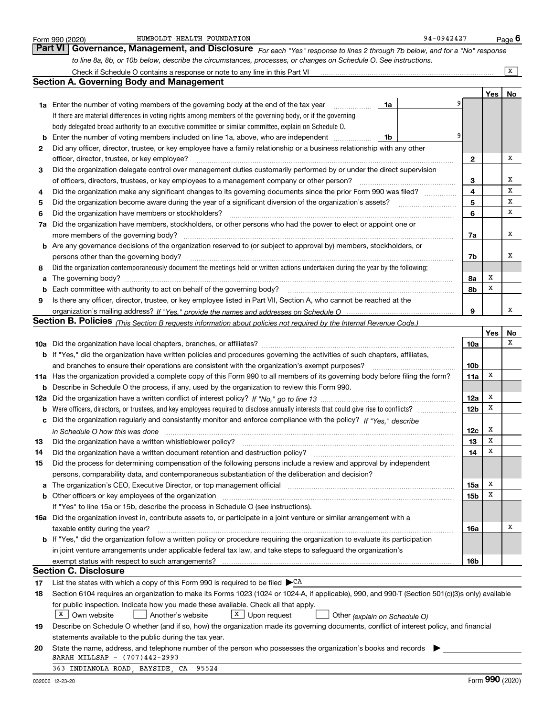|    | HUMBOLDT HEALTH FOUNDATION<br>Form 990 (2020)                                                                                                                         | 94-0942427      |        | Page $6$ |
|----|-----------------------------------------------------------------------------------------------------------------------------------------------------------------------|-----------------|--------|----------|
|    | <b>Part VI</b><br>Governance, Management, and Disclosure For each "Yes" response to lines 2 through 7b below, and for a "No" response                                 |                 |        |          |
|    | to line 8a, 8b, or 10b below, describe the circumstances, processes, or changes on Schedule O. See instructions.                                                      |                 |        |          |
|    |                                                                                                                                                                       |                 |        | x        |
|    | <b>Section A. Governing Body and Management</b>                                                                                                                       |                 |        |          |
|    |                                                                                                                                                                       |                 | Yes    | No       |
|    | 1a<br><b>1a</b> Enter the number of voting members of the governing body at the end of the tax year                                                                   |                 |        |          |
|    | If there are material differences in voting rights among members of the governing body, or if the governing                                                           |                 |        |          |
|    | body delegated broad authority to an executive committee or similar committee, explain on Schedule O.                                                                 |                 |        |          |
| b  | Enter the number of voting members included on line 1a, above, who are independent <i>management</i><br>1b                                                            | 9               |        |          |
| 2  | Did any officer, director, trustee, or key employee have a family relationship or a business relationship with any other                                              |                 |        |          |
|    | officer, director, trustee, or key employee?                                                                                                                          | 2               |        | x        |
| 3  | Did the organization delegate control over management duties customarily performed by or under the direct supervision                                                 |                 |        |          |
|    | of officers, directors, trustees, or key employees to a management company or other person?                                                                           | 3               |        | х        |
| 4  | Did the organization make any significant changes to its governing documents since the prior Form 990 was filed?                                                      | 4               |        | X        |
| 5  | Did the organization become aware during the year of a significant diversion of the organization's assets?                                                            | 5               |        | х        |
| 6  | Did the organization have members or stockholders?                                                                                                                    | 6               |        | х        |
|    | 7a Did the organization have members, stockholders, or other persons who had the power to elect or appoint one or                                                     |                 |        |          |
|    | more members of the governing body?                                                                                                                                   | 7a              |        | х        |
|    | <b>b</b> Are any governance decisions of the organization reserved to (or subject to approval by) members, stockholders, or                                           |                 |        |          |
|    | persons other than the governing body?                                                                                                                                | 7b              |        | х        |
| 8  | Did the organization contemporaneously document the meetings held or written actions undertaken during the year by the following:                                     |                 |        |          |
| a  |                                                                                                                                                                       | 8a              | х<br>х |          |
| b  | Each committee with authority to act on behalf of the governing body?                                                                                                 | 8b              |        |          |
| 9  | Is there any officer, director, trustee, or key employee listed in Part VII, Section A, who cannot be reached at the                                                  | 9               |        | x        |
|    | Section B. Policies <sub>(This</sub> Section B requests information about policies not required by the Internal Revenue Code.)                                        |                 |        |          |
|    |                                                                                                                                                                       |                 | Yes    | No       |
|    |                                                                                                                                                                       | 10a             |        | х        |
|    | <b>b</b> If "Yes," did the organization have written policies and procedures governing the activities of such chapters, affiliates,                                   |                 |        |          |
|    | and branches to ensure their operations are consistent with the organization's exempt purposes?                                                                       | 10 <sub>b</sub> |        |          |
|    | 11a Has the organization provided a complete copy of this Form 990 to all members of its governing body before filing the form?                                       | 11a             | х      |          |
|    | <b>b</b> Describe in Schedule O the process, if any, used by the organization to review this Form 990.                                                                |                 |        |          |
|    |                                                                                                                                                                       | 12a             | Х      |          |
|    | <b>b</b> Were officers, directors, or trustees, and key employees required to disclose annually interests that could give rise to conflicts?                          | 12 <sub>b</sub> | х      |          |
|    | c Did the organization regularly and consistently monitor and enforce compliance with the policy? If "Yes," describe                                                  |                 |        |          |
|    | in Schedule O how this was done manufactured and continuum and contained and contained and contained and conta                                                        | 12c             | х      |          |
| 13 | Did the organization have a written whistleblower policy?                                                                                                             | 13              | x      |          |
| 14 | Did the organization have a written document retention and destruction policy?                                                                                        | 14              | х      |          |
| 15 | Did the process for determining compensation of the following persons include a review and approval by independent                                                    |                 |        |          |
|    | persons, comparability data, and contemporaneous substantiation of the deliberation and decision?                                                                     |                 |        |          |
| a  | The organization's CEO, Executive Director, or top management official manufactured content of the organization's CEO, Executive Director, or top management official | 15a             | х      |          |
| b  | Other officers or key employees of the organization manufaction manufacture of the contraction of the organization                                                    | 15b             | х      |          |
|    | If "Yes" to line 15a or 15b, describe the process in Schedule O (see instructions).                                                                                   |                 |        |          |
|    | 16a Did the organization invest in, contribute assets to, or participate in a joint venture or similar arrangement with a                                             |                 |        |          |
|    | taxable entity during the year?                                                                                                                                       | 16a             |        | х        |
|    | <b>b</b> If "Yes," did the organization follow a written policy or procedure requiring the organization to evaluate its participation                                 |                 |        |          |
|    | in joint venture arrangements under applicable federal tax law, and take steps to safeguard the organization's                                                        |                 |        |          |
|    | exempt status with respect to such arrangements?<br><b>Section C. Disclosure</b>                                                                                      | 16b             |        |          |
| 17 | List the states with which a copy of this Form 990 is required to be filed $\blacktriangleright$ CA                                                                   |                 |        |          |
| 18 | Section 6104 requires an organization to make its Forms 1023 (1024 or 1024-A, if applicable), 990, and 990-T (Section 501(c)(3)s only) available                      |                 |        |          |
|    | for public inspection. Indicate how you made these available. Check all that apply.                                                                                   |                 |        |          |
|    | $X$ Own website<br>  X  <br>Another's website<br>Upon request<br>Other (explain on Schedule O)                                                                        |                 |        |          |
| 19 | Describe on Schedule O whether (and if so, how) the organization made its governing documents, conflict of interest policy, and financial                             |                 |        |          |
|    | statements available to the public during the tax year.                                                                                                               |                 |        |          |
| 20 | State the name, address, and telephone number of the person who possesses the organization's books and records                                                        |                 |        |          |
|    | SARAH MILLSAP - (707)442-2993                                                                                                                                         |                 |        |          |
|    | 363 INDIANOLA ROAD, BAYSIDE, CA<br>95524                                                                                                                              |                 |        |          |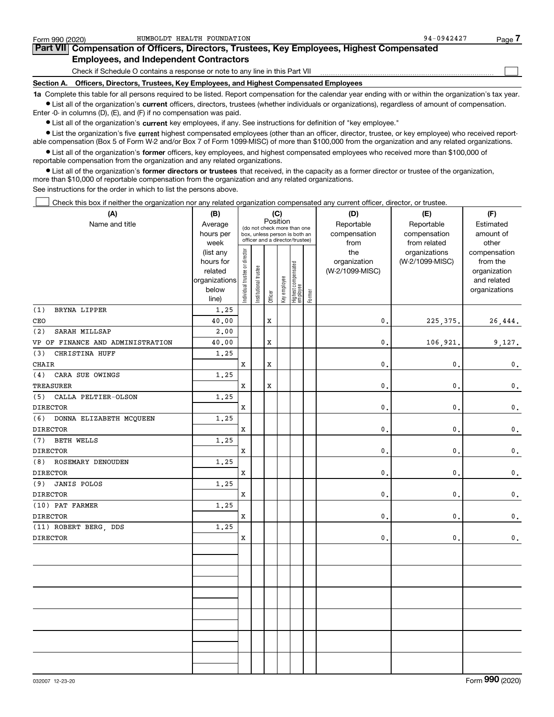| Form 990 (2020)                                                                                                                                            | HUMBOLDT HEALTH FOUNDATION                                                                 | $94 - 0942427$ | Page |  |  |  |  |  |  |
|------------------------------------------------------------------------------------------------------------------------------------------------------------|--------------------------------------------------------------------------------------------|----------------|------|--|--|--|--|--|--|
|                                                                                                                                                            | Part VII Compensation of Officers, Directors, Trustees, Key Employees, Highest Compensated |                |      |  |  |  |  |  |  |
|                                                                                                                                                            | <b>Employees, and Independent Contractors</b>                                              |                |      |  |  |  |  |  |  |
|                                                                                                                                                            | Check if Schedule O contains a response or note to any line in this Part VII               |                |      |  |  |  |  |  |  |
|                                                                                                                                                            | Section A. Officers, Directors, Trustees, Key Employees, and Highest Compensated Employees |                |      |  |  |  |  |  |  |
| 1a Complete this table for all persons required to be listed. Report compensation for the calendar year ending with or within the organization's tax year. |                                                                                            |                |      |  |  |  |  |  |  |

**•** List all of the organization's current officers, directors, trustees (whether individuals or organizations), regardless of amount of compensation. Enter -0- in columns (D), (E), and (F) if no compensation was paid.

 $\bullet$  List all of the organization's  $\,$ current key employees, if any. See instructions for definition of "key employee."

**•** List the organization's five current highest compensated employees (other than an officer, director, trustee, or key employee) who received reportable compensation (Box 5 of Form W-2 and/or Box 7 of Form 1099-MISC) of more than \$100,000 from the organization and any related organizations.

**•** List all of the organization's former officers, key employees, and highest compensated employees who received more than \$100,000 of reportable compensation from the organization and any related organizations.

**former directors or trustees**  ¥ List all of the organization's that received, in the capacity as a former director or trustee of the organization, more than \$10,000 of reportable compensation from the organization and any related organizations.

See instructions for the order in which to list the persons above.

Check this box if neither the organization nor any related organization compensated any current officer, director, or trustee.  $\mathcal{L}^{\text{max}}$ 

| (A)                              | (B)                    |                                |                                                                  |             | (C)          |                                 |        | (D)             | (E)             | (F)                          |
|----------------------------------|------------------------|--------------------------------|------------------------------------------------------------------|-------------|--------------|---------------------------------|--------|-----------------|-----------------|------------------------------|
| Name and title                   | Average                |                                | Position<br>(do not check more than one                          |             |              |                                 |        | Reportable      | Reportable      | Estimated                    |
|                                  | hours per              |                                | box, unless person is both an<br>officer and a director/trustee) |             |              |                                 |        | compensation    | compensation    | amount of                    |
|                                  | week                   |                                |                                                                  |             |              |                                 |        | from            | from related    | other                        |
|                                  | (list any              |                                |                                                                  |             |              |                                 |        | the             | organizations   | compensation                 |
|                                  | hours for              |                                |                                                                  |             |              |                                 |        | organization    | (W-2/1099-MISC) | from the                     |
|                                  | related                |                                |                                                                  |             |              |                                 |        | (W-2/1099-MISC) |                 | organization                 |
|                                  | organizations<br>below |                                |                                                                  |             |              |                                 |        |                 |                 | and related<br>organizations |
|                                  | line)                  | Individual trustee or director | Institutional trustee                                            | Officer     | Key employee | Highest compensated<br>employee | Former |                 |                 |                              |
| (1)<br>BRYNA LIPPER              | 1.25                   |                                |                                                                  |             |              |                                 |        |                 |                 |                              |
| CEO                              | 40.00                  |                                |                                                                  | $\mathbf x$ |              |                                 |        | $\mathbf{0}$ .  | 225, 375.       | 26,444.                      |
| (2)<br>SARAH MILLSAP             | 2,00                   |                                |                                                                  |             |              |                                 |        |                 |                 |                              |
| VP OF FINANCE AND ADMINISTRATION | 40.00                  |                                |                                                                  | $\mathbf x$ |              |                                 |        | $\mathbf{0}$ .  | 106,921.        | 9,127.                       |
| CHRISTINA HUFF<br>(3)            | 1.25                   |                                |                                                                  |             |              |                                 |        |                 |                 |                              |
| <b>CHAIR</b>                     |                        | X                              |                                                                  | $\mathbf x$ |              |                                 |        | $\mathbf{0}$ .  | $\mathbf{0}$    | $\mathsf{0}\,.$              |
| (4)<br>CARA SUE OWINGS           | 1.25                   |                                |                                                                  |             |              |                                 |        |                 |                 |                              |
| <b>TREASURER</b>                 |                        | X                              |                                                                  | $\mathbf x$ |              |                                 |        | $\mathbf{0}$ .  | $\mathbf{0}$    | $\mathsf{0}\,.$              |
| (5)<br>CALLA PELTIER-OLSON       | 1.25                   |                                |                                                                  |             |              |                                 |        |                 |                 |                              |
| <b>DIRECTOR</b>                  |                        | X                              |                                                                  |             |              |                                 |        | $\mathbf{0}$ .  | $\mathbf{0}$    | $\mathsf{0}\,.$              |
| (6)<br>DONNA ELIZABETH MCQUEEN   | 1.25                   |                                |                                                                  |             |              |                                 |        |                 |                 |                              |
| <b>DIRECTOR</b>                  |                        | X                              |                                                                  |             |              |                                 |        | $\mathbf{0}$ .  | $\mathbf{0}$    | $\mathbf 0$ .                |
| (7)<br><b>BETH WELLS</b>         | 1.25                   |                                |                                                                  |             |              |                                 |        |                 |                 |                              |
| <b>DIRECTOR</b>                  |                        | X                              |                                                                  |             |              |                                 |        | $\mathbf{0}$ .  | $\mathbf{0}$ .  | $\mathbf 0$ .                |
| ROSEMARY DENOUDEN<br>(8)         | 1.25                   |                                |                                                                  |             |              |                                 |        |                 |                 |                              |
| <b>DIRECTOR</b>                  |                        | X                              |                                                                  |             |              |                                 |        | $\mathbf 0$ .   | $\mathbf{0}$    | $\mathbf 0$ .                |
| <b>JANIS POLOS</b><br>(9)        | 1.25                   |                                |                                                                  |             |              |                                 |        |                 |                 |                              |
| <b>DIRECTOR</b>                  |                        | X                              |                                                                  |             |              |                                 |        | $\mathbf 0$ .   | $\mathbf{0}$    | $\mathbf 0$ .                |
| (10) PAT FARMER                  | 1.25                   |                                |                                                                  |             |              |                                 |        |                 |                 |                              |
| <b>DIRECTOR</b>                  |                        | X                              |                                                                  |             |              |                                 |        | $\mathbf{0}$ .  | $\mathbf{0}$    | $\mathsf{0}\,.$              |
| (11) ROBERT BERG, DDS            | 1.25                   |                                |                                                                  |             |              |                                 |        |                 |                 |                              |
| <b>DIRECTOR</b>                  |                        | X                              |                                                                  |             |              |                                 |        | $\mathbf 0$ .   | $\mathbf{0}$    | 0.                           |
|                                  |                        |                                |                                                                  |             |              |                                 |        |                 |                 |                              |
|                                  |                        |                                |                                                                  |             |              |                                 |        |                 |                 |                              |
|                                  |                        |                                |                                                                  |             |              |                                 |        |                 |                 |                              |
|                                  |                        |                                |                                                                  |             |              |                                 |        |                 |                 |                              |
|                                  |                        |                                |                                                                  |             |              |                                 |        |                 |                 |                              |
|                                  |                        |                                |                                                                  |             |              |                                 |        |                 |                 |                              |
|                                  |                        |                                |                                                                  |             |              |                                 |        |                 |                 |                              |
|                                  |                        |                                |                                                                  |             |              |                                 |        |                 |                 |                              |
|                                  |                        |                                |                                                                  |             |              |                                 |        |                 |                 |                              |
|                                  |                        |                                |                                                                  |             |              |                                 |        |                 |                 |                              |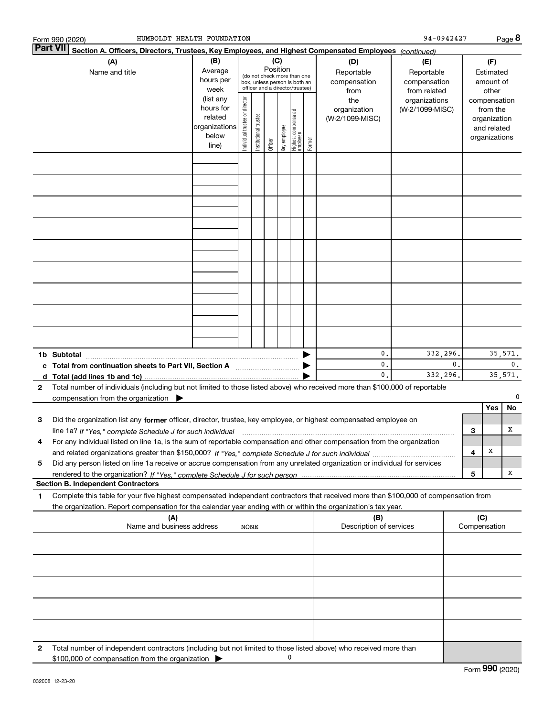|        | HUMBOLDT HEALTH FOUNDATION<br>Form 990 (2020)                                                                                                                                                                                                                |                                                                      |                               |                      |         |                                                                                                        |                                 |        |                                        | 94-0942427                       |                                           |                                                   |                                                                          | Page 8                    |                                        |  |
|--------|--------------------------------------------------------------------------------------------------------------------------------------------------------------------------------------------------------------------------------------------------------------|----------------------------------------------------------------------|-------------------------------|----------------------|---------|--------------------------------------------------------------------------------------------------------|---------------------------------|--------|----------------------------------------|----------------------------------|-------------------------------------------|---------------------------------------------------|--------------------------------------------------------------------------|---------------------------|----------------------------------------|--|
|        | <b>Part VII</b><br>Section A. Officers, Directors, Trustees, Key Employees, and Highest Compensated Employees (continued)                                                                                                                                    |                                                                      |                               |                      |         |                                                                                                        |                                 |        |                                        |                                  |                                           |                                                   |                                                                          |                           |                                        |  |
|        | (A)<br>Name and title                                                                                                                                                                                                                                        | (B)<br>Average<br>hours per<br>week                                  | Position                      |                      |         | (C)<br>(do not check more than one<br>box, unless person is both an<br>officer and a director/trustee) |                                 |        |                                        |                                  | (D)<br>Reportable<br>compensation<br>from | (E)<br>Reportable<br>compensation<br>from related |                                                                          |                           | (F)<br>Estimated<br>amount of<br>other |  |
|        |                                                                                                                                                                                                                                                              | (list any<br>hours for<br>related<br>organizations<br>below<br>line) | ndividual trustee or director | nstitutional trustee | Officer | Key employee                                                                                           | Highest compensated<br>employee | Former | the<br>organization<br>(W-2/1099-MISC) | organizations<br>(W-2/1099-MISC) |                                           |                                                   | compensation<br>from the<br>organization<br>and related<br>organizations |                           |                                        |  |
|        |                                                                                                                                                                                                                                                              |                                                                      |                               |                      |         |                                                                                                        |                                 |        |                                        |                                  |                                           |                                                   |                                                                          |                           |                                        |  |
|        |                                                                                                                                                                                                                                                              |                                                                      |                               |                      |         |                                                                                                        |                                 |        |                                        |                                  |                                           |                                                   |                                                                          |                           |                                        |  |
|        |                                                                                                                                                                                                                                                              |                                                                      |                               |                      |         |                                                                                                        |                                 |        |                                        |                                  |                                           |                                                   |                                                                          |                           |                                        |  |
|        |                                                                                                                                                                                                                                                              |                                                                      |                               |                      |         |                                                                                                        |                                 |        |                                        |                                  |                                           |                                                   |                                                                          |                           |                                        |  |
|        |                                                                                                                                                                                                                                                              |                                                                      |                               |                      |         |                                                                                                        |                                 |        |                                        |                                  |                                           |                                                   |                                                                          |                           |                                        |  |
|        |                                                                                                                                                                                                                                                              |                                                                      |                               |                      |         |                                                                                                        |                                 |        |                                        |                                  |                                           |                                                   |                                                                          |                           |                                        |  |
|        |                                                                                                                                                                                                                                                              |                                                                      |                               |                      |         |                                                                                                        |                                 |        |                                        |                                  |                                           |                                                   |                                                                          |                           |                                        |  |
|        |                                                                                                                                                                                                                                                              |                                                                      |                               |                      |         |                                                                                                        |                                 |        |                                        |                                  |                                           |                                                   |                                                                          |                           |                                        |  |
|        |                                                                                                                                                                                                                                                              |                                                                      |                               |                      |         |                                                                                                        |                                 |        |                                        |                                  |                                           |                                                   |                                                                          |                           |                                        |  |
|        | 1b Subtotal<br>c Total from continuation sheets to Part VII, Section A                                                                                                                                                                                       |                                                                      |                               |                      |         |                                                                                                        |                                 |        | 0.<br>0.                               | 332,296.                         | $\mathbf{0}$ .                            |                                                   |                                                                          | 35,571.<br>$\mathbf{0}$ . |                                        |  |
| d<br>2 | Total number of individuals (including but not limited to those listed above) who received more than \$100,000 of reportable                                                                                                                                 |                                                                      |                               |                      |         |                                                                                                        |                                 |        | 0.                                     | 332,296.                         |                                           |                                                   |                                                                          | 35,571.                   |                                        |  |
|        | compensation from the organization $\blacktriangleright$                                                                                                                                                                                                     |                                                                      |                               |                      |         |                                                                                                        |                                 |        |                                        |                                  |                                           |                                                   | Yes                                                                      | No                        |                                        |  |
| 3      | Did the organization list any former officer, director, trustee, key employee, or highest compensated employee on<br>line 1a? If "Yes," complete Schedule J for such individual manufactured contained and the Ves," complete Schedule J for such individual |                                                                      |                               |                      |         |                                                                                                        |                                 |        |                                        |                                  |                                           | 3                                                 |                                                                          | х                         |                                        |  |
| 4      | For any individual listed on line 1a, is the sum of reportable compensation and other compensation from the organization                                                                                                                                     |                                                                      |                               |                      |         |                                                                                                        |                                 |        |                                        |                                  |                                           | 4                                                 | Х                                                                        |                           |                                        |  |
| 5      | Did any person listed on line 1a receive or accrue compensation from any unrelated organization or individual for services                                                                                                                                   |                                                                      |                               |                      |         |                                                                                                        |                                 |        |                                        |                                  |                                           | 5                                                 |                                                                          | x                         |                                        |  |
|        | <b>Section B. Independent Contractors</b>                                                                                                                                                                                                                    |                                                                      |                               |                      |         |                                                                                                        |                                 |        |                                        |                                  |                                           |                                                   |                                                                          |                           |                                        |  |
| 1      | Complete this table for your five highest compensated independent contractors that received more than \$100,000 of compensation from<br>the organization. Report compensation for the calendar year ending with or within the organization's tax year.       |                                                                      |                               |                      |         |                                                                                                        |                                 |        |                                        |                                  |                                           |                                                   |                                                                          |                           |                                        |  |
|        | (A)<br>Name and business address                                                                                                                                                                                                                             |                                                                      | <b>NONE</b>                   |                      |         |                                                                                                        |                                 |        | (B)<br>Description of services         |                                  |                                           | (C)<br>Compensation                               |                                                                          |                           |                                        |  |
|        |                                                                                                                                                                                                                                                              |                                                                      |                               |                      |         |                                                                                                        |                                 |        |                                        |                                  |                                           |                                                   |                                                                          |                           |                                        |  |
|        |                                                                                                                                                                                                                                                              |                                                                      |                               |                      |         |                                                                                                        |                                 |        |                                        |                                  |                                           |                                                   |                                                                          |                           |                                        |  |
|        |                                                                                                                                                                                                                                                              |                                                                      |                               |                      |         |                                                                                                        |                                 |        |                                        |                                  |                                           |                                                   |                                                                          |                           |                                        |  |
|        |                                                                                                                                                                                                                                                              |                                                                      |                               |                      |         |                                                                                                        |                                 |        |                                        |                                  |                                           |                                                   |                                                                          |                           |                                        |  |
|        |                                                                                                                                                                                                                                                              |                                                                      |                               |                      |         |                                                                                                        |                                 |        |                                        |                                  |                                           |                                                   |                                                                          |                           |                                        |  |
| 2      | Total number of independent contractors (including but not limited to those listed above) who received more than<br>\$100,000 of compensation from the organization                                                                                          |                                                                      |                               |                      |         | 0                                                                                                      |                                 |        |                                        |                                  |                                           |                                                   |                                                                          |                           |                                        |  |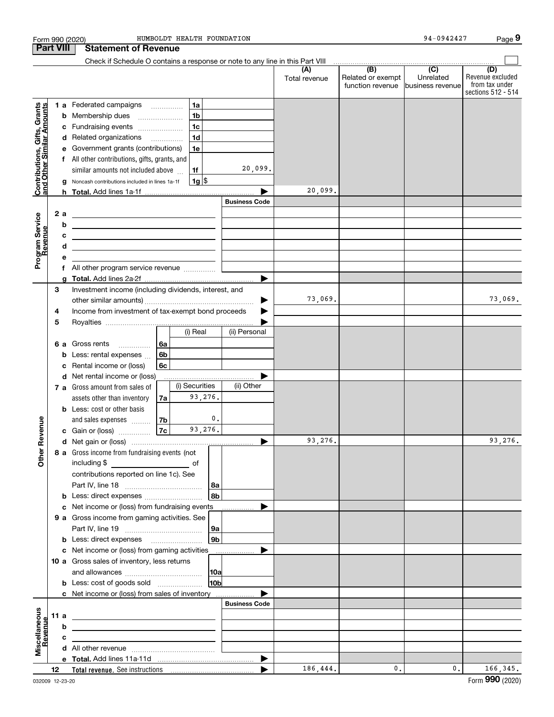|                                                           |                  |   | Form 990 (2020)                                                                       |                |                |                            | HUMBOLDT HEALTH FOUNDATION |                      |                                                                                                                                                                                                                                                                                                                                                                                                                             | 94-0942427                    | Page 9                                                          |
|-----------------------------------------------------------|------------------|---|---------------------------------------------------------------------------------------|----------------|----------------|----------------------------|----------------------------|----------------------|-----------------------------------------------------------------------------------------------------------------------------------------------------------------------------------------------------------------------------------------------------------------------------------------------------------------------------------------------------------------------------------------------------------------------------|-------------------------------|-----------------------------------------------------------------|
|                                                           | <b>Part VIII</b> |   | <b>Statement of Revenue</b>                                                           |                |                |                            |                            |                      |                                                                                                                                                                                                                                                                                                                                                                                                                             |                               |                                                                 |
|                                                           |                  |   | Check if Schedule O contains a response or note to any line in this Part VIII         |                |                |                            |                            |                      | $\begin{array}{c c c c c c c} \hline \textbf{(B)} & \textbf{(C)} & \textbf{1} & \textbf{1} & \textbf{1} & \textbf{1} & \textbf{1} & \textbf{1} & \textbf{1} & \textbf{1} & \textbf{1} & \textbf{1} & \textbf{1} & \textbf{1} & \textbf{1} & \textbf{1} & \textbf{1} & \textbf{1} & \textbf{1} & \textbf{1} & \textbf{1} & \textbf{1} & \textbf{1} & \textbf{1} & \textbf{1} & \textbf{1} & \textbf{1} & \textbf{1} & \text$ |                               |                                                                 |
|                                                           |                  |   |                                                                                       |                |                |                            |                            | (A)<br>Total revenue | Related or exempt<br>function revenue                                                                                                                                                                                                                                                                                                                                                                                       | Unrelated<br>business revenue | (D)<br>Revenue excluded<br>from tax under<br>sections 512 - 514 |
|                                                           |                  |   | 1 a Federated campaigns                                                               |                | 1a             |                            |                            |                      |                                                                                                                                                                                                                                                                                                                                                                                                                             |                               |                                                                 |
| Contributions, Gifts, Grants<br>and Other Similar Amounts |                  | b | Membership dues<br>$\overline{\phantom{a}}$                                           |                |                | 1 <sub>b</sub>             |                            |                      |                                                                                                                                                                                                                                                                                                                                                                                                                             |                               |                                                                 |
|                                                           |                  | с | Fundraising events                                                                    |                | 1 <sub>c</sub> |                            |                            |                      |                                                                                                                                                                                                                                                                                                                                                                                                                             |                               |                                                                 |
|                                                           |                  |   | d Related organizations                                                               |                |                | 1 <sub>d</sub>             |                            |                      |                                                                                                                                                                                                                                                                                                                                                                                                                             |                               |                                                                 |
|                                                           |                  | е | Government grants (contributions)                                                     |                |                | 1e                         |                            |                      |                                                                                                                                                                                                                                                                                                                                                                                                                             |                               |                                                                 |
|                                                           |                  |   | f All other contributions, gifts, grants, and                                         |                |                |                            |                            |                      |                                                                                                                                                                                                                                                                                                                                                                                                                             |                               |                                                                 |
|                                                           |                  |   | similar amounts not included above                                                    |                | 1f             |                            | 20,099.                    |                      |                                                                                                                                                                                                                                                                                                                                                                                                                             |                               |                                                                 |
|                                                           |                  | g | Noncash contributions included in lines 1a-1f                                         |                |                | 1g                         |                            |                      |                                                                                                                                                                                                                                                                                                                                                                                                                             |                               |                                                                 |
|                                                           |                  |   |                                                                                       |                |                |                            |                            | 20,099.              |                                                                                                                                                                                                                                                                                                                                                                                                                             |                               |                                                                 |
|                                                           |                  |   |                                                                                       |                |                |                            | <b>Business Code</b>       |                      |                                                                                                                                                                                                                                                                                                                                                                                                                             |                               |                                                                 |
|                                                           | 2a               |   | <u>experience</u> and the contract of the contract of the contract of the contract of |                |                |                            |                            |                      |                                                                                                                                                                                                                                                                                                                                                                                                                             |                               |                                                                 |
|                                                           |                  | b | <u> 1989 - Andrea Stadt Britain, amerikansk politik (</u>                             |                |                |                            |                            |                      |                                                                                                                                                                                                                                                                                                                                                                                                                             |                               |                                                                 |
| Program Service<br>Revenue                                |                  | с | <u> 1989 - Andrea Stadt Britain, amerikansk politiker (</u>                           |                |                |                            |                            |                      |                                                                                                                                                                                                                                                                                                                                                                                                                             |                               |                                                                 |
|                                                           |                  | d | <u> 1989 - Johann Barn, amerikansk politiker (d. 1989)</u>                            |                |                |                            |                            |                      |                                                                                                                                                                                                                                                                                                                                                                                                                             |                               |                                                                 |
|                                                           |                  | е |                                                                                       |                |                |                            |                            |                      |                                                                                                                                                                                                                                                                                                                                                                                                                             |                               |                                                                 |
|                                                           |                  | f | All other program service revenue                                                     |                |                |                            |                            |                      |                                                                                                                                                                                                                                                                                                                                                                                                                             |                               |                                                                 |
|                                                           |                  | g |                                                                                       |                |                |                            |                            |                      |                                                                                                                                                                                                                                                                                                                                                                                                                             |                               |                                                                 |
|                                                           | 3                |   | Investment income (including dividends, interest, and                                 |                |                |                            |                            | 73,069.              |                                                                                                                                                                                                                                                                                                                                                                                                                             |                               |                                                                 |
|                                                           |                  |   |                                                                                       |                |                |                            |                            |                      |                                                                                                                                                                                                                                                                                                                                                                                                                             |                               | 73,069.                                                         |
|                                                           | 4                |   | Income from investment of tax-exempt bond proceeds                                    |                |                |                            |                            |                      |                                                                                                                                                                                                                                                                                                                                                                                                                             |                               |                                                                 |
|                                                           | 5                |   |                                                                                       |                |                | (i) Real                   | (ii) Personal              |                      |                                                                                                                                                                                                                                                                                                                                                                                                                             |                               |                                                                 |
|                                                           |                  |   |                                                                                       |                |                |                            |                            |                      |                                                                                                                                                                                                                                                                                                                                                                                                                             |                               |                                                                 |
|                                                           |                  |   | 6 a Gross rents                                                                       | 6a             |                |                            |                            |                      |                                                                                                                                                                                                                                                                                                                                                                                                                             |                               |                                                                 |
|                                                           |                  | b | Less: rental expenses                                                                 | 6 <sub>b</sub> |                |                            |                            |                      |                                                                                                                                                                                                                                                                                                                                                                                                                             |                               |                                                                 |
|                                                           |                  | с | Rental income or (loss)                                                               | 6c             |                |                            |                            |                      |                                                                                                                                                                                                                                                                                                                                                                                                                             |                               |                                                                 |
|                                                           |                  |   | d Net rental income or (loss)                                                         |                |                | <u>.</u><br>(i) Securities | (ii) Other                 |                      |                                                                                                                                                                                                                                                                                                                                                                                                                             |                               |                                                                 |
|                                                           |                  |   | 7 a Gross amount from sales of                                                        |                |                | 93,276.                    |                            |                      |                                                                                                                                                                                                                                                                                                                                                                                                                             |                               |                                                                 |
|                                                           |                  |   | assets other than inventory                                                           | 7a             |                |                            |                            |                      |                                                                                                                                                                                                                                                                                                                                                                                                                             |                               |                                                                 |
|                                                           |                  |   | <b>b</b> Less: cost or other basis                                                    |                |                | $\mathfrak o$ .            |                            |                      |                                                                                                                                                                                                                                                                                                                                                                                                                             |                               |                                                                 |
| evenue                                                    |                  |   | and sales expenses<br>c Gain or (loss)                                                | 7b<br>7c       |                | 93,276.                    |                            |                      |                                                                                                                                                                                                                                                                                                                                                                                                                             |                               |                                                                 |
|                                                           |                  |   |                                                                                       |                |                |                            |                            | 93,276.              |                                                                                                                                                                                                                                                                                                                                                                                                                             |                               | 93,276.                                                         |
| Other <sub>R</sub>                                        |                  |   | 8 a Gross income from fundraising events (not                                         |                |                |                            |                            |                      |                                                                                                                                                                                                                                                                                                                                                                                                                             |                               |                                                                 |
|                                                           |                  |   |                                                                                       |                |                |                            |                            |                      |                                                                                                                                                                                                                                                                                                                                                                                                                             |                               |                                                                 |
|                                                           |                  |   | contributions reported on line 1c). See                                               |                |                |                            |                            |                      |                                                                                                                                                                                                                                                                                                                                                                                                                             |                               |                                                                 |
|                                                           |                  |   |                                                                                       |                |                | 8a                         |                            |                      |                                                                                                                                                                                                                                                                                                                                                                                                                             |                               |                                                                 |
|                                                           |                  |   | <b>b</b> Less: direct expenses <i></i>                                                |                |                | 8 <sub>b</sub>             |                            |                      |                                                                                                                                                                                                                                                                                                                                                                                                                             |                               |                                                                 |
|                                                           |                  |   | c Net income or (loss) from fundraising events                                        |                |                |                            |                            |                      |                                                                                                                                                                                                                                                                                                                                                                                                                             |                               |                                                                 |
|                                                           |                  |   | 9 a Gross income from gaming activities. See                                          |                |                |                            |                            |                      |                                                                                                                                                                                                                                                                                                                                                                                                                             |                               |                                                                 |
|                                                           |                  |   |                                                                                       |                |                | 9a                         |                            |                      |                                                                                                                                                                                                                                                                                                                                                                                                                             |                               |                                                                 |
|                                                           |                  |   | <b>b</b> Less: direct expenses <b>manually</b>                                        |                |                | 9 <sub>b</sub>             |                            |                      |                                                                                                                                                                                                                                                                                                                                                                                                                             |                               |                                                                 |
|                                                           |                  |   | c Net income or (loss) from gaming activities                                         |                |                |                            |                            |                      |                                                                                                                                                                                                                                                                                                                                                                                                                             |                               |                                                                 |
|                                                           |                  |   | 10 a Gross sales of inventory, less returns                                           |                |                |                            |                            |                      |                                                                                                                                                                                                                                                                                                                                                                                                                             |                               |                                                                 |
|                                                           |                  |   |                                                                                       |                |                | 10a                        |                            |                      |                                                                                                                                                                                                                                                                                                                                                                                                                             |                               |                                                                 |
|                                                           |                  |   | <b>b</b> Less: cost of goods sold                                                     |                |                | 10 <sub>b</sub>            |                            |                      |                                                                                                                                                                                                                                                                                                                                                                                                                             |                               |                                                                 |
|                                                           |                  |   | c Net income or (loss) from sales of inventory                                        |                |                |                            |                            |                      |                                                                                                                                                                                                                                                                                                                                                                                                                             |                               |                                                                 |
|                                                           |                  |   |                                                                                       |                |                |                            | <b>Business Code</b>       |                      |                                                                                                                                                                                                                                                                                                                                                                                                                             |                               |                                                                 |
|                                                           | 11 a             |   | <u> 1989 - Johann John Stein, fransk politik (f. 1989)</u>                            |                |                |                            |                            |                      |                                                                                                                                                                                                                                                                                                                                                                                                                             |                               |                                                                 |
|                                                           |                  | b | <u> 1989 - Andrea Stadt Britain, amerikansk politiker (</u>                           |                |                |                            |                            |                      |                                                                                                                                                                                                                                                                                                                                                                                                                             |                               |                                                                 |
|                                                           |                  | c | <u> 1980 - Andrea Andrew Maria (h. 1980).</u>                                         |                |                |                            |                            |                      |                                                                                                                                                                                                                                                                                                                                                                                                                             |                               |                                                                 |
| Miscellaneous<br>Revenue                                  |                  |   |                                                                                       |                |                |                            |                            |                      |                                                                                                                                                                                                                                                                                                                                                                                                                             |                               |                                                                 |
|                                                           |                  |   |                                                                                       |                |                |                            |                            |                      |                                                                                                                                                                                                                                                                                                                                                                                                                             |                               |                                                                 |
|                                                           | 12               |   |                                                                                       |                |                |                            |                            | 186,444.             | 0.                                                                                                                                                                                                                                                                                                                                                                                                                          | 0.                            | 166, 345.                                                       |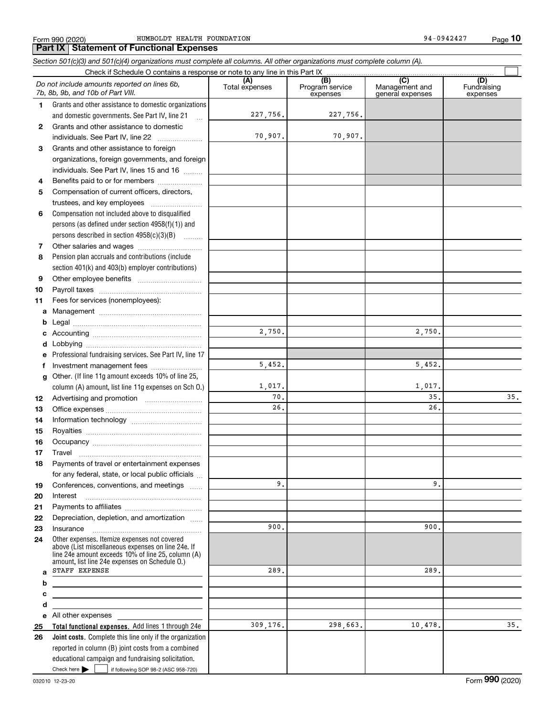Form 990 (2020) HUMBOLDT HEALTH FOUNDATION 94-0942427 Page

**10**

#### **Total functional expenses.**  Add lines 1 through 24e **Joint costs.** Complete this line only if the organization **(A)**<br>Total expenses **(B) (C) (D) 1234567891011abcdefg12131415161718192021222324abcde2526***Section 501(c)(3) and 501(c)(4) organizations must complete all columns. All other organizations must complete column (A).* Grants and other assistance to domestic organizations and domestic governments. See Part IV, line 21 Compensation not included above to disqualified persons (as defined under section 4958(f)(1)) and persons described in section 4958(c)(3)(B)  $\quad \ldots \ldots \ldots$ Pension plan accruals and contributions (include section 401(k) and 403(b) employer contributions) Professional fundraising services. See Part IV, line 17 Other. (If line 11g amount exceeds 10% of line 25, column (A) amount, list line 11g expenses on Sch O.) Other expenses. Itemize expenses not covered above (List miscellaneous expenses on line 24e. If line 24e amount exceeds 10% of line 25, column (A) amount, list line 24e expenses on Schedule O.) reported in column (B) joint costs from a combined educational campaign and fundraising solicitation. Check if Schedule O contains a response or note to any line in this Part IX Program service expensesManagement and general expenses Fundraising expensesGrants and other assistance to domestic individuals. See Part IV, line 22 ~~~~~~~ Grants and other assistance to foreign organizations, foreign governments, and foreign individuals. See Part IV, lines 15 and 16  $\ldots$ Benefits paid to or for members .................... Compensation of current officers, directors, trustees, and key employees  $\ldots$   $\ldots$   $\ldots$   $\ldots$   $\ldots$ Other salaries and wages ~~~~~~~~~~ Other employee benefits ~~~~~~~~~~ Payroll taxes ~~~~~~~~~~~~~~~~ Fees for services (nonemployees): Management ~~~~~~~~~~~~~~~~ Legal ~~~~~~~~~~~~~~~~~~~~Accounting ~~~~~~~~~~~~~~~~~ Lobbying ~~~~~~~~~~~~~~~~~~ lnvestment management fees ....................... Advertising and promotion \_\_\_\_\_\_\_\_\_\_\_\_\_\_\_\_\_\_\_ Office expenses ~~~~~~~~~~~~~~~ Information technology ~~~~~~~~~~~ Royalties ~~~~~~~~~~~~~~~~~~ Occupancy ~~~~~~~~~~~~~~~~~ Travel ……………………………………………… Payments of travel or entertainment expenses for any federal, state, or local public officials Conferences, conventions, and meetings Interest Payments to affiliates ~~~~~~~~~~~~ Depreciation, depletion, and amortization  $\,\,\ldots\,\,$ Insurance~~~~~~~~~~~~~~~~~All other expenses *Do not include amounts reported on lines 6b, 7b, 8b, 9b, and 10b of Part VIII.*  $\mathcal{L}^{\text{max}}$ 227,756. 70,907. 2,750. 1,017. 70.26.9.900.289.309,176. 5,452. 227,756. 70,907. 2,750. 5,452. 1,017. 35. 35. 26.9.900.289.298,663. 10,478. 35. STAFF EXPENSE

Check here  $\blacktriangleright$ 

Check here  $\bullet$  if following SOP 98-2 (ASC 958-720)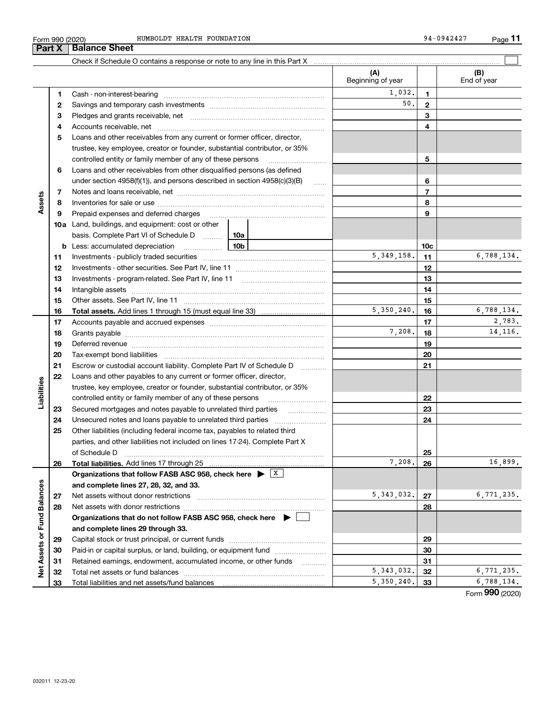÷

|                      | Form 990 (2020)<br>Part X | HUMBOLDT HEALTH FOUNDATION<br><b>Balance Sheet</b>                                                                                                                                                                             |     |                          |                 | 94-0942427         | <u>Page</u> 11 |
|----------------------|---------------------------|--------------------------------------------------------------------------------------------------------------------------------------------------------------------------------------------------------------------------------|-----|--------------------------|-----------------|--------------------|----------------|
|                      |                           | Check if Schedule O contains a response or note to any line in this Part X                                                                                                                                                     |     |                          |                 |                    |                |
|                      |                           |                                                                                                                                                                                                                                |     | (A)<br>Beginning of year |                 | (B)<br>End of year |                |
|                      |                           |                                                                                                                                                                                                                                |     |                          |                 |                    |                |
|                      | 1                         |                                                                                                                                                                                                                                |     | 1,032.                   | 1               |                    |                |
|                      | 2                         |                                                                                                                                                                                                                                |     | 50.                      | $\mathbf{2}$    |                    |                |
|                      | 3                         |                                                                                                                                                                                                                                |     |                          | 3               |                    |                |
|                      | 4                         |                                                                                                                                                                                                                                |     |                          | 4               |                    |                |
|                      | 5                         | Loans and other receivables from any current or former officer, director,                                                                                                                                                      |     |                          |                 |                    |                |
|                      |                           | trustee, key employee, creator or founder, substantial contributor, or 35%                                                                                                                                                     |     |                          |                 |                    |                |
|                      |                           | controlled entity or family member of any of these persons                                                                                                                                                                     |     |                          | 5               |                    |                |
|                      | 6                         | Loans and other receivables from other disqualified persons (as defined                                                                                                                                                        |     |                          |                 |                    |                |
|                      |                           | under section 4958(f)(1)), and persons described in section 4958(c)(3)(B)                                                                                                                                                      |     |                          | 6               |                    |                |
|                      | 7                         |                                                                                                                                                                                                                                |     |                          | $\overline{7}$  |                    |                |
| Assets               | 8                         |                                                                                                                                                                                                                                |     |                          | 8               |                    |                |
|                      | 9                         |                                                                                                                                                                                                                                |     |                          | 9               |                    |                |
|                      |                           | 10a Land, buildings, and equipment: cost or other                                                                                                                                                                              |     |                          |                 |                    |                |
|                      |                           | basis. Complete Part VI of Schedule D                                                                                                                                                                                          | 10a |                          |                 |                    |                |
|                      |                           |                                                                                                                                                                                                                                | 10b |                          |                 |                    |                |
|                      |                           | <b>b</b> Less: accumulated depreciation<br>. 1                                                                                                                                                                                 |     | 5, 349, 158.             | 10 <sub>c</sub> |                    | 6,788,134.     |
|                      | 11                        |                                                                                                                                                                                                                                |     | 11                       |                 |                    |                |
|                      | 12                        |                                                                                                                                                                                                                                |     | 12                       |                 |                    |                |
|                      | 13                        | Investments - program-related. See Part IV, line 11                                                                                                                                                                            |     |                          | 13              |                    |                |
|                      | 14                        | Intangible assets                                                                                                                                                                                                              |     |                          | 14              |                    |                |
|                      | 15                        |                                                                                                                                                                                                                                |     |                          | 15              |                    |                |
|                      | 16                        |                                                                                                                                                                                                                                |     | 5,350,240.               | 16              |                    | 6,788,134.     |
|                      | 17                        |                                                                                                                                                                                                                                |     |                          | 17              |                    | 2,783.         |
|                      | 18                        |                                                                                                                                                                                                                                |     | 7,208.                   | 18              |                    | 14, 116.       |
|                      | 19                        | Deferred revenue manual contracts and contracts are all the contracts and contracts are contracted and contracts are contracted and contract are contracted and contract are contracted and contract are contracted and contra |     |                          | 19              |                    |                |
|                      | 20                        |                                                                                                                                                                                                                                |     |                          | 20              |                    |                |
|                      | 21                        | Escrow or custodial account liability. Complete Part IV of Schedule D                                                                                                                                                          |     |                          | 21              |                    |                |
|                      | 22                        | Loans and other payables to any current or former officer, director,                                                                                                                                                           |     |                          |                 |                    |                |
| Liabilities          |                           | trustee, key employee, creator or founder, substantial contributor, or 35%                                                                                                                                                     |     |                          |                 |                    |                |
|                      |                           | controlled entity or family member of any of these persons                                                                                                                                                                     |     |                          | 22              |                    |                |
|                      | 23                        | Secured mortgages and notes payable to unrelated third parties                                                                                                                                                                 |     |                          | 23              |                    |                |
|                      | 24                        | Unsecured notes and loans payable to unrelated third parties                                                                                                                                                                   |     |                          | 24              |                    |                |
|                      | 25                        | Other liabilities (including federal income tax, payables to related third                                                                                                                                                     |     |                          |                 |                    |                |
|                      |                           | parties, and other liabilities not included on lines 17-24). Complete Part X                                                                                                                                                   |     |                          |                 |                    |                |
|                      |                           | of Schedule D                                                                                                                                                                                                                  |     |                          | 25              |                    |                |
|                      | 26                        | <b>Total liabilities.</b> Add lines 17 through 25                                                                                                                                                                              |     | 7,208.                   | 26              |                    | 16,899.        |
|                      |                           | Organizations that follow FASB ASC 958, check here $\blacktriangleright \begin{array}{c} \perp X \end{array}$                                                                                                                  |     |                          |                 |                    |                |
|                      |                           | and complete lines 27, 28, 32, and 33.                                                                                                                                                                                         |     |                          |                 |                    |                |
|                      | 27                        |                                                                                                                                                                                                                                |     | 5,343,032.               | 27              |                    | 6,771,235.     |
|                      |                           |                                                                                                                                                                                                                                |     |                          | 28              |                    |                |
|                      | 28                        |                                                                                                                                                                                                                                |     |                          |                 |                    |                |
| <b>Fund Balances</b> |                           | Organizations that do not follow FASB ASC 958, check here $\blacktriangleright$                                                                                                                                                |     |                          |                 |                    |                |
|                      |                           | and complete lines 29 through 33.                                                                                                                                                                                              |     |                          |                 |                    |                |
|                      | 29                        |                                                                                                                                                                                                                                |     |                          | 29              |                    |                |
|                      |                           |                                                                                                                                                                                                                                |     |                          | 30              |                    |                |
|                      | 30                        | Paid-in or capital surplus, or land, building, or equipment fund                                                                                                                                                               |     |                          |                 |                    |                |
| Net Assets or        | 31<br>32                  | Retained earnings, endowment, accumulated income, or other funds                                                                                                                                                               |     | 5, 343, 032.             | 31<br>32        |                    | 6,771,235.     |

**272829303132 33and complete lines 27, 28, 32, and 33. 2728Organizations that do not follow FASB ASC 958, check here** | **and complete lines 29 through 33. 2930313233**Net assets without donor restrictions ~~~~~~~~~~~~~~~~~~~~ Net assets with donor restrictions ~~~~~~~~~~~~~~~~~~~~~~ Capital stock or trust principal, or current funds ~~~~~~~~~~~~~~~ Paid-in or capital surplus, or land, building, or equipment fund www.commun.com Retained earnings, endowment, accumulated income, or other funds we have all the Total net assets or fund balances ~~~~~~~~~~~~~~~~~~~~~~ Total liabilities and net assets/fund balances 16,899. 5,343,032. 27 6,771,235. 5,343,032. 32 6,771,235.  $5,350,240.$  33 6,788,134.

Form (2020) **990**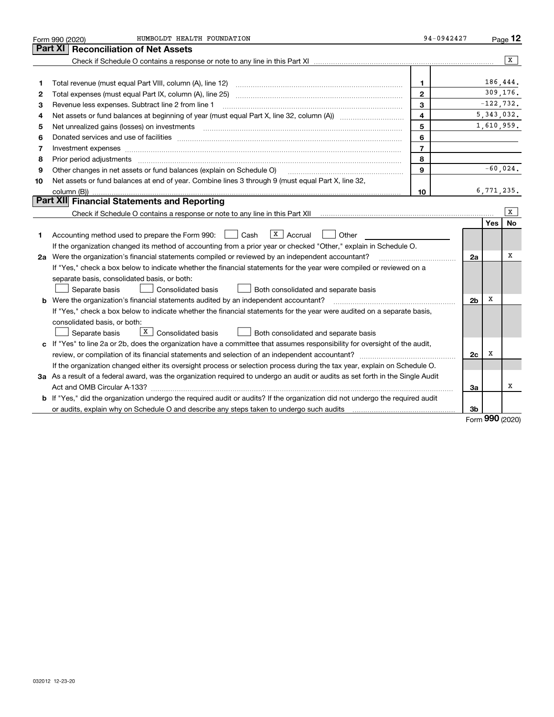|    | HUMBOLDT HEALTH FOUNDATION<br>Form 990 (2020)                                                                                                                                                                                  | 94-0942427              |                |              | Page $12$  |
|----|--------------------------------------------------------------------------------------------------------------------------------------------------------------------------------------------------------------------------------|-------------------------|----------------|--------------|------------|
|    | Part XI<br><b>Reconciliation of Net Assets</b>                                                                                                                                                                                 |                         |                |              |            |
|    |                                                                                                                                                                                                                                |                         |                |              | x          |
|    |                                                                                                                                                                                                                                |                         |                |              |            |
| 1  |                                                                                                                                                                                                                                | 1                       |                |              | 186,444.   |
| 2  |                                                                                                                                                                                                                                | $\mathbf{2}$            |                |              | 309,176.   |
| 3  | Revenue less expenses. Subtract line 2 from line 1                                                                                                                                                                             | 3                       |                | $-122, 732.$ |            |
| 4  |                                                                                                                                                                                                                                | $\overline{\mathbf{4}}$ |                | 5, 343, 032. |            |
| 5  | Net unrealized gains (losses) on investments [11] matter continuum matter of the state of the state of the state of the state of the state of the state of the state of the state of the state of the state of the state of th | 5                       |                | 1,610,959.   |            |
| 6  |                                                                                                                                                                                                                                | 6                       |                |              |            |
| 7  | Investment expenses www.communication.com/www.communication.com/www.communication.com/www.com                                                                                                                                  | $\overline{7}$          |                |              |            |
| 8  | Prior period adjustments www.communication.communication.communication.com/                                                                                                                                                    | 8                       |                |              |            |
| 9  | Other changes in net assets or fund balances (explain on Schedule O)                                                                                                                                                           | 9                       |                |              | $-60,024.$ |
| 10 | Net assets or fund balances at end of year. Combine lines 3 through 9 (must equal Part X, line 32,                                                                                                                             |                         |                |              |            |
|    |                                                                                                                                                                                                                                | 10                      |                | 6,771,235.   |            |
|    | Part XII Financial Statements and Reporting                                                                                                                                                                                    |                         |                |              |            |
|    |                                                                                                                                                                                                                                |                         |                |              | X          |
|    |                                                                                                                                                                                                                                |                         |                | Yes          | <b>No</b>  |
| 1  | $X$ Accrual<br>Accounting method used to prepare the Form 990: <u>I</u> Cash<br>Other                                                                                                                                          |                         |                |              |            |
|    | If the organization changed its method of accounting from a prior year or checked "Other," explain in Schedule O.                                                                                                              |                         |                |              |            |
|    | 2a Were the organization's financial statements compiled or reviewed by an independent accountant?                                                                                                                             |                         | 2a             |              | X          |
|    | If "Yes," check a box below to indicate whether the financial statements for the year were compiled or reviewed on a                                                                                                           |                         |                |              |            |
|    | separate basis, consolidated basis, or both:                                                                                                                                                                                   |                         |                |              |            |
|    | Separate basis<br>Consolidated basis<br>Both consolidated and separate basis                                                                                                                                                   |                         |                |              |            |
|    | <b>b</b> Were the organization's financial statements audited by an independent accountant?                                                                                                                                    |                         | 2 <sub>b</sub> | X            |            |
|    | If "Yes," check a box below to indicate whether the financial statements for the year were audited on a separate basis,                                                                                                        |                         |                |              |            |
|    | consolidated basis, or both:                                                                                                                                                                                                   |                         |                |              |            |
|    | $X$ Consolidated basis<br>Separate basis<br>Both consolidated and separate basis                                                                                                                                               |                         |                |              |            |
|    | c If "Yes" to line 2a or 2b, does the organization have a committee that assumes responsibility for oversight of the audit,                                                                                                    |                         |                | x            |            |
|    | review, or compilation of its financial statements and selection of an independent accountant?                                                                                                                                 |                         | 2c             |              |            |
|    | If the organization changed either its oversight process or selection process during the tax year, explain on Schedule O.                                                                                                      |                         |                |              |            |
|    | 3a As a result of a federal award, was the organization required to undergo an audit or audits as set forth in the Single Audit                                                                                                |                         |                |              | X          |
|    |                                                                                                                                                                                                                                |                         | За             |              |            |
|    | b If "Yes," did the organization undergo the required audit or audits? If the organization did not undergo the required audit                                                                                                  |                         | 3b             |              |            |
|    | or audits, explain why on Schedule O and describe any steps taken to undergo such audits manufactured university                                                                                                               |                         |                | nnn –        |            |

Form (2020) **990**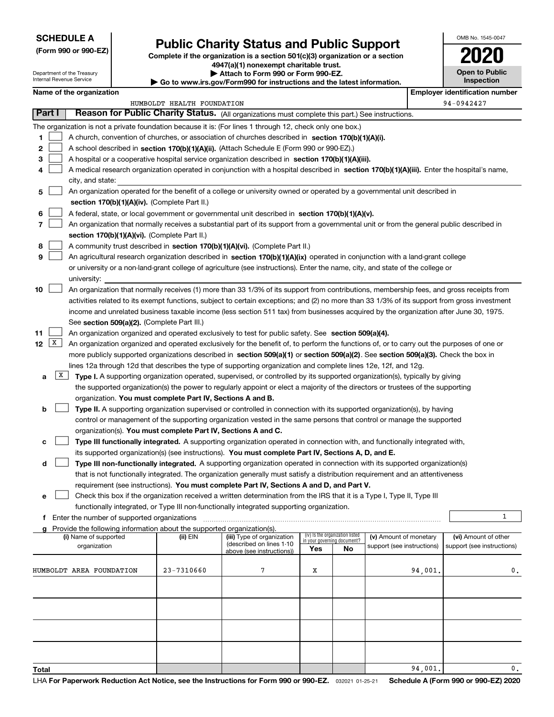#### **SCHEDULE A**

Department of the Treasury Internal Revenue Service

**(Form 990 or 990-EZ)**

## **Public Charity Status and Public Support**

**Complete if the organization is a section 501(c)(3) organization or a section 4947(a)(1) nonexempt charitable trust. | Attach to Form 990 or Form 990-EZ.** 

| ▶ Go to www.irs.gov/Form990 for instructions and the latest information. | <b>P</b> Allach to Form 330 or Form 330-LZ. |  |
|--------------------------------------------------------------------------|---------------------------------------------|--|
|                                                                          |                                             |  |

| ----                                       |
|--------------------------------------------|
| <b>Open to Public</b><br><b>Inspection</b> |

OMB No. 1545-0047

**2020**

| Name of the organization                                                                                                                                                                                                                             |                            |                                                        |                             |                                 |                            | <b>Employer identification number</b> |
|------------------------------------------------------------------------------------------------------------------------------------------------------------------------------------------------------------------------------------------------------|----------------------------|--------------------------------------------------------|-----------------------------|---------------------------------|----------------------------|---------------------------------------|
|                                                                                                                                                                                                                                                      | HUMBOLDT HEALTH FOUNDATION |                                                        |                             |                                 |                            | 94-0942427                            |
| Part I<br>Reason for Public Charity Status. (All organizations must complete this part.) See instructions.                                                                                                                                           |                            |                                                        |                             |                                 |                            |                                       |
| The organization is not a private foundation because it is: (For lines 1 through 12, check only one box.)                                                                                                                                            |                            |                                                        |                             |                                 |                            |                                       |
| A church, convention of churches, or association of churches described in section 170(b)(1)(A)(i).<br>1.                                                                                                                                             |                            |                                                        |                             |                                 |                            |                                       |
| 2<br>A school described in section 170(b)(1)(A)(ii). (Attach Schedule E (Form 990 or 990-EZ).)                                                                                                                                                       |                            |                                                        |                             |                                 |                            |                                       |
| 3<br>A hospital or a cooperative hospital service organization described in section 170(b)(1)(A)(iii).                                                                                                                                               |                            |                                                        |                             |                                 |                            |                                       |
| A medical research organization operated in conjunction with a hospital described in section 170(b)(1)(A)(iii). Enter the hospital's name,<br>4                                                                                                      |                            |                                                        |                             |                                 |                            |                                       |
| city, and state:                                                                                                                                                                                                                                     |                            |                                                        |                             |                                 |                            |                                       |
| An organization operated for the benefit of a college or university owned or operated by a governmental unit described in<br>5                                                                                                                       |                            |                                                        |                             |                                 |                            |                                       |
| section 170(b)(1)(A)(iv). (Complete Part II.)                                                                                                                                                                                                        |                            |                                                        |                             |                                 |                            |                                       |
| A federal, state, or local government or governmental unit described in section 170(b)(1)(A)(v).<br>6                                                                                                                                                |                            |                                                        |                             |                                 |                            |                                       |
| 7<br>An organization that normally receives a substantial part of its support from a governmental unit or from the general public described in                                                                                                       |                            |                                                        |                             |                                 |                            |                                       |
| section 170(b)(1)(A)(vi). (Complete Part II.)                                                                                                                                                                                                        |                            |                                                        |                             |                                 |                            |                                       |
| A community trust described in section 170(b)(1)(A)(vi). (Complete Part II.)<br>8                                                                                                                                                                    |                            |                                                        |                             |                                 |                            |                                       |
| 9<br>An agricultural research organization described in section 170(b)(1)(A)(ix) operated in conjunction with a land-grant college                                                                                                                   |                            |                                                        |                             |                                 |                            |                                       |
| or university or a non-land-grant college of agriculture (see instructions). Enter the name, city, and state of the college or                                                                                                                       |                            |                                                        |                             |                                 |                            |                                       |
| university:                                                                                                                                                                                                                                          |                            |                                                        |                             |                                 |                            |                                       |
| An organization that normally receives (1) more than 33 1/3% of its support from contributions, membership fees, and gross receipts from<br>10                                                                                                       |                            |                                                        |                             |                                 |                            |                                       |
| activities related to its exempt functions, subject to certain exceptions; and (2) no more than 33 1/3% of its support from gross investment                                                                                                         |                            |                                                        |                             |                                 |                            |                                       |
| income and unrelated business taxable income (less section 511 tax) from businesses acquired by the organization after June 30, 1975.                                                                                                                |                            |                                                        |                             |                                 |                            |                                       |
| See section 509(a)(2). (Complete Part III.)                                                                                                                                                                                                          |                            |                                                        |                             |                                 |                            |                                       |
| An organization organized and operated exclusively to test for public safety. See section 509(a)(4).<br>11                                                                                                                                           |                            |                                                        |                             |                                 |                            |                                       |
| X <br>12<br>An organization organized and operated exclusively for the benefit of, to perform the functions of, or to carry out the purposes of one or                                                                                               |                            |                                                        |                             |                                 |                            |                                       |
| more publicly supported organizations described in section 509(a)(1) or section 509(a)(2). See section 509(a)(3). Check the box in                                                                                                                   |                            |                                                        |                             |                                 |                            |                                       |
| lines 12a through 12d that describes the type of supporting organization and complete lines 12e, 12f, and 12g.                                                                                                                                       |                            |                                                        |                             |                                 |                            |                                       |
| X <br>Type I. A supporting organization operated, supervised, or controlled by its supported organization(s), typically by giving<br>а                                                                                                               |                            |                                                        |                             |                                 |                            |                                       |
| the supported organization(s) the power to regularly appoint or elect a majority of the directors or trustees of the supporting                                                                                                                      |                            |                                                        |                             |                                 |                            |                                       |
| organization. You must complete Part IV, Sections A and B.                                                                                                                                                                                           |                            |                                                        |                             |                                 |                            |                                       |
| Type II. A supporting organization supervised or controlled in connection with its supported organization(s), by having<br>b<br>control or management of the supporting organization vested in the same persons that control or manage the supported |                            |                                                        |                             |                                 |                            |                                       |
| organization(s). You must complete Part IV, Sections A and C.                                                                                                                                                                                        |                            |                                                        |                             |                                 |                            |                                       |
| Type III functionally integrated. A supporting organization operated in connection with, and functionally integrated with,<br>с                                                                                                                      |                            |                                                        |                             |                                 |                            |                                       |
| its supported organization(s) (see instructions). You must complete Part IV, Sections A, D, and E.                                                                                                                                                   |                            |                                                        |                             |                                 |                            |                                       |
| Type III non-functionally integrated. A supporting organization operated in connection with its supported organization(s)<br>d                                                                                                                       |                            |                                                        |                             |                                 |                            |                                       |
| that is not functionally integrated. The organization generally must satisfy a distribution requirement and an attentiveness                                                                                                                         |                            |                                                        |                             |                                 |                            |                                       |
| requirement (see instructions). You must complete Part IV, Sections A and D, and Part V.                                                                                                                                                             |                            |                                                        |                             |                                 |                            |                                       |
| Check this box if the organization received a written determination from the IRS that it is a Type I, Type II, Type III                                                                                                                              |                            |                                                        |                             |                                 |                            |                                       |
| functionally integrated, or Type III non-functionally integrated supporting organization.                                                                                                                                                            |                            |                                                        |                             |                                 |                            |                                       |
| f Enter the number of supported organizations                                                                                                                                                                                                        |                            |                                                        |                             |                                 |                            | 1                                     |
| g Provide the following information about the supported organization(s).                                                                                                                                                                             |                            |                                                        |                             |                                 |                            |                                       |
| (i) Name of supported                                                                                                                                                                                                                                | (ii) EIN                   | (iii) Type of organization<br>(described on lines 1-10 | in your governing document? | (iv) Is the organization listed | (v) Amount of monetary     | (vi) Amount of other                  |
| organization                                                                                                                                                                                                                                         |                            | above (see instructions))                              | Yes                         | No                              | support (see instructions) | support (see instructions)            |
|                                                                                                                                                                                                                                                      |                            |                                                        |                             |                                 |                            |                                       |
| HUMBOLDT AREA FOUNDATION                                                                                                                                                                                                                             | 23-7310660                 | 7                                                      | Х                           |                                 | 94,001.                    | 0.                                    |
|                                                                                                                                                                                                                                                      |                            |                                                        |                             |                                 |                            |                                       |
|                                                                                                                                                                                                                                                      |                            |                                                        |                             |                                 |                            |                                       |
|                                                                                                                                                                                                                                                      |                            |                                                        |                             |                                 |                            |                                       |
|                                                                                                                                                                                                                                                      |                            |                                                        |                             |                                 |                            |                                       |
|                                                                                                                                                                                                                                                      |                            |                                                        |                             |                                 |                            |                                       |
|                                                                                                                                                                                                                                                      |                            |                                                        |                             |                                 |                            |                                       |
|                                                                                                                                                                                                                                                      |                            |                                                        |                             |                                 |                            |                                       |
| Total                                                                                                                                                                                                                                                |                            |                                                        |                             |                                 | 94,001.                    | 0.                                    |
|                                                                                                                                                                                                                                                      |                            |                                                        |                             |                                 |                            |                                       |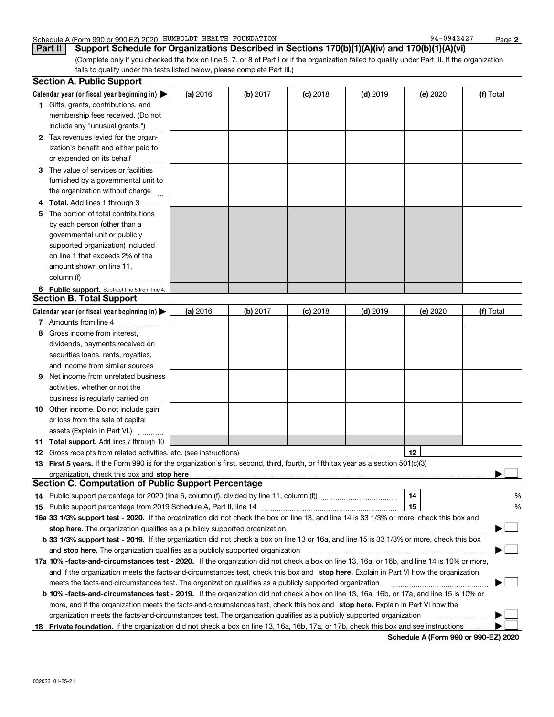#### Schedule A (Form 990 or 990-EZ) 2020 Page HUMBOLDT HEALTH FOUNDATION 94-0942427

**Part II Support Schedule for Organizations Described in Sections 170(b)(1)(A)(iv) and 170(b)(1)(A)(vi)**

(Complete only if you checked the box on line 5, 7, or 8 of Part I or if the organization failed to qualify under Part III. If the organization fails to qualify under the tests listed below, please complete Part III.)

|    | <b>Section A. Public Support</b>                                                                                                               |          |            |            |            |          |           |
|----|------------------------------------------------------------------------------------------------------------------------------------------------|----------|------------|------------|------------|----------|-----------|
|    | Calendar year (or fiscal year beginning in) $\blacktriangleright$                                                                              | (a) 2016 | $(b)$ 2017 | $(c)$ 2018 | $(d)$ 2019 | (e) 2020 | (f) Total |
|    | <b>1</b> Gifts, grants, contributions, and                                                                                                     |          |            |            |            |          |           |
|    | membership fees received. (Do not                                                                                                              |          |            |            |            |          |           |
|    | include any "unusual grants.")                                                                                                                 |          |            |            |            |          |           |
|    | 2 Tax revenues levied for the organ-                                                                                                           |          |            |            |            |          |           |
|    | ization's benefit and either paid to                                                                                                           |          |            |            |            |          |           |
|    | or expended on its behalf                                                                                                                      |          |            |            |            |          |           |
|    | 3 The value of services or facilities                                                                                                          |          |            |            |            |          |           |
|    | furnished by a governmental unit to                                                                                                            |          |            |            |            |          |           |
|    | the organization without charge                                                                                                                |          |            |            |            |          |           |
|    | 4 Total. Add lines 1 through 3                                                                                                                 |          |            |            |            |          |           |
| 5. | The portion of total contributions                                                                                                             |          |            |            |            |          |           |
|    | by each person (other than a                                                                                                                   |          |            |            |            |          |           |
|    | governmental unit or publicly                                                                                                                  |          |            |            |            |          |           |
|    | supported organization) included                                                                                                               |          |            |            |            |          |           |
|    | on line 1 that exceeds 2% of the                                                                                                               |          |            |            |            |          |           |
|    | amount shown on line 11,                                                                                                                       |          |            |            |            |          |           |
|    | column (f)                                                                                                                                     |          |            |            |            |          |           |
|    | 6 Public support. Subtract line 5 from line 4.                                                                                                 |          |            |            |            |          |           |
|    | <b>Section B. Total Support</b>                                                                                                                |          |            |            |            |          |           |
|    | Calendar year (or fiscal year beginning in) $\blacktriangleright$                                                                              | (a) 2016 | (b) 2017   | $(c)$ 2018 | $(d)$ 2019 | (e) 2020 | (f) Total |
|    | 7 Amounts from line 4                                                                                                                          |          |            |            |            |          |           |
|    | 8 Gross income from interest,                                                                                                                  |          |            |            |            |          |           |
|    | dividends, payments received on                                                                                                                |          |            |            |            |          |           |
|    | securities loans, rents, royalties,                                                                                                            |          |            |            |            |          |           |
|    | and income from similar sources                                                                                                                |          |            |            |            |          |           |
| 9. | Net income from unrelated business                                                                                                             |          |            |            |            |          |           |
|    | activities, whether or not the                                                                                                                 |          |            |            |            |          |           |
|    | business is regularly carried on                                                                                                               |          |            |            |            |          |           |
|    | <b>10</b> Other income. Do not include gain                                                                                                    |          |            |            |            |          |           |
|    | or loss from the sale of capital                                                                                                               |          |            |            |            |          |           |
|    | assets (Explain in Part VI.)                                                                                                                   |          |            |            |            |          |           |
|    | 11 Total support. Add lines 7 through 10                                                                                                       |          |            |            |            |          |           |
|    | <b>12</b> Gross receipts from related activities, etc. (see instructions)                                                                      |          |            |            |            | 12       |           |
|    | 13 First 5 years. If the Form 990 is for the organization's first, second, third, fourth, or fifth tax year as a section 501(c)(3)             |          |            |            |            |          |           |
|    |                                                                                                                                                |          |            |            |            |          |           |
|    | <b>Section C. Computation of Public Support Percentage</b>                                                                                     |          |            |            |            |          |           |
|    | 14 Public support percentage for 2020 (line 6, column (f), divided by line 11, column (f) <i>marroummaname</i>                                 |          |            |            |            | 14       | %         |
|    |                                                                                                                                                |          |            |            |            | 15       | %         |
|    | 16a 33 1/3% support test - 2020. If the organization did not check the box on line 13, and line 14 is 33 1/3% or more, check this box and      |          |            |            |            |          |           |
|    | stop here. The organization qualifies as a publicly supported organization                                                                     |          |            |            |            |          | ▔▁∣       |
|    | b 33 1/3% support test - 2019. If the organization did not check a box on line 13 or 16a, and line 15 is 33 1/3% or more, check this box       |          |            |            |            |          |           |
|    | and stop here. The organization qualifies as a publicly supported organization                                                                 |          |            |            |            |          |           |
|    | 17a 10% -facts-and-circumstances test - 2020. If the organization did not check a box on line 13, 16a, or 16b, and line 14 is 10% or more,     |          |            |            |            |          |           |
|    | and if the organization meets the facts-and-circumstances test, check this box and stop here. Explain in Part VI how the organization          |          |            |            |            |          |           |
|    | meets the facts-and-circumstances test. The organization qualifies as a publicly supported organization                                        |          |            |            |            |          |           |
|    | <b>b 10% -facts-and-circumstances test - 2019.</b> If the organization did not check a box on line 13, 16a, 16b, or 17a, and line 15 is 10% or |          |            |            |            |          |           |
|    | more, and if the organization meets the facts-and-circumstances test, check this box and stop here. Explain in Part VI how the                 |          |            |            |            |          |           |
|    | organization meets the facts-and-circumstances test. The organization qualifies as a publicly supported organization                           |          |            |            |            |          |           |
|    | 18 Private foundation. If the organization did not check a box on line 13, 16a, 16b, 17a, or 17b, check this box and see instructions          |          |            |            |            |          |           |

**Schedule A (Form 990 or 990-EZ) 2020**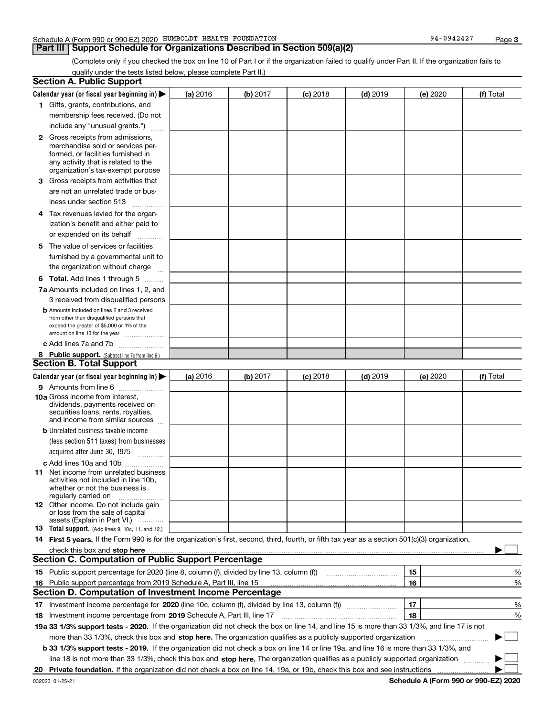#### **Part III Support Schedule for Organizations Described in Section 509(a)(2)**

(Complete only if you checked the box on line 10 of Part I or if the organization failed to qualify under Part II. If the organization fails to qualify under the tests listed below, please complete Part II.)

|    | <b>Section A. Public Support</b>                                                                                                                                                                                                     |          |          |            |            |          |           |
|----|--------------------------------------------------------------------------------------------------------------------------------------------------------------------------------------------------------------------------------------|----------|----------|------------|------------|----------|-----------|
|    | Calendar year (or fiscal year beginning in) $\blacktriangleright$                                                                                                                                                                    | (a) 2016 | (b) 2017 | $(c)$ 2018 | $(d)$ 2019 | (e) 2020 | (f) Total |
|    | 1 Gifts, grants, contributions, and                                                                                                                                                                                                  |          |          |            |            |          |           |
|    | membership fees received. (Do not                                                                                                                                                                                                    |          |          |            |            |          |           |
|    | include any "unusual grants.")                                                                                                                                                                                                       |          |          |            |            |          |           |
|    | <b>2</b> Gross receipts from admissions,                                                                                                                                                                                             |          |          |            |            |          |           |
|    | merchandise sold or services per-                                                                                                                                                                                                    |          |          |            |            |          |           |
|    | formed, or facilities furnished in                                                                                                                                                                                                   |          |          |            |            |          |           |
|    | any activity that is related to the<br>organization's tax-exempt purpose                                                                                                                                                             |          |          |            |            |          |           |
|    | 3 Gross receipts from activities that                                                                                                                                                                                                |          |          |            |            |          |           |
|    | are not an unrelated trade or bus-                                                                                                                                                                                                   |          |          |            |            |          |           |
|    | iness under section 513                                                                                                                                                                                                              |          |          |            |            |          |           |
|    |                                                                                                                                                                                                                                      |          |          |            |            |          |           |
|    | 4 Tax revenues levied for the organ-                                                                                                                                                                                                 |          |          |            |            |          |           |
|    | ization's benefit and either paid to                                                                                                                                                                                                 |          |          |            |            |          |           |
|    | or expended on its behalf<br>.                                                                                                                                                                                                       |          |          |            |            |          |           |
|    | 5 The value of services or facilities                                                                                                                                                                                                |          |          |            |            |          |           |
|    | furnished by a governmental unit to                                                                                                                                                                                                  |          |          |            |            |          |           |
|    | the organization without charge                                                                                                                                                                                                      |          |          |            |            |          |           |
|    | <b>6 Total.</b> Add lines 1 through 5                                                                                                                                                                                                |          |          |            |            |          |           |
|    | 7a Amounts included on lines 1, 2, and                                                                                                                                                                                               |          |          |            |            |          |           |
|    | 3 received from disqualified persons                                                                                                                                                                                                 |          |          |            |            |          |           |
|    | <b>b</b> Amounts included on lines 2 and 3 received                                                                                                                                                                                  |          |          |            |            |          |           |
|    | from other than disqualified persons that<br>exceed the greater of \$5,000 or 1% of the                                                                                                                                              |          |          |            |            |          |           |
|    | amount on line 13 for the year                                                                                                                                                                                                       |          |          |            |            |          |           |
|    | c Add lines 7a and 7b                                                                                                                                                                                                                |          |          |            |            |          |           |
|    | 8 Public support. (Subtract line 7c from line 6.)                                                                                                                                                                                    |          |          |            |            |          |           |
|    | <b>Section B. Total Support</b>                                                                                                                                                                                                      |          |          |            |            |          |           |
|    | Calendar year (or fiscal year beginning in)                                                                                                                                                                                          | (a) 2016 | (b) 2017 | $(c)$ 2018 | $(d)$ 2019 | (e) 2020 | (f) Total |
|    | 9 Amounts from line 6                                                                                                                                                                                                                |          |          |            |            |          |           |
|    | 10a Gross income from interest,                                                                                                                                                                                                      |          |          |            |            |          |           |
|    | dividends, payments received on                                                                                                                                                                                                      |          |          |            |            |          |           |
|    | securities loans, rents, royalties,<br>and income from similar sources                                                                                                                                                               |          |          |            |            |          |           |
|    | <b>b</b> Unrelated business taxable income                                                                                                                                                                                           |          |          |            |            |          |           |
|    | (less section 511 taxes) from businesses                                                                                                                                                                                             |          |          |            |            |          |           |
|    | acquired after June 30, 1975                                                                                                                                                                                                         |          |          |            |            |          |           |
|    |                                                                                                                                                                                                                                      |          |          |            |            |          |           |
|    | c Add lines 10a and 10b<br>11 Net income from unrelated business                                                                                                                                                                     |          |          |            |            |          |           |
|    | activities not included in line 10b,                                                                                                                                                                                                 |          |          |            |            |          |           |
|    | whether or not the business is                                                                                                                                                                                                       |          |          |            |            |          |           |
|    | regularly carried on                                                                                                                                                                                                                 |          |          |            |            |          |           |
|    | <b>12</b> Other income. Do not include gain<br>or loss from the sale of capital                                                                                                                                                      |          |          |            |            |          |           |
|    | assets (Explain in Part VI.)                                                                                                                                                                                                         |          |          |            |            |          |           |
|    | 13 Total support. (Add lines 9, 10c, 11, and 12.)                                                                                                                                                                                    |          |          |            |            |          |           |
|    | 14 First 5 years. If the Form 990 is for the organization's first, second, third, fourth, or fifth tax year as a section 501(c)(3) organization,                                                                                     |          |          |            |            |          |           |
|    | check this box and stop here <b>contained and according to the state of the state of the state of the state of the state of the state of the state of the state of the state of the state of the state of the state of the state</b> |          |          |            |            |          |           |
|    | <b>Section C. Computation of Public Support Percentage</b>                                                                                                                                                                           |          |          |            |            |          |           |
|    | 15 Public support percentage for 2020 (line 8, column (f), divided by line 13, column (f))                                                                                                                                           |          |          |            |            | 15       | %         |
|    | 16 Public support percentage from 2019 Schedule A, Part III, line 15                                                                                                                                                                 |          |          |            |            | 16       | %         |
|    | <b>Section D. Computation of Investment Income Percentage</b>                                                                                                                                                                        |          |          |            |            |          |           |
|    | 17 Investment income percentage for 2020 (line 10c, column (f), divided by line 13, column (f))                                                                                                                                      |          |          |            |            | 17       | %         |
|    | 18 Investment income percentage from 2019 Schedule A, Part III, line 17                                                                                                                                                              |          |          |            |            | 18       | %         |
|    | 19a 33 1/3% support tests - 2020. If the organization did not check the box on line 14, and line 15 is more than 33 1/3%, and line 17 is not                                                                                         |          |          |            |            |          |           |
|    | more than 33 1/3%, check this box and stop here. The organization qualifies as a publicly supported organization                                                                                                                     |          |          |            |            |          | $\sim$ 1  |
|    | b 33 1/3% support tests - 2019. If the organization did not check a box on line 14 or line 19a, and line 16 is more than 33 1/3%, and                                                                                                |          |          |            |            |          |           |
|    | line 18 is not more than 33 1/3%, check this box and stop here. The organization qualifies as a publicly supported organization                                                                                                      |          |          |            |            |          |           |
| 20 |                                                                                                                                                                                                                                      |          |          |            |            |          |           |

**Schedule A (Form 990 or 990-EZ) 2020**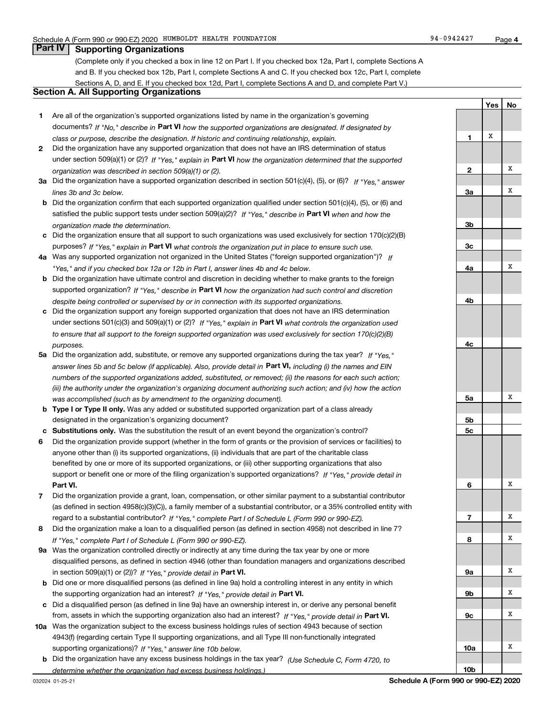**1**

**Yes**

X

**No**

#### **Part IV Supporting Organizations**

(Complete only if you checked a box in line 12 on Part I. If you checked box 12a, Part I, complete Sections A and B. If you checked box 12b, Part I, complete Sections A and C. If you checked box 12c, Part I, complete Sections A, D, and E. If you checked box 12d, Part I, complete Sections A and D, and complete Part V.)

#### **Section A. All Supporting Organizations**

- **1** Are all of the organization's supported organizations listed by name in the organization's governing documents? If "No," describe in **Part VI** how the supported organizations are designated. If designated by *class or purpose, describe the designation. If historic and continuing relationship, explain.*
- **2** Did the organization have any supported organization that does not have an IRS determination of status under section 509(a)(1) or (2)? If "Yes," explain in Part VI how the organization determined that the supported *organization was described in section 509(a)(1) or (2).*
- **3a** Did the organization have a supported organization described in section 501(c)(4), (5), or (6)? If "Yes," answer *lines 3b and 3c below.*
- **b** Did the organization confirm that each supported organization qualified under section 501(c)(4), (5), or (6) and satisfied the public support tests under section 509(a)(2)? If "Yes," describe in **Part VI** when and how the *organization made the determination.*
- **c**Did the organization ensure that all support to such organizations was used exclusively for section 170(c)(2)(B) purposes? If "Yes," explain in **Part VI** what controls the organization put in place to ensure such use.
- **4a***If* Was any supported organization not organized in the United States ("foreign supported organization")? *"Yes," and if you checked box 12a or 12b in Part I, answer lines 4b and 4c below.*
- **b** Did the organization have ultimate control and discretion in deciding whether to make grants to the foreign supported organization? If "Yes," describe in **Part VI** how the organization had such control and discretion *despite being controlled or supervised by or in connection with its supported organizations.*
- **c** Did the organization support any foreign supported organization that does not have an IRS determination under sections 501(c)(3) and 509(a)(1) or (2)? If "Yes," explain in **Part VI** what controls the organization used *to ensure that all support to the foreign supported organization was used exclusively for section 170(c)(2)(B) purposes.*
- **5a***If "Yes,"* Did the organization add, substitute, or remove any supported organizations during the tax year? answer lines 5b and 5c below (if applicable). Also, provide detail in **Part VI,** including (i) the names and EIN *numbers of the supported organizations added, substituted, or removed; (ii) the reasons for each such action; (iii) the authority under the organization's organizing document authorizing such action; and (iv) how the action was accomplished (such as by amendment to the organizing document).*
- **b** Type I or Type II only. Was any added or substituted supported organization part of a class already designated in the organization's organizing document?
- **cSubstitutions only.**  Was the substitution the result of an event beyond the organization's control?
- **6** Did the organization provide support (whether in the form of grants or the provision of services or facilities) to **Part VI.** *If "Yes," provide detail in* support or benefit one or more of the filing organization's supported organizations? anyone other than (i) its supported organizations, (ii) individuals that are part of the charitable class benefited by one or more of its supported organizations, or (iii) other supporting organizations that also
- **7**Did the organization provide a grant, loan, compensation, or other similar payment to a substantial contributor *If "Yes," complete Part I of Schedule L (Form 990 or 990-EZ).* regard to a substantial contributor? (as defined in section 4958(c)(3)(C)), a family member of a substantial contributor, or a 35% controlled entity with
- **8** Did the organization make a loan to a disqualified person (as defined in section 4958) not described in line 7? *If "Yes," complete Part I of Schedule L (Form 990 or 990-EZ).*
- **9a** Was the organization controlled directly or indirectly at any time during the tax year by one or more in section 509(a)(1) or (2))? If "Yes," *provide detail in* <code>Part VI.</code> disqualified persons, as defined in section 4946 (other than foundation managers and organizations described
- **b** Did one or more disqualified persons (as defined in line 9a) hold a controlling interest in any entity in which the supporting organization had an interest? If "Yes," provide detail in P**art VI**.
- **c**Did a disqualified person (as defined in line 9a) have an ownership interest in, or derive any personal benefit from, assets in which the supporting organization also had an interest? If "Yes," provide detail in P**art VI.**
- **10a** Was the organization subject to the excess business holdings rules of section 4943 because of section supporting organizations)? If "Yes," answer line 10b below. 4943(f) (regarding certain Type II supporting organizations, and all Type III non-functionally integrated
- **b** Did the organization have any excess business holdings in the tax year? (Use Schedule C, Form 4720, to *determine whether the organization had excess business holdings.)*

**23a3b3c4a4b4c5a 5b5c6789a 9b9c10a**XXXXXXXXXXX

**10b**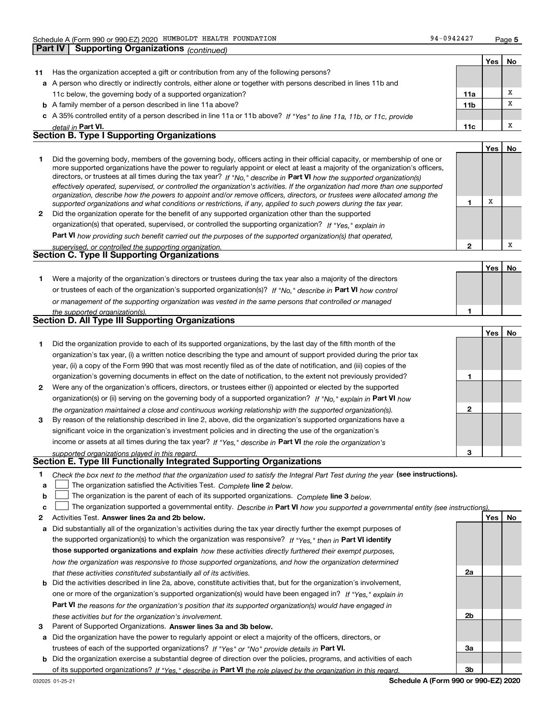**Part IV Supporting Organizations** *(continued)*

| 94-0942427 | Page 5 |
|------------|--------|
|------------|--------|

**YesNo**

**1**

**2**

**3**

**2a**

**2b**

**3a**

**3b**

|    |                                                                                                                      |                 | Yes∣ | Νo |
|----|----------------------------------------------------------------------------------------------------------------------|-----------------|------|----|
| 11 | Has the organization accepted a gift or contribution from any of the following persons?                              |                 |      |    |
|    | a A person who directly or indirectly controls, either alone or together with persons described in lines 11b and     |                 |      |    |
|    | 11c below, the governing body of a supported organization?                                                           | 11a             |      |    |
|    | <b>b</b> A family member of a person described in line 11a above?                                                    | 11 <sub>b</sub> |      |    |
|    | c A 35% controlled entity of a person described in line 11a or 11b above? If "Yes" to line 11a, 11b, or 11c, provide |                 |      |    |
|    | detail in Part VI.                                                                                                   | 11c             |      |    |
|    | <b>Section B. Type I Supporting Organizations</b>                                                                    |                 |      |    |
|    |                                                                                                                      |                 |      |    |

|              |                                                                                                                                                                                                                                                                                                                                                                                                                                                                                                                                                                                                                                                      |   | Yes | No |
|--------------|------------------------------------------------------------------------------------------------------------------------------------------------------------------------------------------------------------------------------------------------------------------------------------------------------------------------------------------------------------------------------------------------------------------------------------------------------------------------------------------------------------------------------------------------------------------------------------------------------------------------------------------------------|---|-----|----|
|              | Did the governing body, members of the governing body, officers acting in their official capacity, or membership of one or<br>more supported organizations have the power to regularly appoint or elect at least a majority of the organization's officers,<br>directors, or trustees at all times during the tax year? If "No," describe in Part VI how the supported organization(s)<br>effectively operated, supervised, or controlled the organization's activities. If the organization had more than one supported<br>organization, describe how the powers to appoint and/or remove officers, directors, or trustees were allocated among the |   |     |    |
|              | supported organizations and what conditions or restrictions, if any, applied to such powers during the tax year.                                                                                                                                                                                                                                                                                                                                                                                                                                                                                                                                     |   |     |    |
| $\mathbf{2}$ | Did the organization operate for the benefit of any supported organization other than the supported                                                                                                                                                                                                                                                                                                                                                                                                                                                                                                                                                  |   |     |    |
|              | organization(s) that operated, supervised, or controlled the supporting organization? If "Yes," explain in                                                                                                                                                                                                                                                                                                                                                                                                                                                                                                                                           |   |     |    |
|              | Part VI how providing such benefit carried out the purposes of the supported organization(s) that operated,                                                                                                                                                                                                                                                                                                                                                                                                                                                                                                                                          |   |     |    |
|              | supervised or controlled the supporting organization                                                                                                                                                                                                                                                                                                                                                                                                                                                                                                                                                                                                 | ≘ |     |    |

| supervised. Or corrirolled the supporting organization. |  |
|---------------------------------------------------------|--|
| <b>Section C. Type II Supporting Organizations</b>      |  |

|                                                                                                                  |  | No |
|------------------------------------------------------------------------------------------------------------------|--|----|
| Were a majority of the organization's directors or trustees during the tax year also a majority of the directors |  |    |
| or trustees of each of the organization's supported organization(s)? If "No," describe in Part VI how control    |  |    |
| or management of the supporting organization was vested in the same persons that controlled or managed           |  |    |
| the supported organization(s).                                                                                   |  |    |
| <b>Section D. All Type III Supporting Organizations</b>                                                          |  |    |

| Section D. All Type III Supporting Organizations                                                                       |  |  |  |  |
|------------------------------------------------------------------------------------------------------------------------|--|--|--|--|
|                                                                                                                        |  |  |  |  |
| Did the organization provide to each of its supported organizations, by the last day of the fifth month of the         |  |  |  |  |
| organization's tax year, (i) a written notice describing the type and amount of support provided during the prior tax  |  |  |  |  |
| year, (ii) a copy of the Form 990 that was most recently filed as of the date of notification, and (iii) copies of the |  |  |  |  |
| organization's governing documents in effect on the date of notification, to the extent not previously provided?       |  |  |  |  |
|                                                                                                                        |  |  |  |  |

- **2** Were any of the organization's officers, directors, or trustees either (i) appointed or elected by the supported **3** By reason of the relationship described in line 2, above, did the organization's supported organizations have a organization(s) or (ii) serving on the governing body of a supported organization? If "No," explain in **Part VI** how *the organization maintained a close and continuous working relationship with the supported organization(s).*
- income or assets at all times during the tax year? If "Yes," describe in **Part VI** the role the organization's significant voice in the organization's investment policies and in directing the use of the organization's

#### *supported organizations played in this regard.* **Section E. Type III Functionally Integrated Supporting Organizations**

- **1**Check the box next to the method that the organization used to satisfy the Integral Part Test during the year (see instructions).
- **alinupy** The organization satisfied the Activities Test. Complete line 2 below.
- **b**The organization is the parent of each of its supported organizations. *Complete* line 3 *below.*  $\mathcal{L}^{\text{max}}$

|  |  |  | $\mathbf{c}$ The organization supported a governmental entity. Describe in Part VI how you supported a governmental entity (see instructions). |  |
|--|--|--|------------------------------------------------------------------------------------------------------------------------------------------------|--|
|--|--|--|------------------------------------------------------------------------------------------------------------------------------------------------|--|

- **2Answer lines 2a and 2b below. Yes No** Activities Test.
- **a** Did substantially all of the organization's activities during the tax year directly further the exempt purposes of the supported organization(s) to which the organization was responsive? If "Yes," then in **Part VI identify those supported organizations and explain**  *how these activities directly furthered their exempt purposes, how the organization was responsive to those supported organizations, and how the organization determined that these activities constituted substantially all of its activities.*
- **b** Did the activities described in line 2a, above, constitute activities that, but for the organization's involvement, **Part VI**  *the reasons for the organization's position that its supported organization(s) would have engaged in* one or more of the organization's supported organization(s) would have been engaged in? If "Yes," e*xplain in these activities but for the organization's involvement.*
- **3** Parent of Supported Organizations. Answer lines 3a and 3b below.
- **a** Did the organization have the power to regularly appoint or elect a majority of the officers, directors, or trustees of each of the supported organizations? If "Yes" or "No" provide details in **Part VI.**
- **b** Did the organization exercise a substantial degree of direction over the policies, programs, and activities of each of its supported organizations? If "Yes," describe in Part VI the role played by the organization in this regard.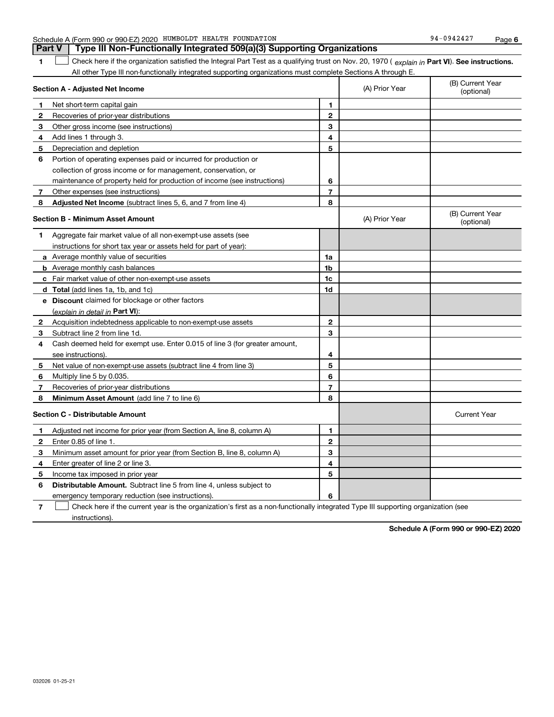| HUMBOLDT HEALTH FOUNDATION<br>A (Form 990 or 990-EZ) 2020<br>Schedule | 94-0942427 | Page |
|-----------------------------------------------------------------------|------------|------|
|-----------------------------------------------------------------------|------------|------|

**1Part VI** Check here if the organization satisfied the Integral Part Test as a qualifying trust on Nov. 20, 1970 ( *explain in* Part **VI**). See instructions. All other Type III non-functionally integrated supporting organizations must complete Sections A through E. **Part V Type III Non-Functionally Integrated 509(a)(3) Supporting Organizations**   $\mathcal{L}^{\text{max}}$ 

|                                         | Section A - Adjusted Net Income                                             |                | (A) Prior Year | (B) Current Year<br>(optional) |
|-----------------------------------------|-----------------------------------------------------------------------------|----------------|----------------|--------------------------------|
| 1                                       | Net short-term capital gain                                                 | 1              |                |                                |
| 2                                       | Recoveries of prior-year distributions                                      | $\mathbf{2}$   |                |                                |
| 3                                       | Other gross income (see instructions)                                       | 3              |                |                                |
| 4                                       | Add lines 1 through 3.                                                      | 4              |                |                                |
| 5                                       | Depreciation and depletion                                                  | 5              |                |                                |
| 6                                       | Portion of operating expenses paid or incurred for production or            |                |                |                                |
|                                         | collection of gross income or for management, conservation, or              |                |                |                                |
|                                         | maintenance of property held for production of income (see instructions)    | 6              |                |                                |
| 7                                       | Other expenses (see instructions)                                           | $\overline{7}$ |                |                                |
| 8                                       | Adjusted Net Income (subtract lines 5, 6, and 7 from line 4)                | 8              |                |                                |
|                                         | <b>Section B - Minimum Asset Amount</b>                                     |                | (A) Prior Year | (B) Current Year<br>(optional) |
| 1                                       | Aggregate fair market value of all non-exempt-use assets (see               |                |                |                                |
|                                         | instructions for short tax year or assets held for part of year):           |                |                |                                |
|                                         | a Average monthly value of securities                                       | 1a             |                |                                |
|                                         | <b>b</b> Average monthly cash balances                                      | 1b             |                |                                |
|                                         | <b>c</b> Fair market value of other non-exempt-use assets                   | 1c             |                |                                |
|                                         | d Total (add lines 1a, 1b, and 1c)                                          | 1d             |                |                                |
|                                         | e Discount claimed for blockage or other factors                            |                |                |                                |
|                                         | (explain in detail in Part VI):                                             |                |                |                                |
| 2                                       | Acquisition indebtedness applicable to non-exempt-use assets                | $\mathbf{2}$   |                |                                |
| 3                                       | Subtract line 2 from line 1d.                                               | 3              |                |                                |
| 4                                       | Cash deemed held for exempt use. Enter 0.015 of line 3 (for greater amount, |                |                |                                |
|                                         | see instructions).                                                          | 4              |                |                                |
| 5                                       | Net value of non-exempt-use assets (subtract line 4 from line 3)            | 5              |                |                                |
| 6                                       | Multiply line 5 by 0.035.                                                   | 6              |                |                                |
| 7                                       | Recoveries of prior-year distributions                                      | 7              |                |                                |
| 8                                       | Minimum Asset Amount (add line 7 to line 6)                                 | 8              |                |                                |
| <b>Section C - Distributable Amount</b> |                                                                             |                |                | <b>Current Year</b>            |
| 1                                       | Adjusted net income for prior year (from Section A, line 8, column A)       | 1              |                |                                |
| $\mathbf{2}$                            | Enter 0.85 of line 1.                                                       | $\overline{2}$ |                |                                |
| з                                       | Minimum asset amount for prior year (from Section B, line 8, column A)      | 3              |                |                                |
| 4                                       | Enter greater of line 2 or line 3.                                          | 4              |                |                                |
| 5                                       | Income tax imposed in prior year                                            | 5              |                |                                |
| 6                                       | <b>Distributable Amount.</b> Subtract line 5 from line 4, unless subject to |                |                |                                |
|                                         | emergency temporary reduction (see instructions).                           | 6              |                |                                |
|                                         |                                                                             |                |                |                                |

**7**Check here if the current year is the organization's first as a non-functionally integrated Type III supporting organization (see instructions).

**Schedule A (Form 990 or 990-EZ) 2020**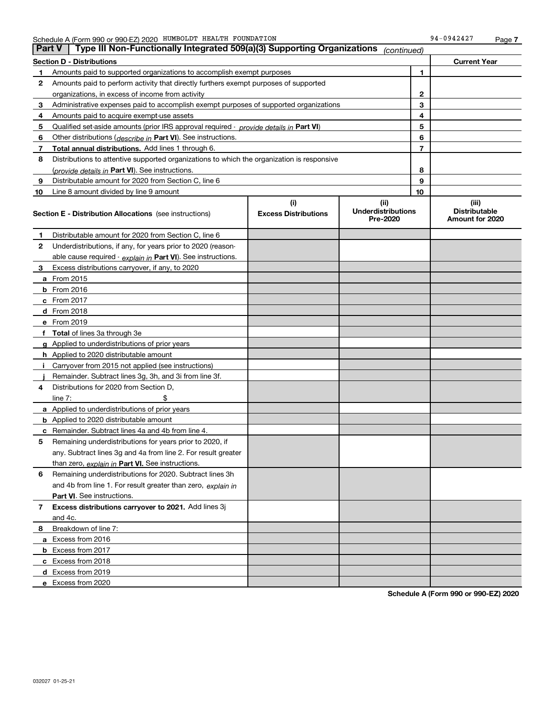| <b>Part V</b> | Type III Non-Functionally Integrated 509(a)(3) Supporting Organizations                    |                             | (continued)                           |    |                                         |
|---------------|--------------------------------------------------------------------------------------------|-----------------------------|---------------------------------------|----|-----------------------------------------|
|               | <b>Section D - Distributions</b>                                                           |                             |                                       |    | <b>Current Year</b>                     |
| 1             | Amounts paid to supported organizations to accomplish exempt purposes                      |                             |                                       |    |                                         |
| 2             | Amounts paid to perform activity that directly furthers exempt purposes of supported       |                             |                                       |    |                                         |
|               | organizations, in excess of income from activity                                           | $\mathbf{2}$                |                                       |    |                                         |
| 3             | Administrative expenses paid to accomplish exempt purposes of supported organizations      |                             |                                       | 3  |                                         |
| 4             | Amounts paid to acquire exempt-use assets                                                  |                             |                                       | 4  |                                         |
| 5             | Qualified set-aside amounts (prior IRS approval required - provide details in Part VI)     |                             |                                       | 5  |                                         |
| 6             | Other distributions ( <i>describe in</i> Part VI). See instructions.                       |                             |                                       | 6  |                                         |
| 7             | Total annual distributions. Add lines 1 through 6.                                         |                             |                                       | 7  |                                         |
| 8             | Distributions to attentive supported organizations to which the organization is responsive |                             |                                       |    |                                         |
|               | (provide details in Part VI). See instructions.                                            |                             |                                       | 8  |                                         |
| 9             | Distributable amount for 2020 from Section C, line 6                                       |                             |                                       | 9  |                                         |
| 10            | Line 8 amount divided by line 9 amount                                                     |                             |                                       | 10 |                                         |
|               |                                                                                            | (i)                         | (ii)                                  |    | (iii)                                   |
|               | <b>Section E - Distribution Allocations</b> (see instructions)                             | <b>Excess Distributions</b> | <b>Underdistributions</b><br>Pre-2020 |    | <b>Distributable</b><br>Amount for 2020 |
| 1             | Distributable amount for 2020 from Section C, line 6                                       |                             |                                       |    |                                         |
| 2             | Underdistributions, if any, for years prior to 2020 (reason-                               |                             |                                       |    |                                         |
|               | able cause required - explain in Part VI). See instructions.                               |                             |                                       |    |                                         |
| 3             | Excess distributions carryover, if any, to 2020                                            |                             |                                       |    |                                         |
|               | a From 2015                                                                                |                             |                                       |    |                                         |
|               | <b>b</b> From 2016                                                                         |                             |                                       |    |                                         |
|               | $c$ From 2017                                                                              |                             |                                       |    |                                         |
|               | d From 2018                                                                                |                             |                                       |    |                                         |
|               | e From 2019                                                                                |                             |                                       |    |                                         |
|               | f Total of lines 3a through 3e                                                             |                             |                                       |    |                                         |
|               | g Applied to underdistributions of prior years                                             |                             |                                       |    |                                         |
|               | <b>h</b> Applied to 2020 distributable amount                                              |                             |                                       |    |                                         |
|               | Carryover from 2015 not applied (see instructions)                                         |                             |                                       |    |                                         |
|               | Remainder. Subtract lines 3g, 3h, and 3i from line 3f.                                     |                             |                                       |    |                                         |
| 4             | Distributions for 2020 from Section D,                                                     |                             |                                       |    |                                         |
|               | line $7:$                                                                                  |                             |                                       |    |                                         |
|               | a Applied to underdistributions of prior years                                             |                             |                                       |    |                                         |
|               | <b>b</b> Applied to 2020 distributable amount                                              |                             |                                       |    |                                         |
|               | c Remainder. Subtract lines 4a and 4b from line 4.                                         |                             |                                       |    |                                         |
| 5.            | Remaining underdistributions for years prior to 2020, if                                   |                             |                                       |    |                                         |
|               | any. Subtract lines 3g and 4a from line 2. For result greater                              |                             |                                       |    |                                         |
|               | than zero, explain in Part VI. See instructions.                                           |                             |                                       |    |                                         |
| 6             | Remaining underdistributions for 2020. Subtract lines 3h                                   |                             |                                       |    |                                         |
|               | and 4b from line 1. For result greater than zero, explain in                               |                             |                                       |    |                                         |
|               | Part VI. See instructions.                                                                 |                             |                                       |    |                                         |
| 7             | Excess distributions carryover to 2021. Add lines 3j                                       |                             |                                       |    |                                         |
|               | and 4c.                                                                                    |                             |                                       |    |                                         |
| 8             | Breakdown of line 7:                                                                       |                             |                                       |    |                                         |
|               | a Excess from 2016                                                                         |                             |                                       |    |                                         |
|               | <b>b</b> Excess from 2017                                                                  |                             |                                       |    |                                         |
|               | c Excess from 2018                                                                         |                             |                                       |    |                                         |
|               | d Excess from 2019                                                                         |                             |                                       |    |                                         |
|               | e Excess from 2020                                                                         |                             |                                       |    |                                         |
|               |                                                                                            |                             |                                       |    |                                         |

**Schedule A (Form 990 or 990-EZ) 2020**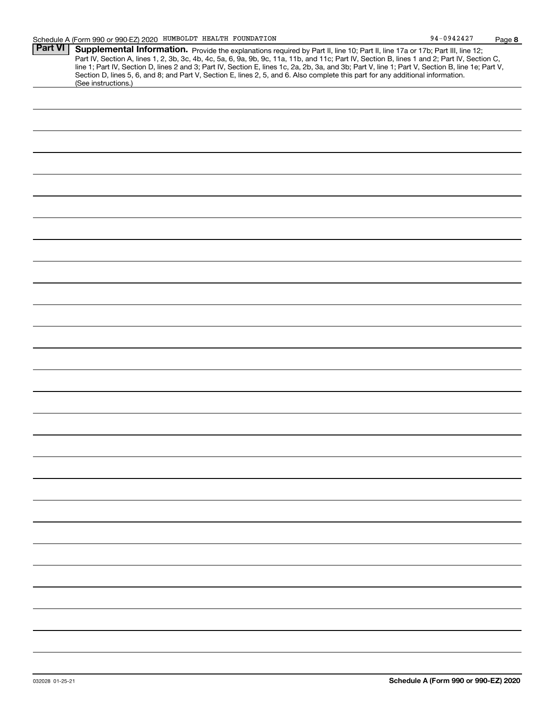| www.<br><b>Part VI</b> | <u>, ago o</u><br>Supplemental Information. Provide the explanations required by Part II, line 10; Part II, line 17a or 17b; Part III, line 12;  |
|------------------------|--------------------------------------------------------------------------------------------------------------------------------------------------|
|                        | Part IV, Section A, lines 1, 2, 3b, 3c, 4b, 4c, 5a, 6, 9a, 9b, 9c, 11a, 11b, and 11c; Part IV, Section B, lines 1 and 2; Part IV, Section C,     |
|                        | line 1; Part IV, Section D, lines 2 and 3; Part IV, Section E, lines 1c, 2a, 2b, 3a, and 3b; Part V, line 1; Part V, Section B, line 1e; Part V, |
|                        | Section D, lines 5, 6, and 8; and Part V, Section E, lines 2, 5, and 6. Also complete this part for any additional information.                  |
|                        | (See instructions.)                                                                                                                              |
|                        |                                                                                                                                                  |
|                        |                                                                                                                                                  |
|                        |                                                                                                                                                  |
|                        |                                                                                                                                                  |
|                        |                                                                                                                                                  |
|                        |                                                                                                                                                  |
|                        |                                                                                                                                                  |
|                        |                                                                                                                                                  |
|                        |                                                                                                                                                  |
|                        |                                                                                                                                                  |
|                        |                                                                                                                                                  |
|                        |                                                                                                                                                  |
|                        |                                                                                                                                                  |
|                        |                                                                                                                                                  |
|                        |                                                                                                                                                  |
|                        |                                                                                                                                                  |
|                        |                                                                                                                                                  |
|                        |                                                                                                                                                  |
|                        |                                                                                                                                                  |
|                        |                                                                                                                                                  |
|                        |                                                                                                                                                  |
|                        |                                                                                                                                                  |
|                        |                                                                                                                                                  |
|                        |                                                                                                                                                  |
|                        |                                                                                                                                                  |
|                        |                                                                                                                                                  |
|                        |                                                                                                                                                  |
|                        |                                                                                                                                                  |
|                        |                                                                                                                                                  |
|                        |                                                                                                                                                  |
|                        |                                                                                                                                                  |
|                        |                                                                                                                                                  |
|                        |                                                                                                                                                  |
|                        |                                                                                                                                                  |
|                        |                                                                                                                                                  |
|                        |                                                                                                                                                  |
|                        |                                                                                                                                                  |
|                        |                                                                                                                                                  |
|                        |                                                                                                                                                  |
|                        |                                                                                                                                                  |
|                        |                                                                                                                                                  |
|                        |                                                                                                                                                  |
|                        |                                                                                                                                                  |
|                        |                                                                                                                                                  |
|                        |                                                                                                                                                  |
|                        |                                                                                                                                                  |
|                        |                                                                                                                                                  |
|                        |                                                                                                                                                  |
|                        |                                                                                                                                                  |
|                        |                                                                                                                                                  |
|                        |                                                                                                                                                  |
|                        |                                                                                                                                                  |
|                        |                                                                                                                                                  |
|                        |                                                                                                                                                  |
|                        |                                                                                                                                                  |
|                        |                                                                                                                                                  |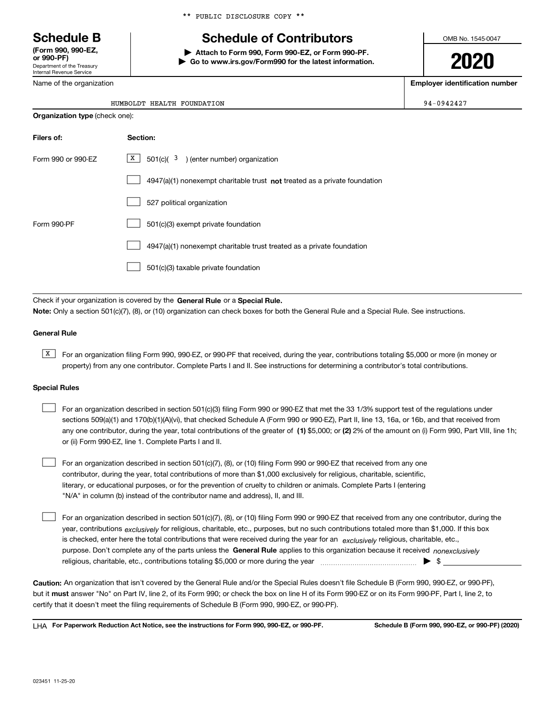Department of the Treasury Internal Revenue Service **(Form 990, 990-EZ, or 990-PF)**

Name of the organization

## **Schedule B Schedule of Contributors**

**| Attach to Form 990, Form 990-EZ, or Form 990-PF.**

**| Go to www.irs.gov/Form990 for the latest information.**

OMB No. 1545-0047

**2020**

**Employer identification number**

 $94-0942427$ 

|  | HUMBOLDT HEALTH FOUNDATION |
|--|----------------------------|
|  |                            |

| <b>Organization type (check one):</b> |                                                                           |  |  |
|---------------------------------------|---------------------------------------------------------------------------|--|--|
| Filers of:                            | Section:                                                                  |  |  |
| Form 990 or 990-EZ                    | $X$ 501(c)( 3) (enter number) organization                                |  |  |
|                                       | 4947(a)(1) nonexempt charitable trust not treated as a private foundation |  |  |
|                                       | 527 political organization                                                |  |  |
| Form 990-PF                           | 501(c)(3) exempt private foundation                                       |  |  |
|                                       | 4947(a)(1) nonexempt charitable trust treated as a private foundation     |  |  |
|                                       | 501(c)(3) taxable private foundation                                      |  |  |

Check if your organization is covered by the **General Rule** or a **Special Rule. Note:**  Only a section 501(c)(7), (8), or (10) organization can check boxes for both the General Rule and a Special Rule. See instructions.

#### **General Rule**

 $\overline{X}$  For an organization filing Form 990, 990-EZ, or 990-PF that received, during the year, contributions totaling \$5,000 or more (in money or property) from any one contributor. Complete Parts I and II. See instructions for determining a contributor's total contributions.

#### **Special Rules**

| For an organization described in section 501(c)(3) filing Form 990 or 990-EZ that met the 33 1/3% support test of the regulations under               |
|-------------------------------------------------------------------------------------------------------------------------------------------------------|
| sections 509(a)(1) and 170(b)(1)(A)(vi), that checked Schedule A (Form 990 or 990-EZ), Part II, line 13, 16a, or 16b, and that received from          |
| any one contributor, during the year, total contributions of the greater of (1) \$5,000; or (2) 2% of the amount on (i) Form 990, Part VIII, line 1h; |
| or (ii) Form 990-EZ, line 1. Complete Parts I and II.                                                                                                 |

For an organization described in section 501(c)(7), (8), or (10) filing Form 990 or 990-EZ that received from any one contributor, during the year, total contributions of more than \$1,000 exclusively for religious, charitable, scientific, literary, or educational purposes, or for the prevention of cruelty to children or animals. Complete Parts I (entering "N/A" in column (b) instead of the contributor name and address), II, and III.  $\mathcal{L}^{\text{max}}$ 

purpose. Don't complete any of the parts unless the **General Rule** applies to this organization because it received *nonexclusively* year, contributions <sub>exclusively</sub> for religious, charitable, etc., purposes, but no such contributions totaled more than \$1,000. If this box is checked, enter here the total contributions that were received during the year for an  $\;$ exclusively religious, charitable, etc., For an organization described in section 501(c)(7), (8), or (10) filing Form 990 or 990-EZ that received from any one contributor, during the religious, charitable, etc., contributions totaling \$5,000 or more during the year  $\Box$ — $\Box$  =  $\Box$  $\mathcal{L}^{\text{max}}$ 

**Caution:**  An organization that isn't covered by the General Rule and/or the Special Rules doesn't file Schedule B (Form 990, 990-EZ, or 990-PF),  **must** but it answer "No" on Part IV, line 2, of its Form 990; or check the box on line H of its Form 990-EZ or on its Form 990-PF, Part I, line 2, to certify that it doesn't meet the filing requirements of Schedule B (Form 990, 990-EZ, or 990-PF).

**For Paperwork Reduction Act Notice, see the instructions for Form 990, 990-EZ, or 990-PF. Schedule B (Form 990, 990-EZ, or 990-PF) (2020)** LHA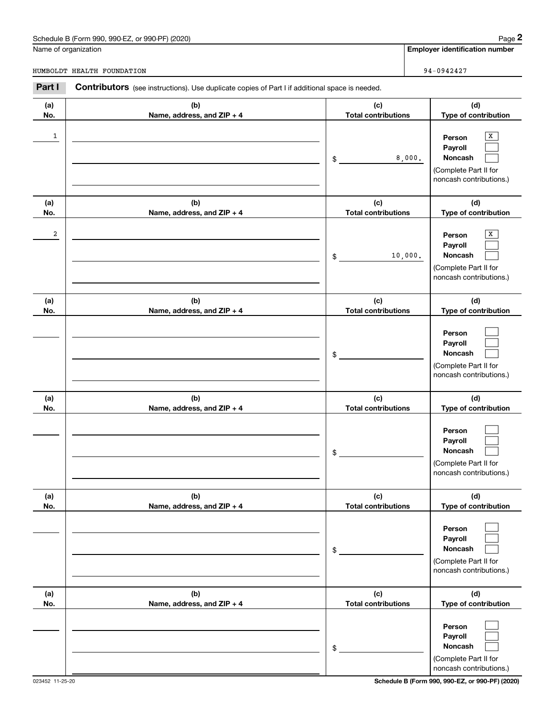## Schedule B (Form 990, 990-EZ, or 990-PF) (2020) Page 2

|                       | Schedule B (Form 990, 990-EZ, or 990-PF) (2020)                                                |                                   | Page 2                                                                                                                   |
|-----------------------|------------------------------------------------------------------------------------------------|-----------------------------------|--------------------------------------------------------------------------------------------------------------------------|
|                       | Name of organization                                                                           |                                   | <b>Employer identification number</b>                                                                                    |
|                       | HUMBOLDT HEALTH FOUNDATION                                                                     |                                   | 94-0942427                                                                                                               |
| Part I                | Contributors (see instructions). Use duplicate copies of Part I if additional space is needed. |                                   |                                                                                                                          |
| (a)<br>No.            | (b)<br>Name, address, and ZIP + 4                                                              | (c)<br><b>Total contributions</b> | (d)<br>Type of contribution                                                                                              |
| 1                     |                                                                                                | \$                                | X<br>Person<br>Payroll<br>8,000.<br>Noncash<br>(Complete Part II for<br>noncash contributions.)                          |
| (a)                   | (b)                                                                                            | (c)                               | (d)                                                                                                                      |
| No.<br>$\overline{a}$ | Name, address, and ZIP + 4                                                                     | <b>Total contributions</b><br>\$  | Type of contribution<br>X<br>Person<br>Payroll<br>Noncash<br>10,000.<br>(Complete Part II for<br>noncash contributions.) |
| (a)<br>No.            | (b)<br>Name, address, and ZIP + 4                                                              | (c)<br><b>Total contributions</b> | (d)<br>Type of contribution                                                                                              |
|                       |                                                                                                | \$                                | Person<br>Payroll<br>Noncash<br>(Complete Part II for<br>noncash contributions.)                                         |
| (a)<br>No.            | (b)<br>Name, address, and ZIP + 4                                                              | (c)<br><b>Total contributions</b> | (d)<br>Type of contribution                                                                                              |
|                       |                                                                                                | \$                                | Person<br>Payroll<br>Noncash<br>(Complete Part II for<br>noncash contributions.)                                         |
| (a)<br>No.            | (b)<br>Name, address, and ZIP + 4                                                              | (c)<br><b>Total contributions</b> | (d)<br>Type of contribution                                                                                              |
|                       |                                                                                                | \$                                | Person<br>Payroll<br>Noncash<br>(Complete Part II for<br>noncash contributions.)                                         |
| (a)<br>No.            | (b)<br>Name, address, and ZIP + 4                                                              | (c)<br><b>Total contributions</b> | (d)<br>Type of contribution                                                                                              |
|                       |                                                                                                | \$                                | Person<br>Payroll<br>Noncash<br>(Complete Part II for<br>noncash contributions.)                                         |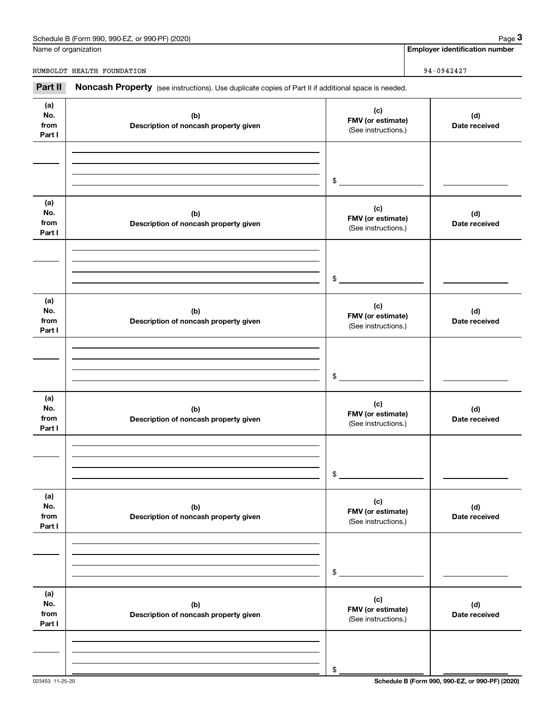| Schedule B (Form 990, 990-EZ,<br>or 990-PF) (2020)<br>Page |  |
|------------------------------------------------------------|--|
|------------------------------------------------------------|--|

|                              | Schedule B (Form 990, 990-EZ, or 990-PF) (2020)                                                     |                                                 | Page 3                                |
|------------------------------|-----------------------------------------------------------------------------------------------------|-------------------------------------------------|---------------------------------------|
|                              | Name of organization                                                                                |                                                 | <b>Employer identification number</b> |
|                              | HUMBOLDT HEALTH FOUNDATION                                                                          |                                                 | 94-0942427                            |
| Part II                      | Noncash Property (see instructions). Use duplicate copies of Part II if additional space is needed. |                                                 |                                       |
| (a)<br>No.<br>from<br>Part I | (b)<br>Description of noncash property given                                                        | (c)<br>FMV (or estimate)<br>(See instructions.) | (d)<br>Date received                  |
|                              |                                                                                                     | \$                                              |                                       |
| (a)<br>No.<br>from<br>Part I | (b)<br>Description of noncash property given                                                        | (c)<br>FMV (or estimate)<br>(See instructions.) | (d)<br>Date received                  |
|                              |                                                                                                     | \$                                              |                                       |
| (a)<br>No.<br>from<br>Part I | (b)<br>Description of noncash property given                                                        | (c)<br>FMV (or estimate)<br>(See instructions.) | (d)<br>Date received                  |
|                              |                                                                                                     | \$                                              |                                       |
| (a)<br>No.<br>from<br>Part I | (b)<br>Description of noncash property given                                                        | (c)<br>FMV (or estimate)<br>(See instructions.) | (d)<br>Date received                  |
|                              |                                                                                                     | \$                                              |                                       |
| (a)<br>No.<br>from<br>Part I | (b)<br>Description of noncash property given                                                        | (c)<br>FMV (or estimate)<br>(See instructions.) | (d)<br>Date received                  |
|                              |                                                                                                     | \$                                              |                                       |
| (a)<br>No.<br>from<br>Part I | (b)<br>Description of noncash property given                                                        | (c)<br>FMV (or estimate)<br>(See instructions.) | (d)<br>Date received                  |
|                              |                                                                                                     |                                                 |                                       |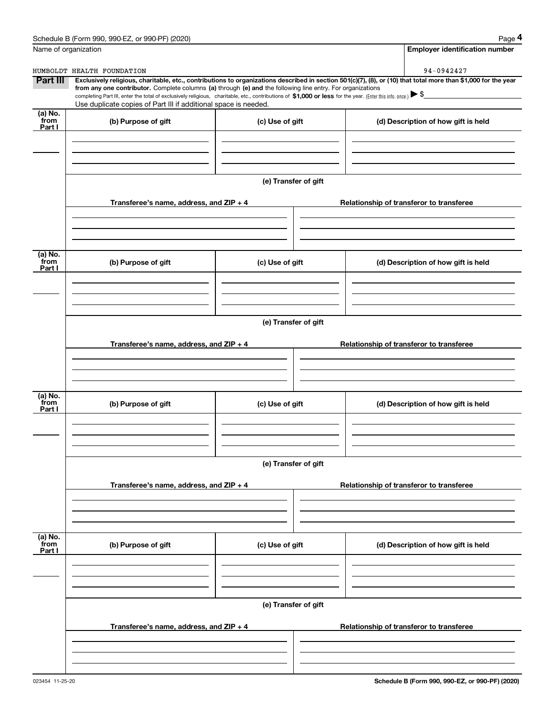|                           | Schedule B (Form 990, 990-EZ, or 990-PF) (2020)                                                                                                                                                                                                                            |                      | Page 4                                                                                                                                                         |
|---------------------------|----------------------------------------------------------------------------------------------------------------------------------------------------------------------------------------------------------------------------------------------------------------------------|----------------------|----------------------------------------------------------------------------------------------------------------------------------------------------------------|
|                           | Name of organization                                                                                                                                                                                                                                                       |                      | <b>Employer identification number</b>                                                                                                                          |
|                           | HUMBOLDT HEALTH FOUNDATION                                                                                                                                                                                                                                                 |                      | 94-0942427                                                                                                                                                     |
| Part III                  | from any one contributor. Complete columns (a) through (e) and the following line entry. For organizations<br>completing Part III, enter the total of exclusively religious, charitable, etc., contributions of \$1,000 or less for the year. (Enter this info. once.) \\$ |                      | Exclusively religious, charitable, etc., contributions to organizations described in section 501(c)(7), (8), or (10) that total more than \$1,000 for the year |
|                           | Use duplicate copies of Part III if additional space is needed.                                                                                                                                                                                                            |                      |                                                                                                                                                                |
| (a) No.<br>from<br>Part I | (b) Purpose of gift                                                                                                                                                                                                                                                        | (c) Use of gift      | (d) Description of how gift is held                                                                                                                            |
|                           |                                                                                                                                                                                                                                                                            |                      |                                                                                                                                                                |
|                           |                                                                                                                                                                                                                                                                            | (e) Transfer of gift |                                                                                                                                                                |
|                           | Transferee's name, address, and ZIP + 4                                                                                                                                                                                                                                    |                      | Relationship of transferor to transferee                                                                                                                       |
|                           |                                                                                                                                                                                                                                                                            |                      |                                                                                                                                                                |
| (a) No.<br>from<br>Part I | (b) Purpose of gift                                                                                                                                                                                                                                                        | (c) Use of gift      | (d) Description of how gift is held                                                                                                                            |
|                           |                                                                                                                                                                                                                                                                            |                      |                                                                                                                                                                |
|                           |                                                                                                                                                                                                                                                                            | (e) Transfer of gift |                                                                                                                                                                |
|                           | Transferee's name, address, and ZIP + 4                                                                                                                                                                                                                                    |                      | Relationship of transferor to transferee                                                                                                                       |
|                           |                                                                                                                                                                                                                                                                            |                      |                                                                                                                                                                |
| (a) No.<br>from<br>Part I | (b) Purpose of gift                                                                                                                                                                                                                                                        | (c) Use of gift      | (d) Description of how gift is held                                                                                                                            |
|                           |                                                                                                                                                                                                                                                                            |                      |                                                                                                                                                                |
|                           |                                                                                                                                                                                                                                                                            | (e) Transfer of gift |                                                                                                                                                                |
|                           | Transferee's name, address, and $ZIP + 4$                                                                                                                                                                                                                                  |                      | Relationship of transferor to transferee                                                                                                                       |
|                           |                                                                                                                                                                                                                                                                            |                      |                                                                                                                                                                |
| (a) No.<br>from<br>Part I | (b) Purpose of gift                                                                                                                                                                                                                                                        | (c) Use of gift      | (d) Description of how gift is held                                                                                                                            |
|                           |                                                                                                                                                                                                                                                                            |                      |                                                                                                                                                                |
|                           |                                                                                                                                                                                                                                                                            | (e) Transfer of gift |                                                                                                                                                                |
|                           | Transferee's name, address, and $ZIP + 4$                                                                                                                                                                                                                                  |                      | Relationship of transferor to transferee                                                                                                                       |
|                           |                                                                                                                                                                                                                                                                            |                      |                                                                                                                                                                |
|                           |                                                                                                                                                                                                                                                                            |                      |                                                                                                                                                                |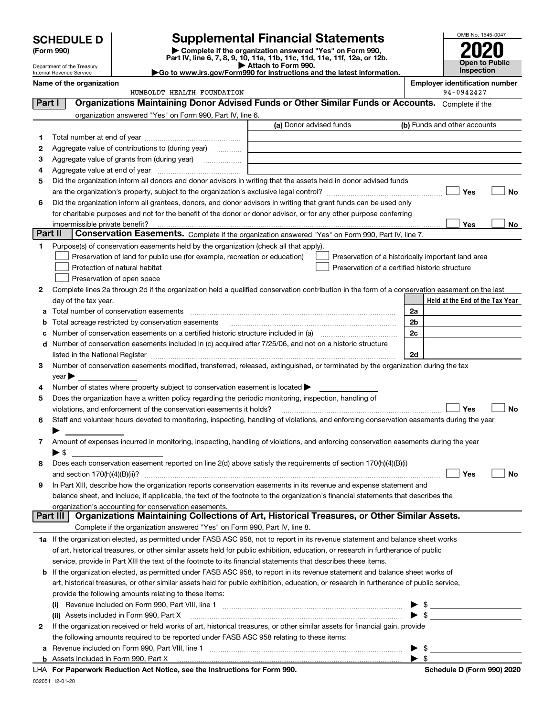| <b>SCHEDULE D</b><br>(Form 990) |                                                        |                                                                                                                                                       | <b>Supplemental Financial Statements</b>                                                                                             |                                                     | OMB No. 1545-0047 |
|---------------------------------|--------------------------------------------------------|-------------------------------------------------------------------------------------------------------------------------------------------------------|--------------------------------------------------------------------------------------------------------------------------------------|-----------------------------------------------------|-------------------|
|                                 |                                                        |                                                                                                                                                       | Complete if the organization answered "Yes" on Form 990,<br>Part IV, line 6, 7, 8, 9, 10, 11a, 11b, 11c, 11d, 11e, 11f, 12a, or 12b. |                                                     | Open to Public    |
|                                 | Department of the Treasury<br>Internal Revenue Service |                                                                                                                                                       | Attach to Form 990.<br>Go to www.irs.gov/Form990 for instructions and the latest information.                                        |                                                     | Inspection        |
|                                 | Name of the organization                               | HUMBOLDT HEALTH FOUNDATION                                                                                                                            |                                                                                                                                      | <b>Employer identification number</b><br>94-0942427 |                   |
| Part I                          |                                                        | Organizations Maintaining Donor Advised Funds or Other Similar Funds or Accounts. Complete if the                                                     |                                                                                                                                      |                                                     |                   |
|                                 |                                                        | organization answered "Yes" on Form 990, Part IV, line 6.                                                                                             |                                                                                                                                      |                                                     |                   |
|                                 |                                                        |                                                                                                                                                       | (a) Donor advised funds                                                                                                              | (b) Funds and other accounts                        |                   |
| 1                               |                                                        |                                                                                                                                                       |                                                                                                                                      |                                                     |                   |
| 2                               |                                                        | Aggregate value of contributions to (during year)                                                                                                     |                                                                                                                                      |                                                     |                   |
| 3                               |                                                        |                                                                                                                                                       |                                                                                                                                      |                                                     |                   |
| 4                               |                                                        |                                                                                                                                                       |                                                                                                                                      |                                                     |                   |
| 5                               |                                                        | Did the organization inform all donors and donor advisors in writing that the assets held in donor advised funds                                      |                                                                                                                                      |                                                     |                   |
|                                 |                                                        |                                                                                                                                                       |                                                                                                                                      | Yes                                                 | No                |
| 6                               |                                                        | Did the organization inform all grantees, donors, and donor advisors in writing that grant funds can be used only                                     |                                                                                                                                      |                                                     |                   |
|                                 |                                                        | for charitable purposes and not for the benefit of the donor or donor advisor, or for any other purpose conferring                                    |                                                                                                                                      |                                                     |                   |
|                                 | impermissible private benefit?                         |                                                                                                                                                       |                                                                                                                                      | Yes                                                 | No                |
| Part II                         |                                                        | Conservation Easements. Complete if the organization answered "Yes" on Form 990, Part IV, line 7.                                                     |                                                                                                                                      |                                                     |                   |
| 1                               |                                                        | Purpose(s) of conservation easements held by the organization (check all that apply).                                                                 |                                                                                                                                      |                                                     |                   |
|                                 |                                                        | Preservation of land for public use (for example, recreation or education)                                                                            |                                                                                                                                      | Preservation of a historically important land area  |                   |
|                                 |                                                        | Protection of natural habitat                                                                                                                         |                                                                                                                                      | Preservation of a certified historic structure      |                   |
|                                 |                                                        | Preservation of open space                                                                                                                            |                                                                                                                                      |                                                     |                   |
| 2                               |                                                        | Complete lines 2a through 2d if the organization held a qualified conservation contribution in the form of a conservation easement on the last        |                                                                                                                                      |                                                     |                   |
|                                 | day of the tax year.                                   |                                                                                                                                                       |                                                                                                                                      | Held at the End of the Tax Year                     |                   |
| а                               |                                                        |                                                                                                                                                       |                                                                                                                                      | 2a                                                  |                   |
| b                               |                                                        | Total acreage restricted by conservation easements                                                                                                    |                                                                                                                                      | 2 <sub>b</sub>                                      |                   |
| с                               |                                                        |                                                                                                                                                       |                                                                                                                                      | 2c                                                  |                   |
| d                               |                                                        | Number of conservation easements included in (c) acquired after 7/25/06, and not on a historic structure                                              |                                                                                                                                      |                                                     |                   |
|                                 |                                                        | listed in the National Register [111] March 1999 State of March 1999 State of March 1999 State of March 1999 St                                       |                                                                                                                                      | 2d                                                  |                   |
| 3                               |                                                        | Number of conservation easements modified, transferred, released, extinguished, or terminated by the organization during the tax                      |                                                                                                                                      |                                                     |                   |
|                                 | $year \blacktriangleright$                             |                                                                                                                                                       |                                                                                                                                      |                                                     |                   |
| 4                               |                                                        | Number of states where property subject to conservation easement is located $\blacktriangleright$                                                     |                                                                                                                                      |                                                     |                   |
| 5                               |                                                        | Does the organization have a written policy regarding the periodic monitoring, inspection, handling of                                                |                                                                                                                                      |                                                     |                   |
|                                 |                                                        | violations, and enforcement of the conservation easements it holds?                                                                                   |                                                                                                                                      | Yes                                                 | No                |
|                                 |                                                        | Staff and volunteer hours devoted to monitoring, inspecting, handling of violations, and enforcing conservation easements during the year             |                                                                                                                                      |                                                     |                   |
|                                 |                                                        |                                                                                                                                                       |                                                                                                                                      |                                                     |                   |
| 7                               |                                                        | Amount of expenses incurred in monitoring, inspecting, handling of violations, and enforcing conservation easements during the year                   |                                                                                                                                      |                                                     |                   |
|                                 | $\blacktriangleright$ \$                               |                                                                                                                                                       |                                                                                                                                      |                                                     |                   |
| 8                               |                                                        | Does each conservation easement reported on line 2(d) above satisfy the requirements of section 170(h)(4)(B)(i)                                       |                                                                                                                                      |                                                     |                   |
|                                 | and section $170(h)(4)(B)(ii)?$                        |                                                                                                                                                       |                                                                                                                                      | Yes                                                 | No                |
| 9                               |                                                        | In Part XIII, describe how the organization reports conservation easements in its revenue and expense statement and                                   |                                                                                                                                      |                                                     |                   |
|                                 |                                                        | balance sheet, and include, if applicable, the text of the footnote to the organization's financial statements that describes the                     |                                                                                                                                      |                                                     |                   |
|                                 | Part III                                               | organization's accounting for conservation easements.<br>Organizations Maintaining Collections of Art, Historical Treasures, or Other Similar Assets. |                                                                                                                                      |                                                     |                   |
|                                 |                                                        |                                                                                                                                                       |                                                                                                                                      |                                                     |                   |
|                                 |                                                        | Complete if the organization answered "Yes" on Form 990, Part IV, line 8.                                                                             |                                                                                                                                      |                                                     |                   |
|                                 |                                                        | 1a If the organization elected, as permitted under FASB ASC 958, not to report in its revenue statement and balance sheet works                       |                                                                                                                                      |                                                     |                   |

|   | service, provide in Part XIII the text of the footnote to its financial statements that describes these items.                          |  |  |  |  |  |
|---|-----------------------------------------------------------------------------------------------------------------------------------------|--|--|--|--|--|
|   | <b>b</b> If the organization elected, as permitted under FASB ASC 958, to report in its revenue statement and balance sheet works of    |  |  |  |  |  |
|   | art, historical treasures, or other similar assets held for public exhibition, education, or research in furtherance of public service, |  |  |  |  |  |
|   | provide the following amounts relating to these items:                                                                                  |  |  |  |  |  |
|   | Revenue included on Form 990, Part VIII, line 1<br>(i)                                                                                  |  |  |  |  |  |
|   | (ii) Assets included in Form 990, Part X                                                                                                |  |  |  |  |  |
| 2 | If the organization received or held works of art, historical treasures, or other similar assets for financial gain, provide            |  |  |  |  |  |

of art, historical treasures, or other similar assets held for public exhibition, education, or research in furtherance of public

**a**Revenue included on Form 990, Part VIII, line 1 ~~~~~~~~~~~~~~~~~~~~~~~~~~~~~~

the following amounts required to be reported under FASB ASC 958 relating to these items:

| 990. Part X |                                                   |  |
|-------------|---------------------------------------------------|--|
|             | on Act Notice, see the Instructions for Form 990. |  |

**Schedule D (Form 990) 2020** 

 $\blacktriangleright$  \$

 $\blacktriangleright$  \$

032051 12-01-20

LHA

**b** Assets included in Form 990, Part X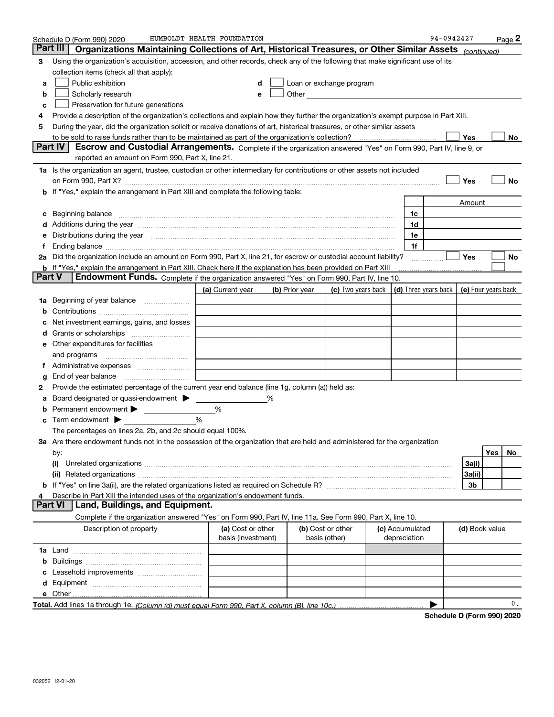|               | Schedule D (Form 990) 2020                                                                                                                                                                                                     | HUMBOLDT HEALTH FOUNDATION |                |                                                                                                                                                                                                                                |                 | 94-0942427                                               |                |     | $Page$ 2 |
|---------------|--------------------------------------------------------------------------------------------------------------------------------------------------------------------------------------------------------------------------------|----------------------------|----------------|--------------------------------------------------------------------------------------------------------------------------------------------------------------------------------------------------------------------------------|-----------------|----------------------------------------------------------|----------------|-----|----------|
| Part III      | Organizations Maintaining Collections of Art, Historical Treasures, or Other Similar Assets (continued)                                                                                                                        |                            |                |                                                                                                                                                                                                                                |                 |                                                          |                |     |          |
| з             | Using the organization's acquisition, accession, and other records, check any of the following that make significant use of its                                                                                                |                            |                |                                                                                                                                                                                                                                |                 |                                                          |                |     |          |
|               | collection items (check all that apply):                                                                                                                                                                                       |                            |                |                                                                                                                                                                                                                                |                 |                                                          |                |     |          |
| a             | Public exhibition                                                                                                                                                                                                              | d                          |                | Loan or exchange program                                                                                                                                                                                                       |                 |                                                          |                |     |          |
| b             | Scholarly research                                                                                                                                                                                                             | e                          |                | Other the contract of the contract of the contract of the contract of the contract of the contract of the contract of the contract of the contract of the contract of the contract of the contract of the contract of the cont |                 |                                                          |                |     |          |
| c             | Preservation for future generations                                                                                                                                                                                            |                            |                |                                                                                                                                                                                                                                |                 |                                                          |                |     |          |
| 4             | Provide a description of the organization's collections and explain how they further the organization's exempt purpose in Part XIII.                                                                                           |                            |                |                                                                                                                                                                                                                                |                 |                                                          |                |     |          |
| 5             | During the year, did the organization solicit or receive donations of art, historical treasures, or other similar assets                                                                                                       |                            |                |                                                                                                                                                                                                                                |                 |                                                          |                |     |          |
|               |                                                                                                                                                                                                                                |                            |                |                                                                                                                                                                                                                                |                 |                                                          | Yes            |     | No       |
|               | <b>Part IV</b><br>Escrow and Custodial Arrangements. Complete if the organization answered "Yes" on Form 990, Part IV, line 9, or                                                                                              |                            |                |                                                                                                                                                                                                                                |                 |                                                          |                |     |          |
|               | reported an amount on Form 990, Part X, line 21.                                                                                                                                                                               |                            |                |                                                                                                                                                                                                                                |                 |                                                          |                |     |          |
|               | 1a Is the organization an agent, trustee, custodian or other intermediary for contributions or other assets not included                                                                                                       |                            |                |                                                                                                                                                                                                                                |                 |                                                          |                |     |          |
|               | on Form 990, Part X? [11] matter contract the contract of the contract of the contract of the contract of the contract of the contract of the contract of the contract of the contract of the contract of the contract of the  |                            |                |                                                                                                                                                                                                                                |                 |                                                          | Yes            |     | No       |
| b             | If "Yes," explain the arrangement in Part XIII and complete the following table:                                                                                                                                               |                            |                |                                                                                                                                                                                                                                |                 |                                                          |                |     |          |
|               |                                                                                                                                                                                                                                |                            |                |                                                                                                                                                                                                                                |                 |                                                          | Amount         |     |          |
| с             | Beginning balance                                                                                                                                                                                                              |                            |                |                                                                                                                                                                                                                                | 1c              |                                                          |                |     |          |
| d             | Additions during the year manufactured and an anti-manufactured and the year manufactured and all the year manufactured and all the year manufactured and all the year manufactured and all the year manufactured and all the  |                            |                |                                                                                                                                                                                                                                | 1d              |                                                          |                |     |          |
| е             | Distributions during the year manufactured and continuum control of the year manufactured and the year manufactured and the year manufactured and the year manufactured and the year manufactured and the year manufactured an |                            |                |                                                                                                                                                                                                                                | 1e              |                                                          |                |     |          |
| f             |                                                                                                                                                                                                                                |                            |                |                                                                                                                                                                                                                                | 1f              |                                                          |                |     |          |
| 2a            | Did the organization include an amount on Form 990, Part X, line 21, for escrow or custodial account liability?                                                                                                                |                            |                |                                                                                                                                                                                                                                |                 |                                                          | Yes            |     | No       |
|               | <b>b</b> If "Yes," explain the arrangement in Part XIII. Check here if the explanation has been provided on Part XIII                                                                                                          |                            |                |                                                                                                                                                                                                                                |                 |                                                          |                |     |          |
| <b>Part V</b> | Endowment Funds. Complete if the organization answered "Yes" on Form 990, Part IV, line 10.                                                                                                                                    |                            |                |                                                                                                                                                                                                                                |                 |                                                          |                |     |          |
|               |                                                                                                                                                                                                                                | (a) Current year           | (b) Prior year | (c) Two years back                                                                                                                                                                                                             |                 | $\vert$ (d) Three years back $\vert$ (e) Four years back |                |     |          |
| 1a            | Beginning of year balance                                                                                                                                                                                                      |                            |                |                                                                                                                                                                                                                                |                 |                                                          |                |     |          |
| b             |                                                                                                                                                                                                                                |                            |                |                                                                                                                                                                                                                                |                 |                                                          |                |     |          |
|               | Net investment earnings, gains, and losses                                                                                                                                                                                     |                            |                |                                                                                                                                                                                                                                |                 |                                                          |                |     |          |
| d             |                                                                                                                                                                                                                                |                            |                |                                                                                                                                                                                                                                |                 |                                                          |                |     |          |
| е             | Other expenditures for facilities                                                                                                                                                                                              |                            |                |                                                                                                                                                                                                                                |                 |                                                          |                |     |          |
|               | and programs                                                                                                                                                                                                                   |                            |                |                                                                                                                                                                                                                                |                 |                                                          |                |     |          |
| 1.            |                                                                                                                                                                                                                                |                            |                |                                                                                                                                                                                                                                |                 |                                                          |                |     |          |
| g             | End of year balance                                                                                                                                                                                                            |                            |                |                                                                                                                                                                                                                                |                 |                                                          |                |     |          |
| 2             | Provide the estimated percentage of the current year end balance (line 1g, column (a)) held as:                                                                                                                                |                            |                |                                                                                                                                                                                                                                |                 |                                                          |                |     |          |
| а             | Board designated or quasi-endowment >                                                                                                                                                                                          |                            |                |                                                                                                                                                                                                                                |                 |                                                          |                |     |          |
| b             | Permanent endowment > 1                                                                                                                                                                                                        | %                          |                |                                                                                                                                                                                                                                |                 |                                                          |                |     |          |
| с             | Term endowment $\blacktriangleright$                                                                                                                                                                                           | %                          |                |                                                                                                                                                                                                                                |                 |                                                          |                |     |          |
|               | The percentages on lines 2a, 2b, and 2c should equal 100%.                                                                                                                                                                     |                            |                |                                                                                                                                                                                                                                |                 |                                                          |                |     |          |
|               | 3a Are there endowment funds not in the possession of the organization that are held and administered for the organization                                                                                                     |                            |                |                                                                                                                                                                                                                                |                 |                                                          |                |     |          |
|               | by:                                                                                                                                                                                                                            |                            |                |                                                                                                                                                                                                                                |                 |                                                          |                | Yes | No       |
|               | (i)                                                                                                                                                                                                                            |                            |                |                                                                                                                                                                                                                                |                 |                                                          | 3a(i)          |     |          |
|               |                                                                                                                                                                                                                                |                            |                |                                                                                                                                                                                                                                |                 |                                                          | 3a(ii)         |     |          |
|               |                                                                                                                                                                                                                                |                            |                |                                                                                                                                                                                                                                |                 |                                                          | 3 <sub>b</sub> |     |          |
|               | Describe in Part XIII the intended uses of the organization's endowment funds.                                                                                                                                                 |                            |                |                                                                                                                                                                                                                                |                 |                                                          |                |     |          |
|               | Part VI<br>Land, Buildings, and Equipment.                                                                                                                                                                                     |                            |                |                                                                                                                                                                                                                                |                 |                                                          |                |     |          |
|               | Complete if the organization answered "Yes" on Form 990, Part IV, line 11a. See Form 990, Part X, line 10.                                                                                                                     |                            |                |                                                                                                                                                                                                                                |                 |                                                          |                |     |          |
|               | Description of property                                                                                                                                                                                                        | (a) Cost or other          |                | (b) Cost or other                                                                                                                                                                                                              | (c) Accumulated |                                                          | (d) Book value |     |          |
|               |                                                                                                                                                                                                                                | basis (investment)         |                | basis (other)                                                                                                                                                                                                                  | depreciation    |                                                          |                |     |          |
|               |                                                                                                                                                                                                                                |                            |                |                                                                                                                                                                                                                                |                 |                                                          |                |     |          |
| b             |                                                                                                                                                                                                                                |                            |                |                                                                                                                                                                                                                                |                 |                                                          |                |     |          |
|               |                                                                                                                                                                                                                                |                            |                |                                                                                                                                                                                                                                |                 |                                                          |                |     |          |
| d             |                                                                                                                                                                                                                                |                            |                |                                                                                                                                                                                                                                |                 |                                                          |                |     |          |
|               |                                                                                                                                                                                                                                |                            |                |                                                                                                                                                                                                                                |                 |                                                          |                |     |          |
|               |                                                                                                                                                                                                                                |                            |                |                                                                                                                                                                                                                                |                 |                                                          |                |     | 0.       |
|               |                                                                                                                                                                                                                                |                            |                |                                                                                                                                                                                                                                |                 | Cabadule D (Faunt 000) 0000                              |                |     |          |

**Schedule D (Form 990) 2020**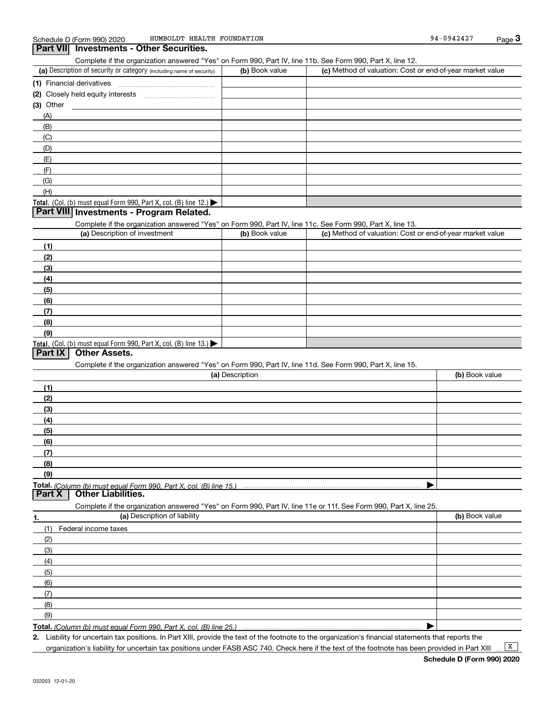#### (a) Description of security or category (including name of security)  $\vert$  (b) Book value  $\vert$  (c) **(1)**Financial derivatives Complete if the organization answered "Yes" on Form 990, Part IV, line 11b. See Form 990, Part X, line 12. (b) Book value (c) Method of valuation: Cost or end-of-year market value **3Part VII Investments - Other Securities.**

|     | (2) Closely held equity interests                                                      |  |
|-----|----------------------------------------------------------------------------------------|--|
|     | (3) Other                                                                              |  |
| (A) |                                                                                        |  |
| (B) |                                                                                        |  |
| (C) |                                                                                        |  |
|     | (D)                                                                                    |  |
|     | (E)                                                                                    |  |
|     |                                                                                        |  |
| (G) |                                                                                        |  |
|     | (H)                                                                                    |  |
|     | Total. (Col. (b) must equal Form 990, Part X, col. (B) line 12.) $\blacktriangleright$ |  |

#### **Part VIII Investments - Program Related.**

Complete if the organization answered "Yes" on Form 990, Part IV, line 11c. See Form 990, Part X, line 13.

| (a) Description of investment                                       | (b) Book value | (c) Method of valuation: Cost or end-of-year market value |
|---------------------------------------------------------------------|----------------|-----------------------------------------------------------|
| (1)                                                                 |                |                                                           |
| (2)                                                                 |                |                                                           |
| $\frac{1}{2}$                                                       |                |                                                           |
| (4)                                                                 |                |                                                           |
| $\left(5\right)$                                                    |                |                                                           |
| (6)                                                                 |                |                                                           |
| (7)                                                                 |                |                                                           |
| (8)                                                                 |                |                                                           |
| (9)                                                                 |                |                                                           |
| Total. (Col. (b) must equal Form 990, Part X, col. (B) line $13.$ ) |                |                                                           |

#### **Part IX Other Assets.**

Complete if the organization answered "Yes" on Form 990, Part IV, line 11d. See Form 990, Part X, line 15.

| (a) Description                                                                                                   | (b) Book value |
|-------------------------------------------------------------------------------------------------------------------|----------------|
| (1)                                                                                                               |                |
| (2)                                                                                                               |                |
| (3)                                                                                                               |                |
| (4)                                                                                                               |                |
| (5)                                                                                                               |                |
| (6)                                                                                                               |                |
| (7)                                                                                                               |                |
| (8)                                                                                                               |                |
| (9)                                                                                                               |                |
|                                                                                                                   |                |
| Other Liabilities.<br><b>Part X</b>                                                                               |                |
| Complete if the organization answered "Yes" on Form 990, Part IV, line 11e or 11f. See Form 990, Part X, line 25. |                |
| (a) Description of liability<br>1.                                                                                | (b) Book value |
| Federal income taxes<br>(1)                                                                                       |                |
| (2)                                                                                                               |                |

| (3) |  |
|-----|--|
| (4) |  |
| (5) |  |
| (6) |  |
| (7) |  |
| (8) |  |
| (9) |  |
|     |  |

**Total.**  *(Column (b) must equal Form 990, Part X, col. (B) line 25.)* 

**2.** Liability for uncertain tax positions. In Part XIII, provide the text of the footnote to the organization's financial statements that reports the

organization's liability for uncertain tax positions under FASB ASC 740. Check here if the text of the footnote has been provided in Part XIII

 $\boxed{\mathbf{X}}$ 

 $\blacktriangleright$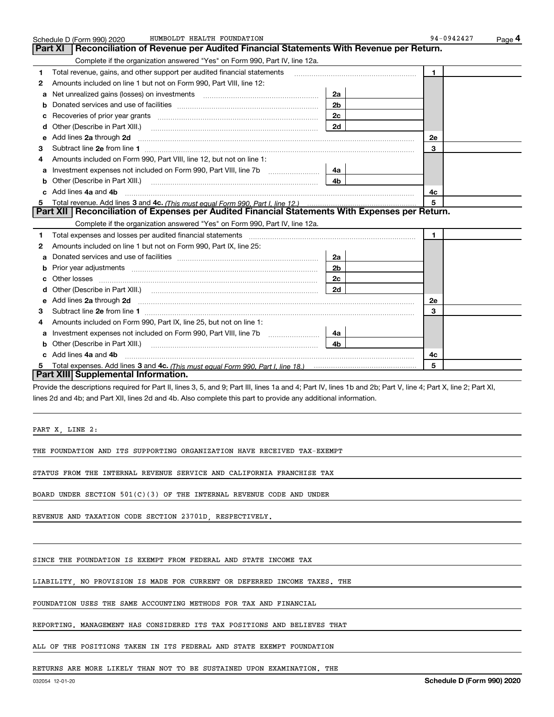|    | HUMBOLDT HEALTH FOUNDATION<br>Schedule D (Form 990) 2020                                                                                                                                                                            |                | 94-0942427   | <u>Page</u> 4 |
|----|-------------------------------------------------------------------------------------------------------------------------------------------------------------------------------------------------------------------------------------|----------------|--------------|---------------|
|    | <b>Part XI</b><br>Reconciliation of Revenue per Audited Financial Statements With Revenue per Return.                                                                                                                               |                |              |               |
|    | Complete if the organization answered "Yes" on Form 990, Part IV, line 12a.                                                                                                                                                         |                |              |               |
| 1  | Total revenue, gains, and other support per audited financial statements                                                                                                                                                            |                | $\mathbf{1}$ |               |
| 2  | Amounts included on line 1 but not on Form 990, Part VIII, line 12:                                                                                                                                                                 |                |              |               |
| a  | Net unrealized gains (losses) on investments [11] matter contracts and the unrealized gains (losses) on investments                                                                                                                 | 2a             |              |               |
|    |                                                                                                                                                                                                                                     | 2 <sub>b</sub> |              |               |
|    |                                                                                                                                                                                                                                     | 2c             |              |               |
| d  |                                                                                                                                                                                                                                     | 2d             |              |               |
| е  | Add lines 2a through 2d <b>must be a constructed as the constant of the constant of the constant of the construction</b>                                                                                                            |                | 2e           |               |
| 3  |                                                                                                                                                                                                                                     |                | 3            |               |
| 4  | Amounts included on Form 990. Part VIII, line 12, but not on line 1:                                                                                                                                                                |                |              |               |
|    | Investment expenses not included on Form 990, Part VIII, line 7b [11, 111, 111, 111]                                                                                                                                                | 4a l           |              |               |
| b  |                                                                                                                                                                                                                                     | 4 <sub>b</sub> |              |               |
| c. | Add lines 4a and 4b                                                                                                                                                                                                                 |                | 4c           |               |
| 5  |                                                                                                                                                                                                                                     |                | 5            |               |
|    | Part XII   Reconciliation of Expenses per Audited Financial Statements With Expenses per Return.                                                                                                                                    |                |              |               |
|    | Complete if the organization answered "Yes" on Form 990, Part IV, line 12a.                                                                                                                                                         |                |              |               |
| 1  | Total expenses and losses per audited financial statements [11] [12] manuscription control in the statements [13] [13] and the statements [13] and the statements [13] and the statements and the statements and the statement      |                | $\mathbf{1}$ |               |
| 2  | Amounts included on line 1 but not on Form 990, Part IX, line 25:                                                                                                                                                                   |                |              |               |
| a  |                                                                                                                                                                                                                                     | 2a             |              |               |
|    |                                                                                                                                                                                                                                     | 2 <sub>b</sub> |              |               |
| с  |                                                                                                                                                                                                                                     | 2c             |              |               |
|    |                                                                                                                                                                                                                                     | 2d             |              |               |
| е  | Add lines 2a through 2d <b>contained a contained a contained a contained a</b> contained a contained a contained a contained a contained a contained a contained a contained a contained a contained a contained a contained a cont |                | 2e           |               |
| 3  | Subtract line 2e from line 1                                                                                                                                                                                                        |                | 3            |               |
| 4  | Amounts included on Form 990, Part IX, line 25, but not on line 1:                                                                                                                                                                  |                |              |               |
| a  |                                                                                                                                                                                                                                     | 4a             |              |               |
|    |                                                                                                                                                                                                                                     | 4b.            |              |               |
|    | Add lines 4a and 4b                                                                                                                                                                                                                 |                | 4c           |               |
|    |                                                                                                                                                                                                                                     |                | 5            |               |
|    | Part XIII Supplemental Information.                                                                                                                                                                                                 |                |              |               |

Provide the descriptions required for Part II, lines 3, 5, and 9; Part III, lines 1a and 4; Part IV, lines 1b and 2b; Part V, line 4; Part X, line 2; Part XI, lines 2d and 4b; and Part XII, lines 2d and 4b. Also complete this part to provide any additional information.

PART X, LINE 2:

THE FOUNDATION AND ITS SUPPORTING ORGANIZATION HAVE RECEIVED TAX-EXEMPT

STATUS FROM THE INTERNAL REVENUE SERVICE AND CALIFORNIA FRANCHISE TAX

BOARD UNDER SECTION  $501(C)(3)$  OF THE INTERNAL REVENUE CODE AND UNDER

REVENUE AND TAXATION CODE SECTION 23701D, RESPECTIVELY.

#### SINCE THE FOUNDATION IS EXEMPT FROM FEDERAL AND STATE INCOME TAX

LIABILITY, NO PROVISION IS MADE FOR CURRENT OR DEFERRED INCOME TAXES. THE

FOUNDATION USES THE SAME ACCOUNTING METHODS FOR TAX AND FINANCIAL

REPORTING. MANAGEMENT HAS CONSIDERED ITS TAX POSITIONS AND BELIEVES THAT

ALL OF THE POSITIONS TAKEN IN ITS FEDERAL AND STATE EXEMPT FOUNDATION

RETURNS ARE MORE LIKELY THAN NOT TO BE SUSTAINED UPON EXAMINATION. THE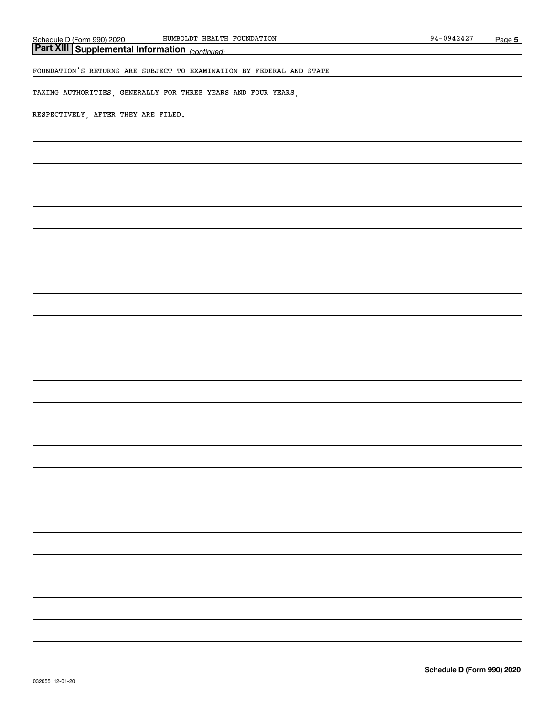*(continued)* **Part XIII Supplemental Information** 

FOUNDATION'S RETURNS ARE SUBJECT TO EXAMINATION BY FEDERAL AND STATE

TAXING AUTHORITIES, GENERALLY FOR THREE YEARS AND FOUR YEARS,

#### RESPECTIVELY, AFTER THEY ARE FILED.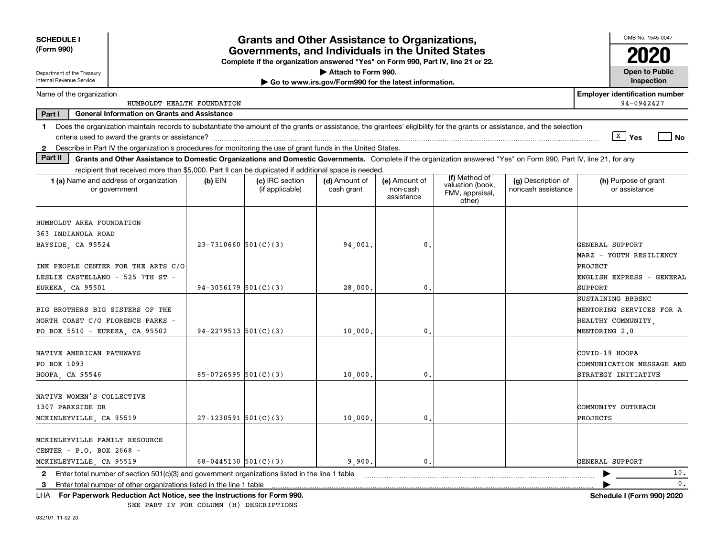| <b>SCHEDULE I</b><br>(Form 990)                                                                                                                                                | <b>Grants and Other Assistance to Organizations,</b><br>Governments, and Individuals in the United States<br>Complete if the organization answered "Yes" on Form 990, Part IV, line 21 or 22. |                                    |                                                                              |                                         |                                               |                                          |                                                                                     |  |
|--------------------------------------------------------------------------------------------------------------------------------------------------------------------------------|-----------------------------------------------------------------------------------------------------------------------------------------------------------------------------------------------|------------------------------------|------------------------------------------------------------------------------|-----------------------------------------|-----------------------------------------------|------------------------------------------|-------------------------------------------------------------------------------------|--|
| Department of the Treasury<br>Internal Revenue Service                                                                                                                         |                                                                                                                                                                                               |                                    | Attach to Form 990.<br>Go to www.irs.gov/Form990 for the latest information. |                                         |                                               |                                          | <b>Open to Public</b><br><b>Inspection</b>                                          |  |
| Name of the organization<br>HUMBOLDT HEALTH FOUNDATION                                                                                                                         |                                                                                                                                                                                               |                                    |                                                                              |                                         |                                               |                                          | <b>Employer identification number</b><br>94-0942427                                 |  |
| <b>General Information on Grants and Assistance</b><br>Part I                                                                                                                  |                                                                                                                                                                                               |                                    |                                                                              |                                         |                                               |                                          |                                                                                     |  |
| Does the organization maintain records to substantiate the amount of the grants or assistance, the grantees' eligibility for the grants or assistance, and the selection<br>1. |                                                                                                                                                                                               |                                    |                                                                              |                                         |                                               |                                          | $\sqrt{X}$ Yes<br>l No                                                              |  |
| Describe in Part IV the organization's procedures for monitoring the use of grant funds in the United States.<br>$\mathbf{2}$                                                  |                                                                                                                                                                                               |                                    |                                                                              |                                         |                                               |                                          |                                                                                     |  |
| Part II<br>Grants and Other Assistance to Domestic Organizations and Domestic Governments. Complete if the organization answered "Yes" on Form 990, Part IV, line 21, for any  |                                                                                                                                                                                               |                                    |                                                                              |                                         |                                               |                                          |                                                                                     |  |
| recipient that received more than \$5,000. Part II can be duplicated if additional space is needed.                                                                            |                                                                                                                                                                                               |                                    |                                                                              |                                         | (f) Method of                                 |                                          |                                                                                     |  |
| 1 (a) Name and address of organization<br>or government                                                                                                                        | $(b)$ EIN                                                                                                                                                                                     | (c) IRC section<br>(if applicable) | (d) Amount of<br>cash grant                                                  | (e) Amount of<br>non-cash<br>assistance | valuation (book,<br>FMV, appraisal,<br>other) | (g) Description of<br>noncash assistance | (h) Purpose of grant<br>or assistance                                               |  |
| HUMBOLDT AREA FOUNDATION<br>363 INDIANOLA ROAD                                                                                                                                 |                                                                                                                                                                                               |                                    |                                                                              |                                         |                                               |                                          |                                                                                     |  |
| BAYSIDE, CA 95524                                                                                                                                                              | $23 - 7310660$ 501(C)(3)                                                                                                                                                                      |                                    | 94,001                                                                       | $\mathbf{0}$ .                          |                                               |                                          | GENERAL SUPPORT                                                                     |  |
| INK PEOPLE CENTER FOR THE ARTS C/O<br>LESLIE CASTELLANO - 525 7TH ST -<br>EUREKA, CA 95501                                                                                     | $94-3056179$ 501(C)(3)                                                                                                                                                                        |                                    | 28,000                                                                       | 0.                                      |                                               |                                          | MARZ - YOUTH RESILIENCY<br>PROJECT<br>ENGLISH EXPRESS - GENERAL<br>SUPPORT          |  |
| BIG BROTHERS BIG SISTERS OF THE<br>NORTH COAST C/O FLORENCE PARKS -<br>PO BOX 5510 - EUREKA, CA 95502                                                                          | $94 - 2279513$ 501(C)(3)                                                                                                                                                                      |                                    | 10,000                                                                       | $\mathbf{0}$                            |                                               |                                          | SUSTAINING BBBSNC<br>MENTORING SERVICES FOR A<br>HEALTHY COMMUNITY<br>MENTORING 2.0 |  |
| NATIVE AMERICAN PATHWAYS<br>PO BOX 1093<br>HOOPA, CA 95546                                                                                                                     | $85-0726595$ 501(C)(3)                                                                                                                                                                        |                                    | 10,000                                                                       | 0.                                      |                                               |                                          | COVID-19 HOOPA<br>COMMUNICATION MESSAGE AND<br>STRATEGY INITIATIVE                  |  |
| NATIVE WOMEN'S COLLECTIVE<br>1307 PARKSIDE DR<br>MCKINLEYVILLE, CA 95519                                                                                                       | $27-1230591$ 501(C)(3)                                                                                                                                                                        |                                    | 10,000                                                                       | 0.                                      |                                               |                                          | COMMUNITY OUTREACH<br>PROJECTS                                                      |  |
| MCKINLEYVILLE FAMILY RESOURCE<br>CENTER - P.O. BOX 2668 -<br>MCKINLEYVILLE, CA 95519                                                                                           | 68-0445130 $501(C)(3)$                                                                                                                                                                        |                                    | 9,900,                                                                       | 0.                                      |                                               |                                          | GENERAL SUPPORT                                                                     |  |
| Enter total number of section 501(c)(3) and government organizations listed in the line 1 table<br>$\mathbf{2}$                                                                |                                                                                                                                                                                               |                                    |                                                                              |                                         |                                               |                                          | 10.                                                                                 |  |
| Enter total number of other organizations listed in the line 1 table<br>3                                                                                                      |                                                                                                                                                                                               |                                    |                                                                              |                                         |                                               |                                          | 0.                                                                                  |  |
| For Paperwork Reduction Act Notice, see the Instructions for Form 990.<br>LHA                                                                                                  |                                                                                                                                                                                               |                                    |                                                                              |                                         |                                               |                                          | Schedule I (Form 990) 2020                                                          |  |

SEE PART IV FOR COLUMN (H) DESCRIPTIONS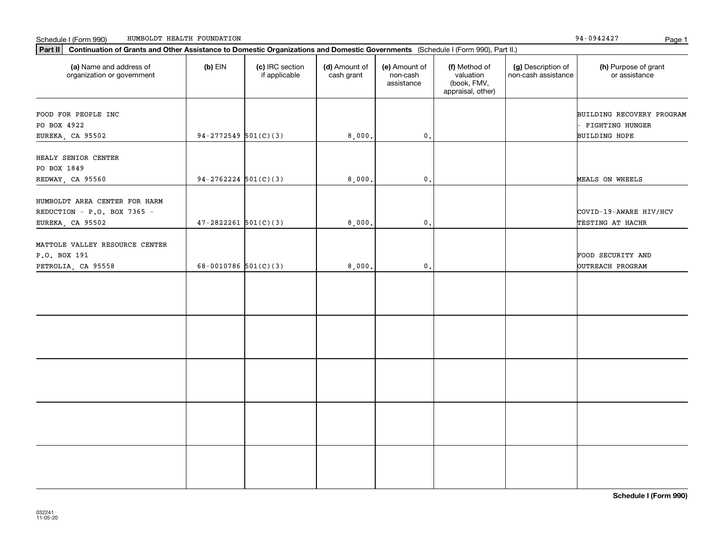| Schedule I (Form 990) |  | ' HEALTH FOUNDATION<br>HUMBOLDT | 0.1010<br>94<br>94447 | Page |  |
|-----------------------|--|---------------------------------|-----------------------|------|--|
|-----------------------|--|---------------------------------|-----------------------|------|--|

94-0942427

| (a) Name and address of<br>organization or government        | $(b)$ EIN                | (c) IRC section<br>if applicable | (d) Amount of<br>cash grant | (e) Amount of<br>non-cash<br>assistance | (f) Method of<br>valuation<br>(book, FMV,<br>appraisal, other) | (g) Description of<br>non-cash assistance | (h) Purpose of grant<br>or assistance               |
|--------------------------------------------------------------|--------------------------|----------------------------------|-----------------------------|-----------------------------------------|----------------------------------------------------------------|-------------------------------------------|-----------------------------------------------------|
| FOOD FOR PEOPLE INC<br>PO BOX 4922                           |                          |                                  |                             |                                         |                                                                |                                           | BUILDING RECOVERY PROGRAM<br><b>FIGHTING HUNGER</b> |
| EUREKA, CA 95502                                             | $94-2772549$ 501(C)(3)   |                                  | 8,000.                      | 0.                                      |                                                                |                                           | <b>BUILDING HOPE</b>                                |
| HEALY SENIOR CENTER<br>PO BOX 1849                           |                          |                                  |                             |                                         |                                                                |                                           |                                                     |
| REDWAY, CA 95560                                             | $94-2762224$ 501(C)(3)   |                                  | 8,000.                      | $\mathbf{0}$ .                          |                                                                |                                           | MEALS ON WHEELS                                     |
| HUMBOLDT AREA CENTER FOR HARM<br>REDUCTION - P.O. BOX 7365 - | $47 - 2822261$ 501(C)(3) |                                  | 8,000.                      | $\mathbf{0}$ .                          |                                                                |                                           | COVID-19-AWARE HIV/HCV<br>TESTING AT HACHR          |
| EUREKA, CA 95502                                             |                          |                                  |                             |                                         |                                                                |                                           |                                                     |
| MATTOLE VALLEY RESOURCE CENTER<br>P.O. BOX 191               |                          |                                  |                             |                                         |                                                                |                                           | FOOD SECURITY AND                                   |
| PETROLIA, CA 95558                                           | 68-0010786 $501(C)(3)$   |                                  | 8,000.                      | 0.                                      |                                                                |                                           | OUTREACH PROGRAM                                    |
|                                                              |                          |                                  |                             |                                         |                                                                |                                           |                                                     |
|                                                              |                          |                                  |                             |                                         |                                                                |                                           |                                                     |
|                                                              |                          |                                  |                             |                                         |                                                                |                                           |                                                     |
|                                                              |                          |                                  |                             |                                         |                                                                |                                           |                                                     |
|                                                              |                          |                                  |                             |                                         |                                                                |                                           |                                                     |
|                                                              |                          |                                  |                             |                                         |                                                                |                                           |                                                     |
|                                                              |                          |                                  |                             |                                         |                                                                |                                           |                                                     |
|                                                              |                          |                                  |                             |                                         |                                                                |                                           |                                                     |

**Schedule I (Form 990)**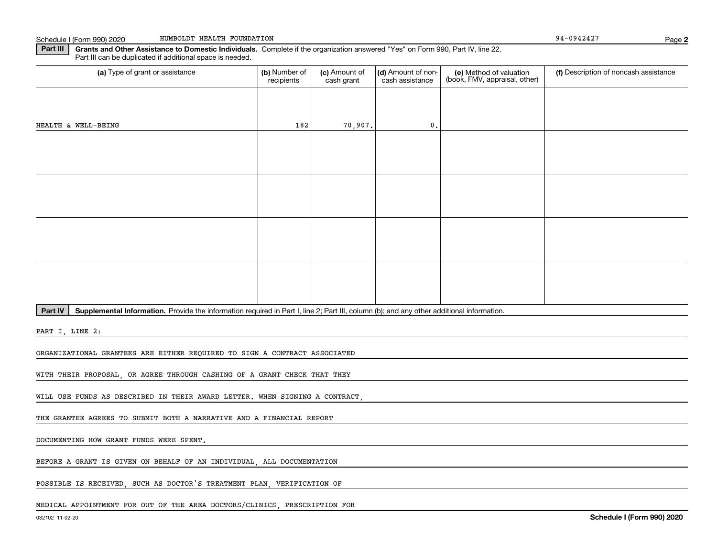**Part III** | Grants and Other Assistance to Domestic Individuals. Complete if the organization answered "Yes" on Form 990, Part IV, line 22. Part III can be duplicated if additional space is needed.

| (a) Type of grant or assistance | (b) Number of<br>recipients | (c) Amount of<br>cash grant | (d) Amount of non-<br>cash assistance | (e) Method of valuation<br>(book, FMV, appraisal, other) | (f) Description of noncash assistance |
|---------------------------------|-----------------------------|-----------------------------|---------------------------------------|----------------------------------------------------------|---------------------------------------|
|                                 |                             |                             |                                       |                                                          |                                       |
| HEALTH & WELL-BEING             | $182$                       | 70,907.                     | $\mathbf{0}$ .                        |                                                          |                                       |
|                                 |                             |                             |                                       |                                                          |                                       |
|                                 |                             |                             |                                       |                                                          |                                       |
|                                 |                             |                             |                                       |                                                          |                                       |
|                                 |                             |                             |                                       |                                                          |                                       |
|                                 |                             |                             |                                       |                                                          |                                       |
|                                 |                             |                             |                                       |                                                          |                                       |
|                                 |                             |                             |                                       |                                                          |                                       |
|                                 |                             |                             |                                       |                                                          |                                       |

Part IV | Supplemental Information. Provide the information required in Part I, line 2; Part III, column (b); and any other additional information.

PART I, LINE 2:

ORGANIZATIONAL GRANTEES ARE EITHER REQUIRED TO SIGN A CONTRACT ASSOCIATED

WITH THEIR PROPOSAL, OR AGREE THROUGH CASHING OF A GRANT CHECK THAT THEY

WILL USE FUNDS AS DESCRIBED IN THEIR AWARD LETTER. WHEN SIGNING A CONTRACT,

THE GRANTEE AGREES TO SUBMIT BOTH A NARRATIVE AND A FINANCIAL REPORT

DOCUMENTING HOW GRANT FUNDS WERE SPENT.

BEFORE A GRANT IS GIVEN ON BEHALF OF AN INDIVIDUAL, ALL DOCUMENTATION

POSSIBLE IS RECEIVED, SUCH AS DOCTOR'S TREATMENT PLAN, VERIFICATION OF

MEDICAL APPOINTMENT FOR OUT OF THE AREA DOCTORS/CLINICS, PRESCRIPTION FOR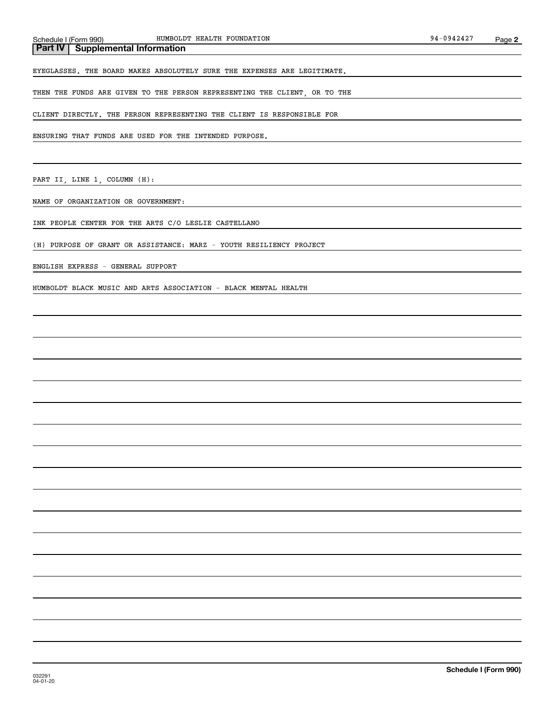#### **Part IV Supplemental Information**

EYEGLASSES. THE BOARD MAKES ABSOLUTELY SURE THE EXPENSES ARE LEGITIMATE.

THEN THE FUNDS ARE GIVEN TO THE PERSON REPRESENTING THE CLIENT, OR TO THE

CLIENT DIRECTLY. THE PERSON REPRESENTING THE CLIENT IS RESPONSIBLE FOR

ENSURING THAT FUNDS ARE USED FOR THE INTENDED PURPOSE.

PART II, LINE 1, COLUMN (H):

NAME OF ORGANIZATION OR GOVERNMENT:

INK PEOPLE CENTER FOR THE ARTS C/O LESLIE CASTELLANO

(H) PURPOSE OF GRANT OR ASSISTANCE: MARZ - YOUTH RESILIENCY PROJECT

ENGLISH EXPRESS - GENERAL SUPPORT

HUMBOLDT BLACK MUSIC AND ARTS ASSOCIATION - BLACK MENTAL HEALTH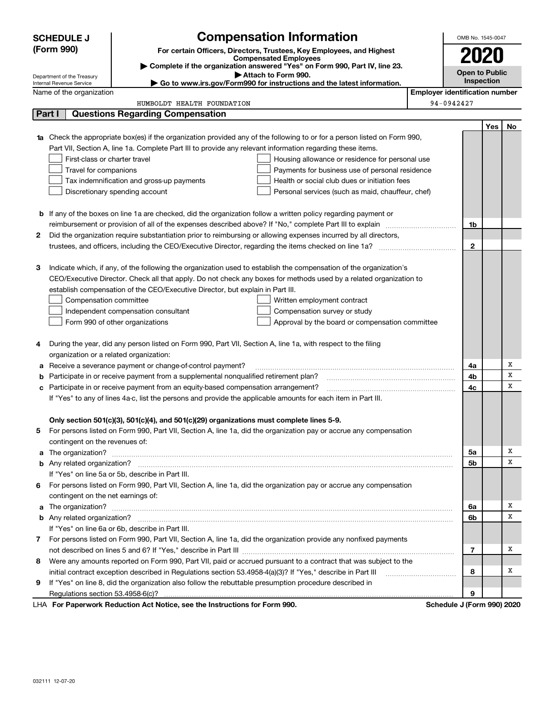|        | <b>SCHEDULE J</b>                       |                                                                                                                        | <b>Compensation Information</b>                                                                                        |                                       | OMB No. 1545-0047          |            |    |  |  |  |
|--------|-----------------------------------------|------------------------------------------------------------------------------------------------------------------------|------------------------------------------------------------------------------------------------------------------------|---------------------------------------|----------------------------|------------|----|--|--|--|
|        | (Form 990)                              |                                                                                                                        | For certain Officers, Directors, Trustees, Key Employees, and Highest                                                  |                                       |                            |            |    |  |  |  |
|        |                                         |                                                                                                                        | <b>Compensated Employees</b><br>> Complete if the organization answered "Yes" on Form 990, Part IV, line 23.           |                                       | <b>2020</b>                |            |    |  |  |  |
|        | Department of the Treasury              |                                                                                                                        | Attach to Form 990.                                                                                                    |                                       | <b>Open to Public</b>      |            |    |  |  |  |
|        | Internal Revenue Service                |                                                                                                                        | ► Go to www.irs.gov/Form990 for instructions and the latest information.                                               |                                       |                            | Inspection |    |  |  |  |
|        | Name of the organization                |                                                                                                                        |                                                                                                                        | <b>Employer identification number</b> |                            |            |    |  |  |  |
|        |                                         | HUMBOLDT HEALTH FOUNDATION                                                                                             |                                                                                                                        | 94-0942427                            |                            |            |    |  |  |  |
| Part I |                                         | <b>Questions Regarding Compensation</b>                                                                                |                                                                                                                        |                                       |                            |            |    |  |  |  |
|        |                                         |                                                                                                                        |                                                                                                                        |                                       |                            | Yes        | No |  |  |  |
| 1a     |                                         |                                                                                                                        | Check the appropriate box(es) if the organization provided any of the following to or for a person listed on Form 990, |                                       |                            |            |    |  |  |  |
|        |                                         | Part VII, Section A, line 1a. Complete Part III to provide any relevant information regarding these items.             |                                                                                                                        |                                       |                            |            |    |  |  |  |
|        | First-class or charter travel           |                                                                                                                        | Housing allowance or residence for personal use                                                                        |                                       |                            |            |    |  |  |  |
|        | Travel for companions                   | Tax indemnification and gross-up payments                                                                              | Payments for business use of personal residence<br>Health or social club dues or initiation fees                       |                                       |                            |            |    |  |  |  |
|        |                                         | Discretionary spending account                                                                                         | Personal services (such as maid, chauffeur, chef)                                                                      |                                       |                            |            |    |  |  |  |
|        |                                         |                                                                                                                        |                                                                                                                        |                                       |                            |            |    |  |  |  |
|        |                                         | <b>b</b> If any of the boxes on line 1a are checked, did the organization follow a written policy regarding payment or |                                                                                                                        |                                       |                            |            |    |  |  |  |
|        |                                         |                                                                                                                        |                                                                                                                        |                                       | 1b                         |            |    |  |  |  |
| 2      |                                         |                                                                                                                        | Did the organization require substantiation prior to reimbursing or allowing expenses incurred by all directors,       |                                       |                            |            |    |  |  |  |
|        |                                         |                                                                                                                        |                                                                                                                        |                                       | $\mathbf{2}$               |            |    |  |  |  |
|        |                                         |                                                                                                                        |                                                                                                                        |                                       |                            |            |    |  |  |  |
| з      |                                         |                                                                                                                        | Indicate which, if any, of the following the organization used to establish the compensation of the organization's     |                                       |                            |            |    |  |  |  |
|        |                                         |                                                                                                                        | CEO/Executive Director. Check all that apply. Do not check any boxes for methods used by a related organization to     |                                       |                            |            |    |  |  |  |
|        |                                         | establish compensation of the CEO/Executive Director, but explain in Part III.                                         |                                                                                                                        |                                       |                            |            |    |  |  |  |
|        | Compensation committee                  |                                                                                                                        | Written employment contract                                                                                            |                                       |                            |            |    |  |  |  |
|        |                                         | Independent compensation consultant                                                                                    | Compensation survey or study                                                                                           |                                       |                            |            |    |  |  |  |
|        |                                         | Form 990 of other organizations                                                                                        | Approval by the board or compensation committee                                                                        |                                       |                            |            |    |  |  |  |
|        |                                         |                                                                                                                        |                                                                                                                        |                                       |                            |            |    |  |  |  |
| 4      |                                         | During the year, did any person listed on Form 990, Part VII, Section A, line 1a, with respect to the filing           |                                                                                                                        |                                       |                            |            |    |  |  |  |
|        | organization or a related organization: |                                                                                                                        |                                                                                                                        |                                       |                            |            |    |  |  |  |
| а      |                                         | Receive a severance payment or change-of-control payment?                                                              |                                                                                                                        |                                       | 4a                         |            | х  |  |  |  |
| b      |                                         | Participate in or receive payment from a supplemental nonqualified retirement plan?                                    |                                                                                                                        |                                       | 4b                         |            | x  |  |  |  |
| с      |                                         | Participate in or receive payment from an equity-based compensation arrangement?                                       |                                                                                                                        |                                       | 4с                         |            | x  |  |  |  |
|        |                                         | If "Yes" to any of lines 4a-c, list the persons and provide the applicable amounts for each item in Part III.          |                                                                                                                        |                                       |                            |            |    |  |  |  |
|        |                                         |                                                                                                                        |                                                                                                                        |                                       |                            |            |    |  |  |  |
|        |                                         | Only section 501(c)(3), 501(c)(4), and 501(c)(29) organizations must complete lines 5-9.                               |                                                                                                                        |                                       |                            |            |    |  |  |  |
|        |                                         |                                                                                                                        | 5 For persons listed on Form 990, Part VII, Section A, line 1a, did the organization pay or accrue any compensation    |                                       |                            |            |    |  |  |  |
|        | contingent on the revenues of:          |                                                                                                                        |                                                                                                                        |                                       |                            |            |    |  |  |  |
|        |                                         |                                                                                                                        | a The organization? <b>Constitution</b> and the organization?                                                          |                                       | 5a                         |            | х  |  |  |  |
|        |                                         |                                                                                                                        |                                                                                                                        |                                       | 5b                         |            | x  |  |  |  |
|        |                                         | If "Yes" on line 5a or 5b, describe in Part III.                                                                       |                                                                                                                        |                                       |                            |            |    |  |  |  |
| 6.     |                                         |                                                                                                                        | For persons listed on Form 990, Part VII, Section A, line 1a, did the organization pay or accrue any compensation      |                                       |                            |            |    |  |  |  |
|        | contingent on the net earnings of:      |                                                                                                                        |                                                                                                                        |                                       |                            |            |    |  |  |  |
|        |                                         |                                                                                                                        | a The organization? <b>Entitation</b> and the organization?                                                            |                                       | 6a                         |            | х  |  |  |  |
|        |                                         |                                                                                                                        |                                                                                                                        |                                       | 6b                         |            | x  |  |  |  |
|        |                                         | If "Yes" on line 6a or 6b, describe in Part III.                                                                       |                                                                                                                        |                                       |                            |            |    |  |  |  |
|        |                                         |                                                                                                                        | 7 For persons listed on Form 990, Part VII, Section A, line 1a, did the organization provide any nonfixed payments     |                                       |                            |            |    |  |  |  |
|        |                                         |                                                                                                                        |                                                                                                                        |                                       | 7                          |            | х  |  |  |  |
| 8      |                                         |                                                                                                                        | Were any amounts reported on Form 990, Part VII, paid or accrued pursuant to a contract that was subject to the        |                                       |                            |            |    |  |  |  |
|        |                                         | initial contract exception described in Regulations section 53.4958-4(a)(3)? If "Yes," describe in Part III            |                                                                                                                        |                                       | 8                          |            | х  |  |  |  |
| 9      |                                         | If "Yes" on line 8, did the organization also follow the rebuttable presumption procedure described in                 |                                                                                                                        |                                       |                            |            |    |  |  |  |
|        |                                         |                                                                                                                        |                                                                                                                        |                                       | 9                          |            |    |  |  |  |
|        |                                         | LHA For Paperwork Reduction Act Notice, see the Instructions for Form 990.                                             |                                                                                                                        |                                       | Schedule J (Form 990) 2020 |            |    |  |  |  |

032111 12-07-20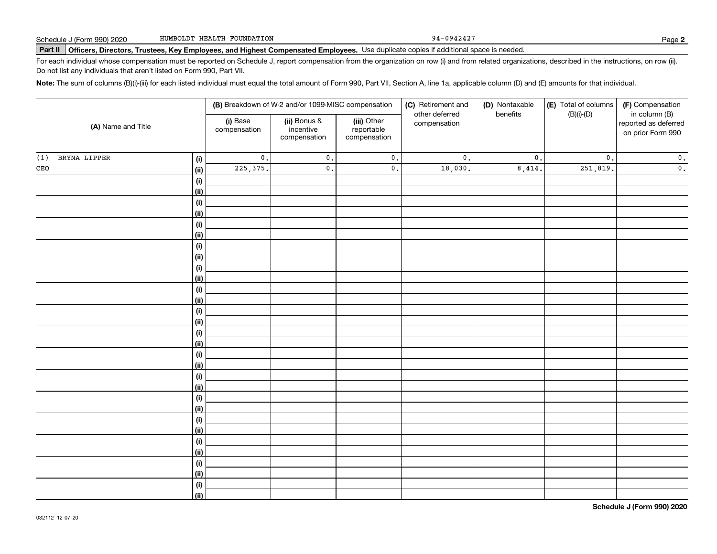94-0942427

# **Part II Officers, Directors, Trustees, Key Employees, and Highest Compensated Employees.**  Schedule J (Form 990) 2020 Page Use duplicate copies if additional space is needed.

For each individual whose compensation must be reported on Schedule J, report compensation from the organization on row (i) and from related organizations, described in the instructions, on row (ii). Do not list any individuals that aren't listed on Form 990, Part VII.

**Note:**  The sum of columns (B)(i)-(iii) for each listed individual must equal the total amount of Form 990, Part VII, Section A, line 1a, applicable column (D) and (E) amounts for that individual.

|                     |                              |                          | (B) Breakdown of W-2 and/or 1099-MISC compensation |                                           | (C) Retirement and<br>other deferred | (D) Nontaxable<br>benefits | (E) Total of columns<br>$(B)(i)-(D)$ | (F) Compensation<br>in column (B)         |
|---------------------|------------------------------|--------------------------|----------------------------------------------------|-------------------------------------------|--------------------------------------|----------------------------|--------------------------------------|-------------------------------------------|
| (A) Name and Title  |                              | (i) Base<br>compensation | (ii) Bonus &<br>incentive<br>compensation          | (iii) Other<br>reportable<br>compensation | compensation                         |                            |                                      | reported as deferred<br>on prior Form 990 |
| BRYNA LIPPER<br>(1) | $\qquad \qquad \textbf{(i)}$ | $\mathbf 0$ .            | $\mathfrak o$ .                                    | $\mathbf 0$ .                             | $\mathfrak o$ .                      | $\mathfrak o$ .            | $\mathbf{0}$ .                       | $\mathbf 0$ .                             |
| $\mathtt{CEO}$      | <u>(ii)</u>                  | 225, 375.                | $\mathfrak o$ .                                    | $\mathbf 0$ .                             | 18,030.                              | 8,414.                     | 251,819.                             | $\overline{\mathbf{0}}$ .                 |
|                     | $\qquad \qquad \textbf{(i)}$ |                          |                                                    |                                           |                                      |                            |                                      |                                           |
|                     | <u>(ii)</u>                  |                          |                                                    |                                           |                                      |                            |                                      |                                           |
|                     | (i)                          |                          |                                                    |                                           |                                      |                            |                                      |                                           |
|                     | <u>(ii)</u>                  |                          |                                                    |                                           |                                      |                            |                                      |                                           |
|                     | (i)                          |                          |                                                    |                                           |                                      |                            |                                      |                                           |
|                     | <u>(ii)</u>                  |                          |                                                    |                                           |                                      |                            |                                      |                                           |
|                     | (i)                          |                          |                                                    |                                           |                                      |                            |                                      |                                           |
|                     | <u>(ii)</u>                  |                          |                                                    |                                           |                                      |                            |                                      |                                           |
|                     | $\qquad \qquad \textbf{(i)}$ |                          |                                                    |                                           |                                      |                            |                                      |                                           |
|                     | <u>(ii)</u>                  |                          |                                                    |                                           |                                      |                            |                                      |                                           |
|                     | $\qquad \qquad \textbf{(i)}$ |                          |                                                    |                                           |                                      |                            |                                      |                                           |
|                     | <u>(ii)</u>                  |                          |                                                    |                                           |                                      |                            |                                      |                                           |
|                     | $(\sf{i})$<br><u>(ii)</u>    |                          |                                                    |                                           |                                      |                            |                                      |                                           |
|                     | $(\sf{i})$                   |                          |                                                    |                                           |                                      |                            |                                      |                                           |
|                     | <u>(ii)</u>                  |                          |                                                    |                                           |                                      |                            |                                      |                                           |
|                     | (i)                          |                          |                                                    |                                           |                                      |                            |                                      |                                           |
|                     | <u>(ii)</u>                  |                          |                                                    |                                           |                                      |                            |                                      |                                           |
|                     | (i)                          |                          |                                                    |                                           |                                      |                            |                                      |                                           |
|                     | <u>(ii)</u>                  |                          |                                                    |                                           |                                      |                            |                                      |                                           |
|                     | (i)                          |                          |                                                    |                                           |                                      |                            |                                      |                                           |
|                     | <u>(ii)</u>                  |                          |                                                    |                                           |                                      |                            |                                      |                                           |
|                     | $\qquad \qquad \textbf{(i)}$ |                          |                                                    |                                           |                                      |                            |                                      |                                           |
|                     | <u>(ii)</u>                  |                          |                                                    |                                           |                                      |                            |                                      |                                           |
|                     | (i)                          |                          |                                                    |                                           |                                      |                            |                                      |                                           |
|                     | <u>(ii)</u>                  |                          |                                                    |                                           |                                      |                            |                                      |                                           |
|                     | $(\sf{i})$                   |                          |                                                    |                                           |                                      |                            |                                      |                                           |
|                     | <u>(ii)</u>                  |                          |                                                    |                                           |                                      |                            |                                      |                                           |
|                     | (i)                          |                          |                                                    |                                           |                                      |                            |                                      |                                           |
|                     | $\overline{}}$               |                          |                                                    |                                           |                                      |                            |                                      |                                           |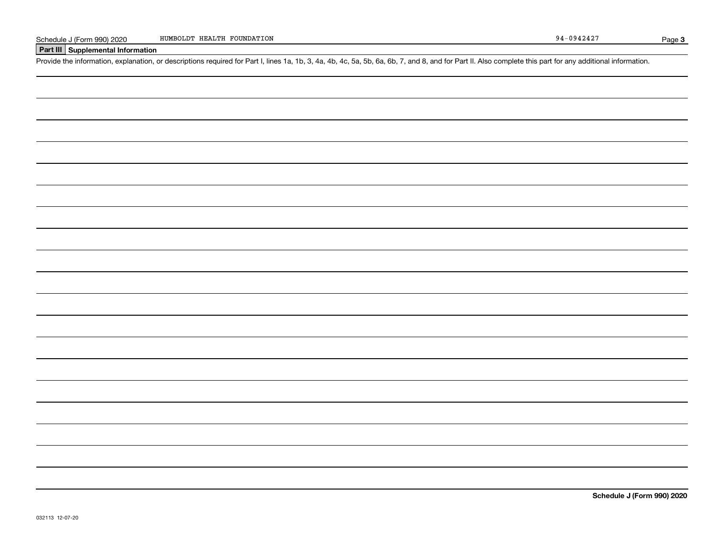#### **Part III Supplemental Information**

Schedule J (Form 990) 2020 HUMBOLDT HEALTH FOUNDATION<br>Part III Supplemental Information<br>Provide the information, explanation, or descriptions required for Part I, lines 1a, 1b, 3, 4a, 4b, 4c, 5a, 5b, 6a, 6b, 7, and 8, and

**Schedule J (Form 990) 2020**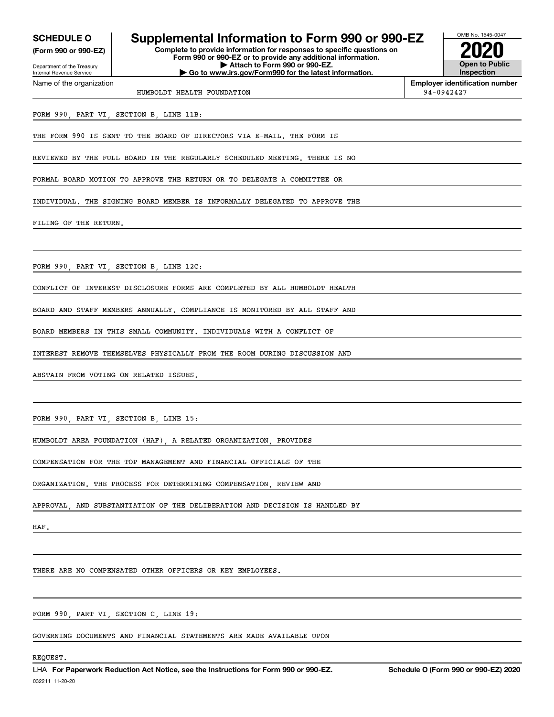Internal Revenue Service

Department of the Treasury **(Form 990 or 990-EZ)**

Name of the organization

### **SCHEDULE O Supplemental Information to Form 990 or 990-EZ**

**Complete to provide information for responses to specific questions on Form 990 or 990-EZ or to provide any additional information. | Attach to Form 990 or 990-EZ. | Go to www.irs.gov/Form990 for the latest information.**



**Employer identification number**

HUMBOLDT HEALTH FOUNDATION 94-0942427

FORM 990, PART VI, SECTION B, LINE 11B:

THE FORM 990 IS SENT TO THE BOARD OF DIRECTORS VIA E-MAIL. THE FORM IS

REVIEWED BY THE FULL BOARD IN THE REGULARLY SCHEDULED MEETING. THERE IS NO

FORMAL BOARD MOTION TO APPROVE THE RETURN OR TO DELEGATE A COMMITTEE OR

INDIVIDUAL. THE SIGNING BOARD MEMBER IS INFORMALLY DELEGATED TO APPROVE THE

FILING OF THE RETURN.

FORM 990, PART VI, SECTION B, LINE 12C:

CONFLICT OF INTEREST DISCLOSURE FORMS ARE COMPLETED BY ALL HUMBOLDT HEALTH

BOARD AND STAFF MEMBERS ANNUALLY. COMPLIANCE IS MONITORED BY ALL STAFF AND

BOARD MEMBERS IN THIS SMALL COMMUNITY. INDIVIDUALS WITH A CONFLICT OF

INTEREST REMOVE THEMSELVES PHYSICALLY FROM THE ROOM DURING DISCUSSION AND

ABSTAIN FROM VOTING ON RELATED ISSUES.

FORM 990, PART VI, SECTION B, LINE 15:

HUMBOLDT AREA FOUNDATION (HAF), A RELATED ORGANIZATION, PROVIDES

COMPENSATION FOR THE TOP MANAGEMENT AND FINANCIAL OFFICIALS OF THE

ORGANIZATION. THE PROCESS FOR DETERMINING COMPENSATION, REVIEW AND

APPROVAL, AND SUBSTANTIATION OF THE DELIBERATION AND DECISION IS HANDLED BY

HAF.

THERE ARE NO COMPENSATED OTHER OFFICERS OR KEY EMPLOYEES.

FORM 990, PART VI, SECTION C, LINE 19:

GOVERNING DOCUMENTS AND FINANCIAL STATEMENTS ARE MADE AVAILABLE UPON

#### REQUEST.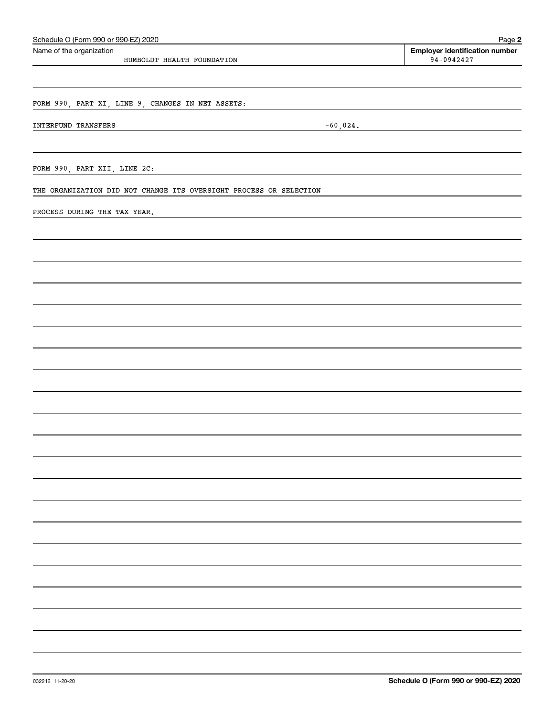| Schedule O (Form 990 or 990-EZ) 2020                               |             | Page 2                                |
|--------------------------------------------------------------------|-------------|---------------------------------------|
| Name of the organization                                           |             | <b>Employer identification number</b> |
| HUMBOLDT HEALTH FOUNDATION                                         |             | $94 - 0942427$                        |
|                                                                    |             |                                       |
|                                                                    |             |                                       |
| FORM 990, PART XI, LINE 9, CHANGES IN NET ASSETS:                  |             |                                       |
| INTERFUND TRANSFERS                                                | $-60,024$ . |                                       |
|                                                                    |             |                                       |
|                                                                    |             |                                       |
| FORM 990, PART XII, LINE 2C:                                       |             |                                       |
|                                                                    |             |                                       |
| THE ORGANIZATION DID NOT CHANGE ITS OVERSIGHT PROCESS OR SELECTION |             |                                       |
| PROCESS DURING THE TAX YEAR.                                       |             |                                       |
|                                                                    |             |                                       |
|                                                                    |             |                                       |
|                                                                    |             |                                       |
|                                                                    |             |                                       |
|                                                                    |             |                                       |
|                                                                    |             |                                       |
|                                                                    |             |                                       |
|                                                                    |             |                                       |
|                                                                    |             |                                       |
|                                                                    |             |                                       |
|                                                                    |             |                                       |
|                                                                    |             |                                       |
|                                                                    |             |                                       |
|                                                                    |             |                                       |
|                                                                    |             |                                       |
|                                                                    |             |                                       |
|                                                                    |             |                                       |
|                                                                    |             |                                       |
|                                                                    |             |                                       |
|                                                                    |             |                                       |
|                                                                    |             |                                       |
|                                                                    |             |                                       |
|                                                                    |             |                                       |
|                                                                    |             |                                       |
|                                                                    |             |                                       |
|                                                                    |             |                                       |
|                                                                    |             |                                       |
|                                                                    |             |                                       |
|                                                                    |             |                                       |
|                                                                    |             |                                       |
|                                                                    |             |                                       |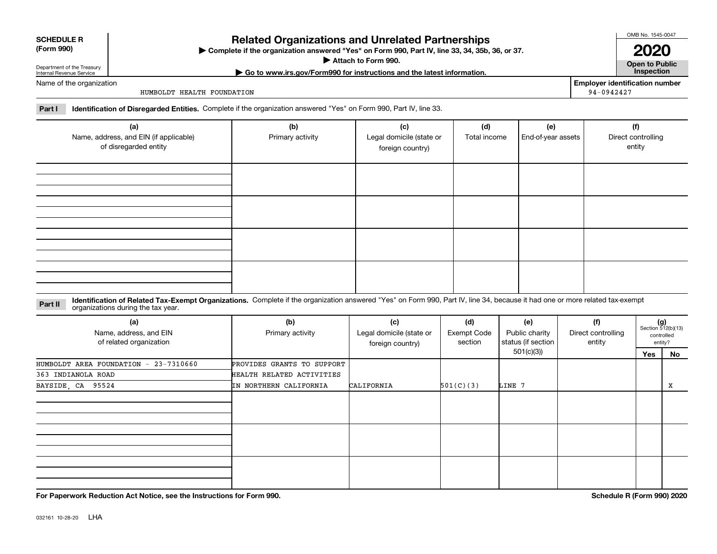| <b>SCHEDULE R</b> |  |
|-------------------|--|
|                   |  |

#### **(Form 990)**

## **Related Organizations and Unrelated Partnerships**

**Complete if the organization answered "Yes" on Form 990, Part IV, line 33, 34, 35b, 36, or 37.** |

**Attach to Form 990.**  |

**| Go to www.irs.gov/Form990 for instructions and the latest information. Inspection**

Name of the organization

Department of the Treasury Internal Revenue Service

HUMBOLDT HEALTH FOUNDATION

**Employer identification number** 94-0942427

OMB No. 1545-0047

**2020**

**Open to Public**

**Part I Identification of Disregarded Entities.**  Complete if the organization answered "Yes" on Form 990, Part IV, line 33.

| (a)<br>Name, address, and EIN (if applicable)<br>of disregarded entity | (b)<br>Primary activity | (c)<br>Legal domicile (state or<br>foreign country) | (d)<br>Total income | (e)<br>End-of-year assets | (f)<br>Direct controlling<br>entity |
|------------------------------------------------------------------------|-------------------------|-----------------------------------------------------|---------------------|---------------------------|-------------------------------------|
|                                                                        |                         |                                                     |                     |                           |                                     |
|                                                                        |                         |                                                     |                     |                           |                                     |
|                                                                        |                         |                                                     |                     |                           |                                     |
|                                                                        |                         |                                                     |                     |                           |                                     |

**Identification of Related Tax-Exempt Organizations.** Complete if the organization answered "Yes" on Form 990, Part IV, line 34, because it had one or more related tax-exempt **Part II** organizations during the tax year.

| (a)<br>Name, address, and EIN<br>of related organization | (b)<br>Primary activity    | (c)<br>Legal domicile (state or<br>foreign country) | (d)<br>Exempt Code<br>section | (e)<br>Public charity<br>status (if section | (f)<br>Direct controlling<br>entity |     | $(g)$<br>Section 512(b)(13)<br>controlled<br>entity? |
|----------------------------------------------------------|----------------------------|-----------------------------------------------------|-------------------------------|---------------------------------------------|-------------------------------------|-----|------------------------------------------------------|
|                                                          |                            |                                                     |                               | 501(c)(3))                                  |                                     | Yes | No                                                   |
| HUMBOLDT AREA FOUNDATION - 23-7310660                    | PROVIDES GRANTS TO SUPPORT |                                                     |                               |                                             |                                     |     |                                                      |
| 363 INDIANOLA ROAD                                       | HEALTH RELATED ACTIVITIES  |                                                     |                               |                                             |                                     |     |                                                      |
| BAYSIDE, CA 95524                                        | IN NORTHERN CALIFORNIA     | CALIFORNIA                                          | 501(C)(3)                     | LINE 7                                      |                                     |     | x                                                    |
|                                                          |                            |                                                     |                               |                                             |                                     |     |                                                      |
|                                                          |                            |                                                     |                               |                                             |                                     |     |                                                      |
|                                                          |                            |                                                     |                               |                                             |                                     |     |                                                      |

**For Paperwork Reduction Act Notice, see the Instructions for Form 990. Schedule R (Form 990) 2020**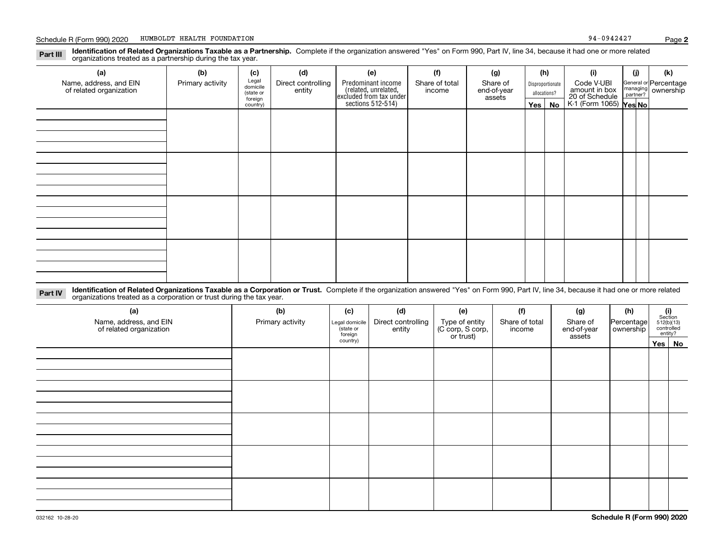**Identification of Related Organizations Taxable as a Partnership.** Complete if the organization answered "Yes" on Form 990, Part IV, line 34, because it had one or more related **Part III** organizations treated as a partnership during the tax year.

| (a)<br>Name, address, and EIN<br>of related organization | (b)<br>Primary activity | (c)<br>Legal<br>domicile<br>(state or<br>foreign<br>country) | (d)<br>Direct controlling<br>entity | (e)<br>Predominant income<br>(related, unrelated,<br>excluded from tax under<br>sections 512-514) | (f)<br>Share of total<br>income | (g)<br>Share of<br>end-of-year<br>assets | (h)<br>$Yes \mid$ | Disproportionate<br>allocations?<br>No | (i)<br>Code V-UBI<br>amount in box<br>20 of Schedule<br>K-1 (Form 1065) <b>Yes No</b> | (j) | (k)<br>General or Percentage<br>managing<br>partner?<br>partner? |
|----------------------------------------------------------|-------------------------|--------------------------------------------------------------|-------------------------------------|---------------------------------------------------------------------------------------------------|---------------------------------|------------------------------------------|-------------------|----------------------------------------|---------------------------------------------------------------------------------------|-----|------------------------------------------------------------------|
|                                                          |                         |                                                              |                                     |                                                                                                   |                                 |                                          |                   |                                        |                                                                                       |     |                                                                  |
|                                                          |                         |                                                              |                                     |                                                                                                   |                                 |                                          |                   |                                        |                                                                                       |     |                                                                  |
|                                                          |                         |                                                              |                                     |                                                                                                   |                                 |                                          |                   |                                        |                                                                                       |     |                                                                  |
|                                                          |                         |                                                              |                                     |                                                                                                   |                                 |                                          |                   |                                        |                                                                                       |     |                                                                  |

**Identification of Related Organizations Taxable as a Corporation or Trust.** Complete if the organization answered "Yes" on Form 990, Part IV, line 34, because it had one or more related **Part IV** organizations treated as a corporation or trust during the tax year.

| (a)<br>Name, address, and EIN<br>of related organization | (b)<br>Primary activity | (c)<br>Legal domicile<br>(state or<br>foreign | (d)<br>Direct controlling<br>entity | (e)<br>Type of entity<br>(C corp, S corp,<br>or trust) | (f)<br>Share of total<br>income | (g)<br>Share of<br>end-of-year<br>assets | (h)<br>Percentage<br>ownership | $\begin{array}{c} \textbf{(i)}\\ \text{Section}\\ 512 \text{(b)} \text{(13)}\\ \text{controlled}\end{array}$ | entity?  |
|----------------------------------------------------------|-------------------------|-----------------------------------------------|-------------------------------------|--------------------------------------------------------|---------------------------------|------------------------------------------|--------------------------------|--------------------------------------------------------------------------------------------------------------|----------|
|                                                          |                         | country)                                      |                                     |                                                        |                                 |                                          |                                |                                                                                                              | Yes   No |
|                                                          |                         |                                               |                                     |                                                        |                                 |                                          |                                |                                                                                                              |          |
|                                                          |                         |                                               |                                     |                                                        |                                 |                                          |                                |                                                                                                              |          |
|                                                          |                         |                                               |                                     |                                                        |                                 |                                          |                                |                                                                                                              |          |
|                                                          |                         |                                               |                                     |                                                        |                                 |                                          |                                |                                                                                                              |          |
|                                                          |                         |                                               |                                     |                                                        |                                 |                                          |                                |                                                                                                              |          |
|                                                          |                         |                                               |                                     |                                                        |                                 |                                          |                                |                                                                                                              |          |
|                                                          |                         |                                               |                                     |                                                        |                                 |                                          |                                |                                                                                                              |          |
|                                                          |                         |                                               |                                     |                                                        |                                 |                                          |                                |                                                                                                              |          |
|                                                          |                         |                                               |                                     |                                                        |                                 |                                          |                                |                                                                                                              |          |
|                                                          |                         |                                               |                                     |                                                        |                                 |                                          |                                |                                                                                                              |          |
|                                                          |                         |                                               |                                     |                                                        |                                 |                                          |                                |                                                                                                              |          |
|                                                          |                         |                                               |                                     |                                                        |                                 |                                          |                                |                                                                                                              |          |
|                                                          |                         |                                               |                                     |                                                        |                                 |                                          |                                |                                                                                                              |          |
|                                                          |                         |                                               |                                     |                                                        |                                 |                                          |                                |                                                                                                              |          |
|                                                          |                         |                                               |                                     |                                                        |                                 |                                          |                                |                                                                                                              |          |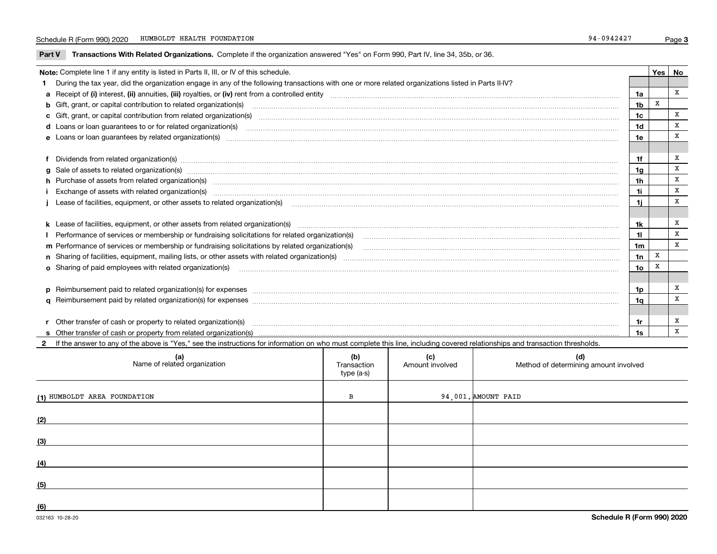**Part V** T**ransactions With Related Organizations.** Complete if the organization answered "Yes" on Form 990, Part IV, line 34, 35b, or 36.

| Note: Complete line 1 if any entity is listed in Parts II, III, or IV of this schedule. |                                                                                                                                                                                                                                |                 |   |   |  |
|-----------------------------------------------------------------------------------------|--------------------------------------------------------------------------------------------------------------------------------------------------------------------------------------------------------------------------------|-----------------|---|---|--|
|                                                                                         | 1 During the tax year, did the organization engage in any of the following transactions with one or more related organizations listed in Parts II-IV?                                                                          |                 |   |   |  |
|                                                                                         |                                                                                                                                                                                                                                | 1a              |   | x |  |
|                                                                                         |                                                                                                                                                                                                                                | 1 <sub>b</sub>  | X |   |  |
|                                                                                         | c Gift, grant, or capital contribution from related organization(s) matches contains and content and contribution from related organization(s) matches contains and contribution from related organization(s) matches contains | 1c              |   | X |  |
|                                                                                         | d Loans or loan guarantees to or for related organization(s) committion contains and contains and contains and contains and contains and contains and contains and contains and contains and contains and contains and contain | 1 <sub>d</sub>  |   | X |  |
|                                                                                         |                                                                                                                                                                                                                                | 1e              |   | X |  |
|                                                                                         |                                                                                                                                                                                                                                |                 |   |   |  |
|                                                                                         | f Dividends from related organization(s) manufactured contains and contained a series of the contact of the contact of the contact of the contact of the contact of the contact of the contact of the contact of the contact o | 1f              |   | x |  |
|                                                                                         | g Sale of assets to related organization(s) www.assettion.com/www.assettion.com/www.assettion.com/www.assettion.com/www.assettion.com/www.assettion.com/www.assettion.com/www.assettion.com/www.assettion.com/www.assettion.co | 1 <sub>g</sub>  |   | X |  |
|                                                                                         | h Purchase of assets from related organization(s) manufactured and content to content the content of the content of the content of the content of the content of the content of the content of the content of the content of t | 1 <sub>h</sub>  |   | X |  |
|                                                                                         | Exchange of assets with related organization(s) www.array.com/www.array.com/www.array.com/www.array.com/www.array.com/www.array.com/www.array.com/www.array.com/www.array.com/www.array.com/www.array.com/www.array.com/www.ar | 1i              |   | X |  |
|                                                                                         |                                                                                                                                                                                                                                | 1i              |   | X |  |
|                                                                                         |                                                                                                                                                                                                                                |                 |   |   |  |
|                                                                                         |                                                                                                                                                                                                                                | 1k              |   | X |  |
|                                                                                         | Performance of services or membership or fundraising solicitations for related organization(s)                                                                                                                                 | 11              |   | X |  |
|                                                                                         | m Performance of services or membership or fundraising solicitations by related organization(s)                                                                                                                                | 1m              |   | X |  |
|                                                                                         |                                                                                                                                                                                                                                | 1n              | X |   |  |
|                                                                                         | o Sharing of paid employees with related organization(s) manufactured and content to the content of the content of the content of the content of the content of the content of the content of the content of the content of th | 10 <sub>o</sub> | X |   |  |
|                                                                                         |                                                                                                                                                                                                                                |                 |   |   |  |
|                                                                                         |                                                                                                                                                                                                                                | 1p              |   | x |  |
|                                                                                         |                                                                                                                                                                                                                                | 1q              |   | X |  |
|                                                                                         |                                                                                                                                                                                                                                |                 |   |   |  |
|                                                                                         |                                                                                                                                                                                                                                | 1r              |   | x |  |
|                                                                                         |                                                                                                                                                                                                                                | 1s              |   | x |  |

**2**If the answer to any of the above is "Yes," see the instructions for information on who must complete this line, including covered relationships and transaction thresholds.

| (a)<br>Name of related organization | (b)<br>Transaction<br>type (a-s) | (c)<br>Amount involved | (d)<br>Method of determining amount involved |
|-------------------------------------|----------------------------------|------------------------|----------------------------------------------|
| (1) HUMBOLDT AREA FOUNDATION        | в                                |                        | 94,001. AMOUNT PAID                          |
| (2)                                 |                                  |                        |                                              |
| (3)                                 |                                  |                        |                                              |
| (4)                                 |                                  |                        |                                              |
| (5)                                 |                                  |                        |                                              |
| (6)                                 |                                  |                        |                                              |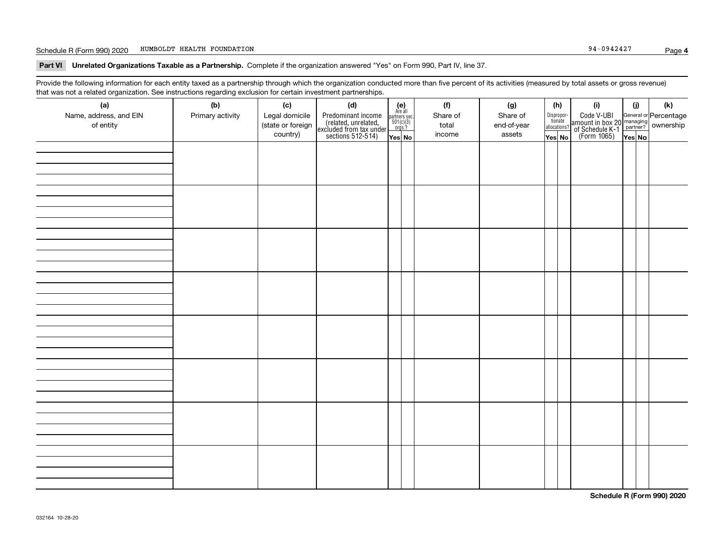#### Schedule R (Form 990) 2020 Page HUMBOLDT HEALTH FOUNDATION 94-0942427

**Part VI Unrelated Organizations Taxable as a Partnership. Complete if the organization answered "Yes" on Form 990, Part IV, line 37.** 

Provide the following information for each entity taxed as a partnership through which the organization conducted more than five percent of its activities (measured by total assets or gross revenue) that was not a related organization. See instructions regarding exclusion for certain investment partnerships.

| (a)<br>Name, address, and EIN<br>of entity | ----- <del>-</del> --------<br>(b)<br>Primary activity | (c)<br>Legal domicile<br>(state or foreign<br>country) | (d)<br>Predominant income<br>(related, unrelated,<br>excluded from tax under<br>sections 512-514) | (e)<br>Are all<br>partners sec.<br>$501(c)(3)$<br>orgs.?<br>Yes No | (f)<br>Share of<br>total<br>income | (g)<br>Share of<br>end-of-year<br>assets | (h)<br>Dispropor-<br>tionate<br>allocations?<br>Yes No | (i)<br>Code V-UBI<br>  amount in box 20 managing<br>  of Schedule K-1 partner? ownership<br>  of Schedule K-1 partner? ownership<br>  Yes No | (i)<br>Yes No | (k) |
|--------------------------------------------|--------------------------------------------------------|--------------------------------------------------------|---------------------------------------------------------------------------------------------------|--------------------------------------------------------------------|------------------------------------|------------------------------------------|--------------------------------------------------------|----------------------------------------------------------------------------------------------------------------------------------------------|---------------|-----|
|                                            |                                                        |                                                        |                                                                                                   |                                                                    |                                    |                                          |                                                        |                                                                                                                                              |               |     |
|                                            |                                                        |                                                        |                                                                                                   |                                                                    |                                    |                                          |                                                        |                                                                                                                                              |               |     |
|                                            |                                                        |                                                        |                                                                                                   |                                                                    |                                    |                                          |                                                        |                                                                                                                                              |               |     |
|                                            |                                                        |                                                        |                                                                                                   |                                                                    |                                    |                                          |                                                        |                                                                                                                                              |               |     |
|                                            |                                                        |                                                        |                                                                                                   |                                                                    |                                    |                                          |                                                        |                                                                                                                                              |               |     |
|                                            |                                                        |                                                        |                                                                                                   |                                                                    |                                    |                                          |                                                        |                                                                                                                                              |               |     |
|                                            |                                                        |                                                        |                                                                                                   |                                                                    |                                    |                                          |                                                        |                                                                                                                                              |               |     |
|                                            |                                                        |                                                        |                                                                                                   |                                                                    |                                    |                                          |                                                        |                                                                                                                                              |               |     |

**Schedule R (Form 990) 2020**